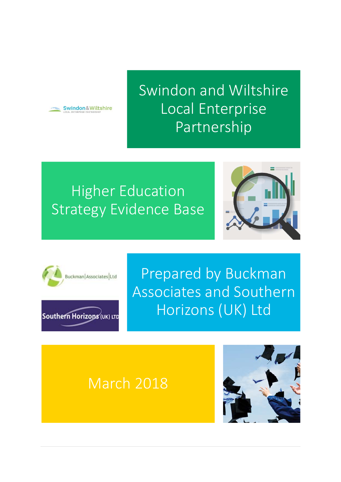

Swindon and Wiltshire Local Enterprise Partnership

**Higher Education** Strategy Evidence Base





Southern Horizons (UK) LTD

Prepared by Buckman Associates and Southern Horizons (UK) Ltd

# March 2018

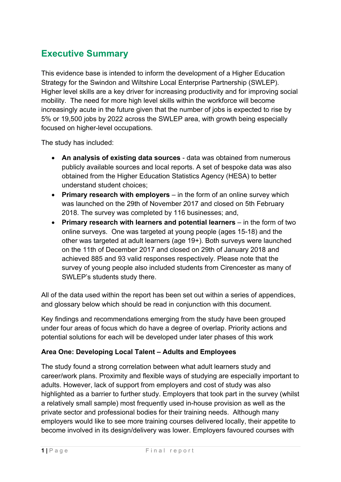# **Executive Summary**

This evidence base is intended to inform the development of a Higher Education Strategy for the Swindon and Wiltshire Local Enterprise Partnership (SWLEP). Higher level skills are a key driver for increasing productivity and for improving social mobility. The need for more high level skills within the workforce will become increasingly acute in the future given that the number of jobs is expected to rise by 5% or 19,500 jobs by 2022 across the SWLEP area, with growth being especially focused on higher-level occupations.

The study has included:

- **An analysis of existing data sources** data was obtained from numerous publicly available sources and local reports. A set of bespoke data was also obtained from the Higher Education Statistics Agency (HESA) to better understand student choices;
- **Primary research with employers** in the form of an online survey which was launched on the 29th of November 2017 and closed on 5th February 2018. The survey was completed by 116 businesses; and,
- **Primary research with learners and potential learners** in the form of two online surveys. One was targeted at young people (ages 15-18) and the other was targeted at adult learners (age 19+). Both surveys were launched on the 11th of December 2017 and closed on 29th of January 2018 and achieved 885 and 93 valid responses respectively. Please note that the survey of young people also included students from Cirencester as many of SWLEP's students study there.

All of the data used within the report has been set out within a series of appendices, and glossary below which should be read in conjunction with this document.

Key findings and recommendations emerging from the study have been grouped under four areas of focus which do have a degree of overlap. Priority actions and potential solutions for each will be developed under later phases of this work

#### **Area One: Developing Local Talent – Adults and Employees**

The study found a strong correlation between what adult learners study and career/work plans. Proximity and flexible ways of studying are especially important to adults. However, lack of support from employers and cost of study was also highlighted as a barrier to further study. Employers that took part in the survey (whilst a relatively small sample) most frequently used in-house provision as well as the private sector and professional bodies for their training needs. Although many employers would like to see more training courses delivered locally, their appetite to become involved in its design/delivery was lower. Employers favoured courses with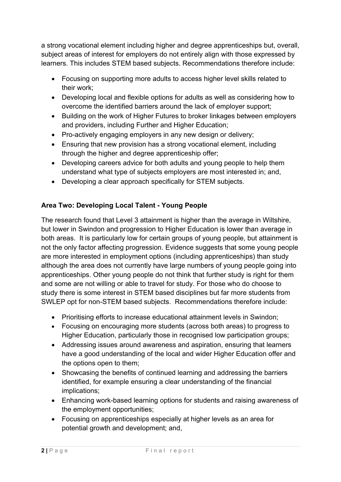a strong vocational element including higher and degree apprenticeships but, overall, subject areas of interest for employers do not entirely align with those expressed by learners. This includes STEM based subjects. Recommendations therefore include:

- Focusing on supporting more adults to access higher level skills related to their work;
- Developing local and flexible options for adults as well as considering how to overcome the identified barriers around the lack of employer support;
- Building on the work of Higher Futures to broker linkages between employers and providers, including Further and Higher Education;
- Pro-actively engaging employers in any new design or delivery;
- Ensuring that new provision has a strong vocational element, including through the higher and degree apprenticeship offer;
- Developing careers advice for both adults and young people to help them understand what type of subjects employers are most interested in; and,
- Developing a clear approach specifically for STEM subjects.

### **Area Two: Developing Local Talent - Young People**

The research found that Level 3 attainment is higher than the average in Wiltshire, but lower in Swindon and progression to Higher Education is lower than average in both areas. It is particularly low for certain groups of young people, but attainment is not the only factor affecting progression. Evidence suggests that some young people are more interested in employment options (including apprenticeships) than study although the area does not currently have large numbers of young people going into apprenticeships. Other young people do not think that further study is right for them and some are not willing or able to travel for study. For those who do choose to study there is some interest in STEM based disciplines but far more students from SWLEP opt for non-STEM based subjects. Recommendations therefore include:

- Prioritising efforts to increase educational attainment levels in Swindon;
- Focusing on encouraging more students (across both areas) to progress to Higher Education, particularly those in recognised low participation groups;
- Addressing issues around awareness and aspiration, ensuring that learners have a good understanding of the local and wider Higher Education offer and the options open to them;
- Showcasing the benefits of continued learning and addressing the barriers identified, for example ensuring a clear understanding of the financial implications;
- Enhancing work-based learning options for students and raising awareness of the employment opportunities;
- Focusing on apprenticeships especially at higher levels as an area for potential growth and development; and,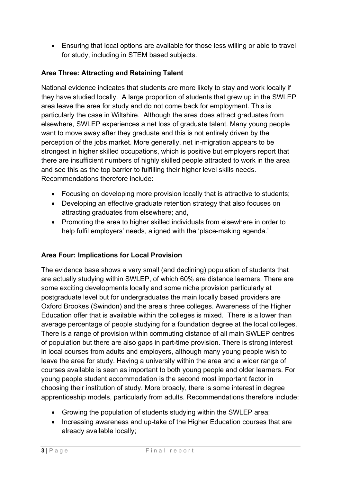Ensuring that local options are available for those less willing or able to travel for study, including in STEM based subjects.

#### **Area Three: Attracting and Retaining Talent**

National evidence indicates that students are more likely to stay and work locally if they have studied locally. A large proportion of students that grew up in the SWLEP area leave the area for study and do not come back for employment. This is particularly the case in Wiltshire. Although the area does attract graduates from elsewhere, SWLEP experiences a net loss of graduate talent. Many young people want to move away after they graduate and this is not entirely driven by the perception of the jobs market. More generally, net in-migration appears to be strongest in higher skilled occupations, which is positive but employers report that there are insufficient numbers of highly skilled people attracted to work in the area and see this as the top barrier to fulfilling their higher level skills needs. Recommendations therefore include:

- Focusing on developing more provision locally that is attractive to students;
- Developing an effective graduate retention strategy that also focuses on attracting graduates from elsewhere; and,
- Promoting the area to higher skilled individuals from elsewhere in order to help fulfil employers' needs, aligned with the 'place-making agenda.'

#### **Area Four: Implications for Local Provision**

The evidence base shows a very small (and declining) population of students that are actually studying within SWLEP, of which 60% are distance learners. There are some exciting developments locally and some niche provision particularly at postgraduate level but for undergraduates the main locally based providers are Oxford Brookes (Swindon) and the area's three colleges. Awareness of the Higher Education offer that is available within the colleges is mixed. There is a lower than average percentage of people studying for a foundation degree at the local colleges. There is a range of provision within commuting distance of all main SWLEP centres of population but there are also gaps in part-time provision. There is strong interest in local courses from adults and employers, although many young people wish to leave the area for study. Having a university within the area and a wider range of courses available is seen as important to both young people and older learners. For young people student accommodation is the second most important factor in choosing their institution of study. More broadly, there is some interest in degree apprenticeship models, particularly from adults. Recommendations therefore include:

- Growing the population of students studying within the SWLEP area;
- Increasing awareness and up-take of the Higher Education courses that are already available locally;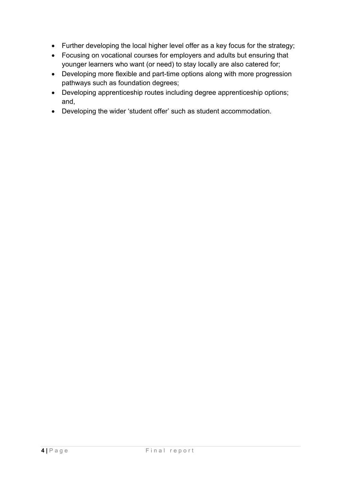- Further developing the local higher level offer as a key focus for the strategy;
- Focusing on vocational courses for employers and adults but ensuring that younger learners who want (or need) to stay locally are also catered for;
- Developing more flexible and part-time options along with more progression pathways such as foundation degrees;
- Developing apprenticeship routes including degree apprenticeship options; and,
- Developing the wider 'student offer' such as student accommodation.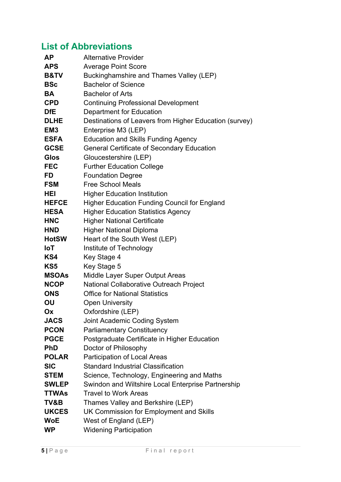# **List of Abbreviations**

| <b>AP</b>       | <b>Alternative Provider</b>                            |
|-----------------|--------------------------------------------------------|
| <b>APS</b>      | <b>Average Point Score</b>                             |
| <b>B&amp;TV</b> | Buckinghamshire and Thames Valley (LEP)                |
| <b>BSc</b>      | <b>Bachelor of Science</b>                             |
| <b>BA</b>       | <b>Bachelor of Arts</b>                                |
| <b>CPD</b>      | <b>Continuing Professional Development</b>             |
| <b>DfE</b>      | <b>Department for Education</b>                        |
| <b>DLHE</b>     | Destinations of Leavers from Higher Education (survey) |
| EM <sub>3</sub> | Enterprise M3 (LEP)                                    |
| <b>ESFA</b>     | <b>Education and Skills Funding Agency</b>             |
| <b>GCSE</b>     | <b>General Certificate of Secondary Education</b>      |
| <b>Glos</b>     | Gloucestershire (LEP)                                  |
| <b>FEC</b>      | <b>Further Education College</b>                       |
| FD              | <b>Foundation Degree</b>                               |
| <b>FSM</b>      | <b>Free School Meals</b>                               |
| HEI             | <b>Higher Education Institution</b>                    |
| <b>HEFCE</b>    | <b>Higher Education Funding Council for England</b>    |
| <b>HESA</b>     | <b>Higher Education Statistics Agency</b>              |
| <b>HNC</b>      | <b>Higher National Certificate</b>                     |
| <b>HND</b>      | <b>Higher National Diploma</b>                         |
| <b>HotSW</b>    | Heart of the South West (LEP)                          |
| <b>IoT</b>      | Institute of Technology                                |
| KS4             | Key Stage 4                                            |
| KS <sub>5</sub> | Key Stage 5                                            |
| <b>MSOAs</b>    | Middle Layer Super Output Areas                        |
| <b>NCOP</b>     | <b>National Collaborative Outreach Project</b>         |
| <b>ONS</b>      | <b>Office for National Statistics</b>                  |
| OU              | <b>Open University</b>                                 |
| Оx              | Oxfordshire (LEP)                                      |
| <b>JACS</b>     | <b>Joint Academic Coding System</b>                    |
| <b>PCON</b>     | <b>Parliamentary Constituency</b>                      |
| <b>PGCE</b>     | Postgraduate Certificate in Higher Education           |
| <b>PhD</b>      | Doctor of Philosophy                                   |
| <b>POLAR</b>    | <b>Participation of Local Areas</b>                    |
| <b>SIC</b>      | <b>Standard Industrial Classification</b>              |
| <b>STEM</b>     | Science, Technology, Engineering and Maths             |
| <b>SWLEP</b>    | Swindon and Wiltshire Local Enterprise Partnership     |
| <b>TTWAs</b>    | <b>Travel to Work Areas</b>                            |
| TV&B            | Thames Valley and Berkshire (LEP)                      |
| <b>UKCES</b>    | UK Commission for Employment and Skills                |
| <b>WoE</b>      | West of England (LEP)                                  |
| <b>WP</b>       | <b>Widening Participation</b>                          |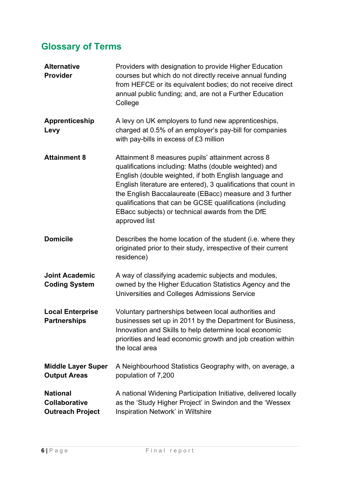# **Glossary of Terms**

| <b>Alternative</b><br>Provider                              | Providers with designation to provide Higher Education<br>courses but which do not directly receive annual funding<br>from HEFCE or its equivalent bodies; do not receive direct<br>annual public funding; and, are not a Further Education<br>College                                                                                                                                                                               |
|-------------------------------------------------------------|--------------------------------------------------------------------------------------------------------------------------------------------------------------------------------------------------------------------------------------------------------------------------------------------------------------------------------------------------------------------------------------------------------------------------------------|
| Apprenticeship<br>Levy                                      | A levy on UK employers to fund new apprenticeships,<br>charged at 0.5% of an employer's pay-bill for companies<br>with pay-bills in excess of £3 million                                                                                                                                                                                                                                                                             |
| <b>Attainment 8</b>                                         | Attainment 8 measures pupils' attainment across 8<br>qualifications including: Maths (double weighted) and<br>English (double weighted, if both English language and<br>English literature are entered), 3 qualifications that count in<br>the English Baccalaureate (EBacc) measure and 3 further<br>qualifications that can be GCSE qualifications (including<br>EBacc subjects) or technical awards from the DfE<br>approved list |
| <b>Domicile</b>                                             | Describes the home location of the student (i.e. where they<br>originated prior to their study, irrespective of their current<br>residence)                                                                                                                                                                                                                                                                                          |
| <b>Joint Academic</b><br><b>Coding System</b>               | A way of classifying academic subjects and modules,<br>owned by the Higher Education Statistics Agency and the<br>Universities and Colleges Admissions Service                                                                                                                                                                                                                                                                       |
| <b>Local Enterprise</b><br><b>Partnerships</b>              | Voluntary partnerships between local authorities and<br>businesses set up in 2011 by the Department for Business,<br>Innovation and Skills to help determine local economic<br>priorities and lead economic growth and job creation within<br>the local area                                                                                                                                                                         |
| <b>Middle Layer Super</b><br><b>Output Areas</b>            | A Neighbourhood Statistics Geography with, on average, a<br>population of 7,200                                                                                                                                                                                                                                                                                                                                                      |
| <b>National</b><br>Collaborative<br><b>Outreach Project</b> | A national Widening Participation Initiative, delivered locally<br>as the 'Study Higher Project' in Swindon and the 'Wessex<br>Inspiration Network' in Wiltshire                                                                                                                                                                                                                                                                     |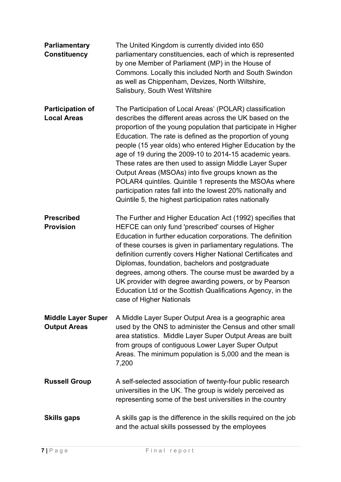| <b>Parliamentary</b><br><b>Constituency</b>      | The United Kingdom is currently divided into 650<br>parliamentary constituencies, each of which is represented<br>by one Member of Parliament (MP) in the House of<br>Commons. Locally this included North and South Swindon<br>as well as Chippenham, Devizes, North Wiltshire,<br>Salisbury, South West Wiltshire                                                                                                                                                                                                                                                                                                                                                            |
|--------------------------------------------------|--------------------------------------------------------------------------------------------------------------------------------------------------------------------------------------------------------------------------------------------------------------------------------------------------------------------------------------------------------------------------------------------------------------------------------------------------------------------------------------------------------------------------------------------------------------------------------------------------------------------------------------------------------------------------------|
| <b>Participation of</b><br><b>Local Areas</b>    | The Participation of Local Areas' (POLAR) classification<br>describes the different areas across the UK based on the<br>proportion of the young population that participate in Higher<br>Education. The rate is defined as the proportion of young<br>people (15 year olds) who entered Higher Education by the<br>age of 19 during the 2009-10 to 2014-15 academic years.<br>These rates are then used to assign Middle Layer Super<br>Output Areas (MSOAs) into five groups known as the<br>POLAR4 quintiles. Quintile 1 represents the MSOAs where<br>participation rates fall into the lowest 20% nationally and<br>Quintile 5, the highest participation rates nationally |
| <b>Prescribed</b><br><b>Provision</b>            | The Further and Higher Education Act (1992) specifies that<br>HEFCE can only fund 'prescribed' courses of Higher<br>Education in further education corporations. The definition<br>of these courses is given in parliamentary regulations. The<br>definition currently covers Higher National Certificates and<br>Diplomas, foundation, bachelors and postgraduate<br>degrees, among others. The course must be awarded by a<br>UK provider with degree awarding powers, or by Pearson<br>Education Ltd or the Scottish Qualifications Agency, in the<br>case of Higher Nationals                                                                                              |
| <b>Middle Layer Super</b><br><b>Output Areas</b> | A Middle Layer Super Output Area is a geographic area<br>used by the ONS to administer the Census and other small<br>area statistics. Middle Layer Super Output Areas are built<br>from groups of contiguous Lower Layer Super Output<br>Areas. The minimum population is 5,000 and the mean is<br>7,200                                                                                                                                                                                                                                                                                                                                                                       |
| <b>Russell Group</b>                             | A self-selected association of twenty-four public research<br>universities in the UK. The group is widely perceived as<br>representing some of the best universities in the country                                                                                                                                                                                                                                                                                                                                                                                                                                                                                            |
| <b>Skills gaps</b>                               | A skills gap is the difference in the skills required on the job<br>and the actual skills possessed by the employees                                                                                                                                                                                                                                                                                                                                                                                                                                                                                                                                                           |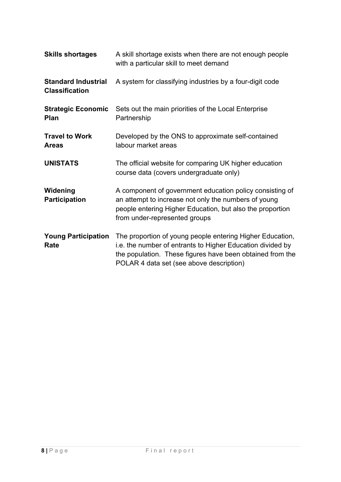| <b>Skills shortages</b>                             | A skill shortage exists when there are not enough people<br>with a particular skill to meet demand                                                                                                                               |
|-----------------------------------------------------|----------------------------------------------------------------------------------------------------------------------------------------------------------------------------------------------------------------------------------|
| <b>Standard Industrial</b><br><b>Classification</b> | A system for classifying industries by a four-digit code                                                                                                                                                                         |
| <b>Strategic Economic</b><br><b>Plan</b>            | Sets out the main priorities of the Local Enterprise<br>Partnership                                                                                                                                                              |
| <b>Travel to Work</b><br><b>Areas</b>               | Developed by the ONS to approximate self-contained<br>labour market areas                                                                                                                                                        |
| <b>UNISTATS</b>                                     | The official website for comparing UK higher education<br>course data (covers undergraduate only)                                                                                                                                |
| Widening<br><b>Participation</b>                    | A component of government education policy consisting of<br>an attempt to increase not only the numbers of young<br>people entering Higher Education, but also the proportion<br>from under-represented groups                   |
| <b>Young Participation</b><br>Rate                  | The proportion of young people entering Higher Education,<br>i.e. the number of entrants to Higher Education divided by<br>the population. These figures have been obtained from the<br>POLAR 4 data set (see above description) |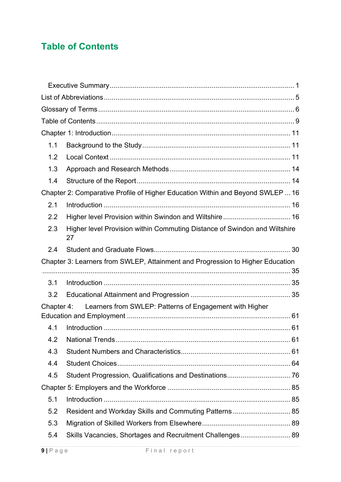# **Table of Contents**

| 1.1        |                                                                                 |  |
|------------|---------------------------------------------------------------------------------|--|
| 1.2        |                                                                                 |  |
| 1.3        |                                                                                 |  |
| 1.4        |                                                                                 |  |
|            | Chapter 2: Comparative Profile of Higher Education Within and Beyond SWLEP  16  |  |
| 2.1        |                                                                                 |  |
| 2.2        |                                                                                 |  |
| 2.3        | Higher level Provision within Commuting Distance of Swindon and Wiltshire<br>27 |  |
| 2.4        |                                                                                 |  |
|            |                                                                                 |  |
|            | Chapter 3: Learners from SWLEP, Attainment and Progression to Higher Education  |  |
|            |                                                                                 |  |
| 3.1        |                                                                                 |  |
| 3.2        |                                                                                 |  |
| Chapter 4: | Learners from SWLEP: Patterns of Engagement with Higher                         |  |
|            |                                                                                 |  |
| 4.1        |                                                                                 |  |
| 4.2        |                                                                                 |  |
| 4.3        |                                                                                 |  |
| 4.4        |                                                                                 |  |
| 4.5        |                                                                                 |  |
|            |                                                                                 |  |
| 5.1        |                                                                                 |  |
| 5.2        | Resident and Workday Skills and Commuting Patterns 85                           |  |
| 5.3        |                                                                                 |  |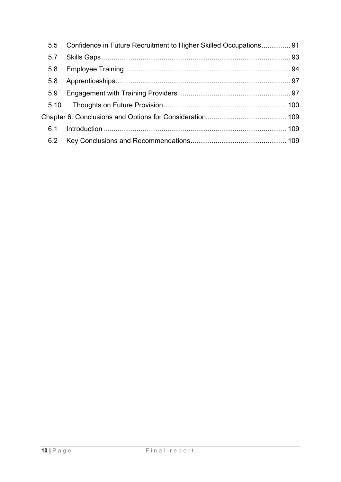| 5.5 | Confidence in Future Recruitment to Higher Skilled Occupations 91 |  |
|-----|-------------------------------------------------------------------|--|
| 5.7 |                                                                   |  |
| 5.8 |                                                                   |  |
| 5.8 |                                                                   |  |
| 5.9 |                                                                   |  |
|     |                                                                   |  |
|     |                                                                   |  |
| 6.1 |                                                                   |  |
| 6.2 |                                                                   |  |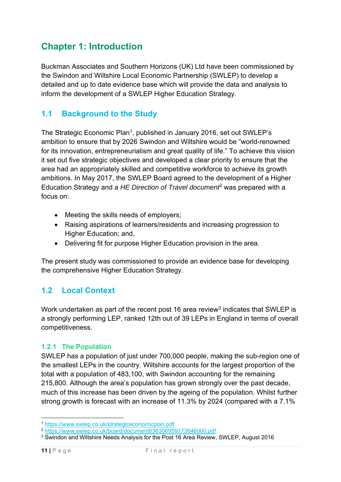# **Chapter 1: Introduction**

Buckman Associates and Southern Horizons (UK) Ltd have been commissioned by the Swindon and Wiltshire Local Economic Partnership (SWLEP) to develop a detailed and up to date evidence base which will provide the data and analysis to inform the development of a SWLEP Higher Education Strategy.

### **1.1 Background to the Study**

The Strategic Economic Plan<sup>1</sup>, published in January 2016, set out SWLEP's ambition to ensure that by 2026 Swindon and Wiltshire would be "world-renowned for its innovation, entrepreneurialism and great quality of life." To achieve this vision it set out five strategic objectives and developed a clear priority to ensure that the area had an appropriately skilled and competitive workforce to achieve its growth ambitions. In May 2017, the SWLEP Board agreed to the development of a Higher Education Strategy and a *HE Direction of Travel document*2 was prepared with a focus on:

- Meeting the skills needs of employers;
- Raising aspirations of learners/residents and increasing progression to Higher Education; and,
- Delivering fit for purpose Higher Education provision in the area.

The present study was commissioned to provide an evidence base for developing the comprehensive Higher Education Strategy.

### **1.2 Local Context**

Work undertaken as part of the recent post 16 area review<sup>3</sup> indicates that SWLEP is a strongly performing LEP, ranked 12th out of 39 LEPs in England in terms of overall competitiveness.

#### **1.2.1 The Population**

SWLEP has a population of just under 700,000 people, making the sub-region one of the smallest LEPs in the country. Wiltshire accounts for the largest proportion of the total with a population of 483,100, with Swindon accounting for the remaining 215,800. Although the area's population has grown strongly over the past decade, much of this increase has been driven by the ageing of the population. Whilst further strong growth is forecast with an increase of 11.3% by 2024 (compared with a 7.1%

<sup>&</sup>lt;u>.</u>

<sup>1</sup> https://www.swlep.co.uk/strategiceconomicplan.pdf 2 https://www.swlep.co.uk/board/document636306959173846000.pdf

<sup>&</sup>lt;sup>3</sup> Swindon and Wiltshire Needs Analysis for the Post 16 Area Review, SWLEP, August 2016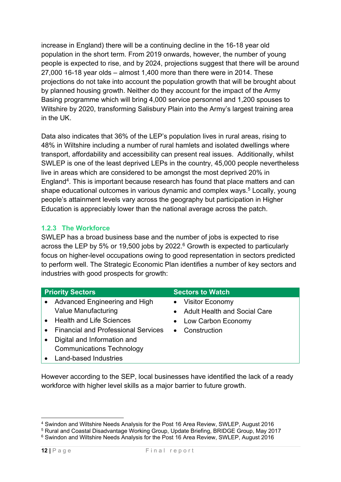increase in England) there will be a continuing decline in the 16-18 year old population in the short term. From 2019 onwards, however, the number of young people is expected to rise, and by 2024, projections suggest that there will be around 27,000 16-18 year olds – almost 1,400 more than there were in 2014. These projections do not take into account the population growth that will be brought about by planned housing growth. Neither do they account for the impact of the Army Basing programme which will bring 4,000 service personnel and 1,200 spouses to Wiltshire by 2020, transforming Salisbury Plain into the Army's largest training area in the UK.

Data also indicates that 36% of the LEP's population lives in rural areas, rising to 48% in Wiltshire including a number of rural hamlets and isolated dwellings where transport, affordability and accessibility can present real issues. Additionally, whilst SWLEP is one of the least deprived LEPs in the country, 45,000 people nevertheless live in areas which are considered to be amongst the most deprived 20% in England4. This is important because research has found that place matters and can shape educational outcomes in various dynamic and complex ways.<sup>5</sup> Locally, young people's attainment levels vary across the geography but participation in Higher Education is appreciably lower than the national average across the patch.

#### **1.2.3 The Workforce**

SWLEP has a broad business base and the number of jobs is expected to rise across the LEP by 5% or 19,500 jobs by 2022. $6$  Growth is expected to particularly focus on higher-level occupations owing to good representation in sectors predicted to perform well. The Strategic Economic Plan identifies a number of key sectors and industries with good prospects for growth:

| <b>Priority Sectors</b> |                                            | <b>Sectors to Watch</b> |                                |  |  |
|-------------------------|--------------------------------------------|-------------------------|--------------------------------|--|--|
| $\bullet$               | Advanced Engineering and High              |                         | • Visitor Economy              |  |  |
|                         | <b>Value Manufacturing</b>                 |                         | • Adult Health and Social Care |  |  |
|                         | • Health and Life Sciences                 |                         | • Low Carbon Economy           |  |  |
|                         | <b>Financial and Professional Services</b> | $\bullet$               | Construction                   |  |  |
|                         | Digital and Information and                |                         |                                |  |  |
|                         | <b>Communications Technology</b>           |                         |                                |  |  |
|                         | <b>Land-based Industries</b>               |                         |                                |  |  |

However according to the SEP, local businesses have identified the lack of a ready workforce with higher level skills as a major barrier to future growth.

<sup>&</sup>lt;u>.</u> 4 Swindon and Wiltshire Needs Analysis for the Post 16 Area Review, SWLEP, August 2016

<sup>5</sup> Rural and Coastal Disadvantage Working Group, Update Briefing, BRIDGE Group, May 2017

<sup>6</sup> Swindon and Wiltshire Needs Analysis for the Post 16 Area Review, SWLEP, August 2016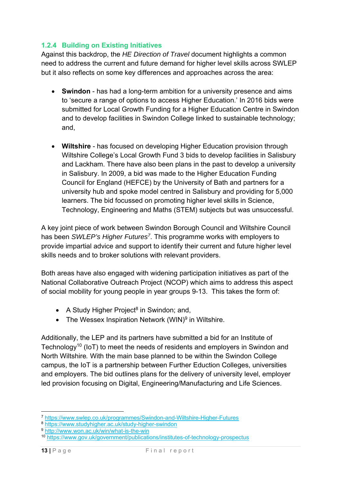#### **1.2.4 Building on Existing Initiatives**

Against this backdrop, the *HE Direction of Travel* document highlights a common need to address the current and future demand for higher level skills across SWLEP but it also reflects on some key differences and approaches across the area:

- **Swindon** has had a long-term ambition for a university presence and aims to 'secure a range of options to access Higher Education.' In 2016 bids were submitted for Local Growth Funding for a Higher Education Centre in Swindon and to develop facilities in Swindon College linked to sustainable technology; and,
- **Wiltshire** has focused on developing Higher Education provision through Wiltshire College's Local Growth Fund 3 bids to develop facilities in Salisbury and Lackham. There have also been plans in the past to develop a university in Salisbury. In 2009, a bid was made to the Higher Education Funding Council for England (HEFCE) by the University of Bath and partners for a university hub and spoke model centred in Salisbury and providing for 5,000 learners. The bid focussed on promoting higher level skills in Science, Technology, Engineering and Maths (STEM) subjects but was unsuccessful.

A key joint piece of work between Swindon Borough Council and Wiltshire Council has been *SWLEP's Higher Futures7*. This programme works with employers to provide impartial advice and support to identify their current and future higher level skills needs and to broker solutions with relevant providers.

Both areas have also engaged with widening participation initiatives as part of the National Collaborative Outreach Project (NCOP) which aims to address this aspect of social mobility for young people in year groups 9-13. This takes the form of:

- A Study Higher Project<sup>8</sup> in Swindon; and,
- The Wessex Inspiration Network (WIN)<sup>9</sup> in Wiltshire.

Additionally, the LEP and its partners have submitted a bid for an Institute of Technology<sup>10</sup> (IoT) to meet the needs of residents and employers in Swindon and North Wiltshire*.* With the main base planned to be within the Swindon College campus, the IoT is a partnership between Further Eduction Colleges, universities and employers. The bid outlines plans for the delivery of university level, employer led provision focusing on Digital, Engineering/Manufacturing and Life Sciences.

<sup>1</sup> 

<sup>&</sup>lt;sup>7</sup> https://www.swlep.co.uk/programmes/Swindon-and-Wiltshire-Higher-Futures<br><sup>8</sup> https://www.studyhigher.ac.uk/study-higher-swindon<br><sup>9</sup> http://www.won.ac.uk/win/what-is-the-win<br><sup>10</sup> https://www.gov.uk/government/publication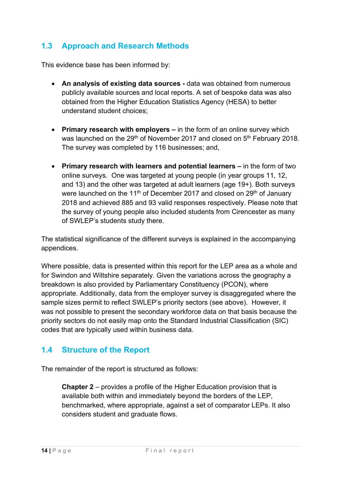# **1.3 Approach and Research Methods**

This evidence base has been informed by:

- **An analysis of existing data sources** data was obtained from numerous publicly available sources and local reports. A set of bespoke data was also obtained from the Higher Education Statistics Agency (HESA) to better understand student choices;
- **Primary research with employers** in the form of an online survey which was launched on the  $29<sup>th</sup>$  of November 2017 and closed on  $5<sup>th</sup>$  February 2018. The survey was completed by 116 businesses; and,
- **Primary research with learners and potential learners** in the form of two online surveys. One was targeted at young people (in year groups 11, 12, and 13) and the other was targeted at adult learners (age 19+). Both surveys were launched on the 11<sup>th</sup> of December 2017 and closed on  $29<sup>th</sup>$  of January 2018 and achieved 885 and 93 valid responses respectively. Please note that the survey of young people also included students from Cirencester as many of SWLEP's students study there.

The statistical significance of the different surveys is explained in the accompanying appendices.

Where possible, data is presented within this report for the LEP area as a whole and for Swindon and Wiltshire separately. Given the variations across the geography a breakdown is also provided by Parliamentary Constituency (PCON), where appropriate. Additionally, data from the employer survey is disaggregated where the sample sizes permit to reflect SWLEP's priority sectors (see above). However, it was not possible to present the secondary workforce data on that basis because the priority sectors do not easily map onto the Standard Industrial Classification (SIC) codes that are typically used within business data.

### **1.4 Structure of the Report**

The remainder of the report is structured as follows:

**Chapter 2** – provides a profile of the Higher Education provision that is available both within and immediately beyond the borders of the LEP, benchmarked, where appropriate, against a set of comparator LEPs. It also considers student and graduate flows.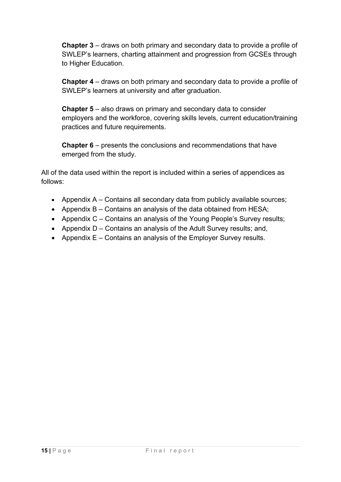**Chapter 3** – draws on both primary and secondary data to provide a profile of SWLEP's learners, charting attainment and progression from GCSEs through to Higher Education.

**Chapter 4** – draws on both primary and secondary data to provide a profile of SWLEP's learners at university and after graduation.

**Chapter 5** – also draws on primary and secondary data to consider employers and the workforce, covering skills levels, current education/training practices and future requirements.

**Chapter 6** – presents the conclusions and recommendations that have emerged from the study.

All of the data used within the report is included within a series of appendices as follows:

- Appendix  $A -$  Contains all secondary data from publicly available sources;
- Appendix B Contains an analysis of the data obtained from HESA;
- Appendix C Contains an analysis of the Young People's Survey results;
- Appendix D Contains an analysis of the Adult Survey results; and,
- Appendix  $E -$  Contains an analysis of the Employer Survey results.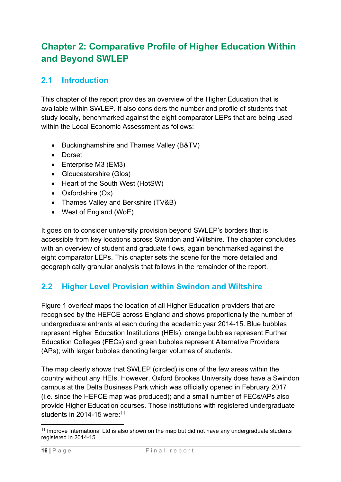# **Chapter 2: Comparative Profile of Higher Education Within and Beyond SWLEP**

# **2.1 Introduction**

This chapter of the report provides an overview of the Higher Education that is available within SWLEP. It also considers the number and profile of students that study locally, benchmarked against the eight comparator LEPs that are being used within the Local Economic Assessment as follows:

- Buckinghamshire and Thames Valley (B&TV)
- **•** Dorset
- Enterprise M3 (EM3)
- Gloucestershire (Glos)
- Heart of the South West (HotSW)
- Oxfordshire (Ox)
- Thames Valley and Berkshire (TV&B)
- West of England (WoE)

It goes on to consider university provision beyond SWLEP's borders that is accessible from key locations across Swindon and Wiltshire. The chapter concludes with an overview of student and graduate flows, again benchmarked against the eight comparator LEPs. This chapter sets the scene for the more detailed and geographically granular analysis that follows in the remainder of the report.

# **2.2 Higher Level Provision within Swindon and Wiltshire**

Figure 1 overleaf maps the location of all Higher Education providers that are recognised by the HEFCE across England and shows proportionally the number of undergraduate entrants at each during the academic year 2014-15. Blue bubbles represent Higher Education Institutions (HEIs), orange bubbles represent Further Education Colleges (FECs) and green bubbles represent Alternative Providers (APs); with larger bubbles denoting larger volumes of students.

The map clearly shows that SWLEP (circled) is one of the few areas within the country without any HEIs. However, Oxford Brookes University does have a Swindon campus at the Delta Business Park which was officially opened in February 2017 (i.e. since the HEFCE map was produced); and a small number of FECs/APs also provide Higher Education courses. Those institutions with registered undergraduate students in 2014-15 were:<sup>11</sup>

<sup>1</sup> <sup>11</sup> Improve International Ltd is also shown on the map but did not have any undergraduate students registered in 2014-15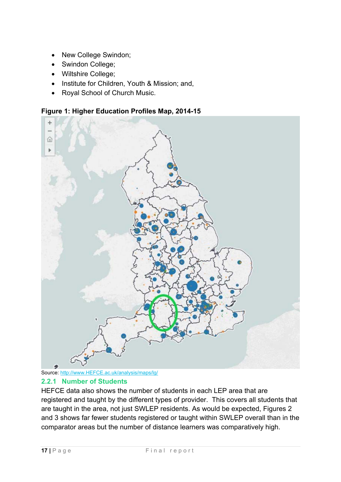- New College Swindon;
- Swindon College;
- Wiltshire College;
- Institute for Children, Youth & Mission; and,
- Royal School of Church Music.

**Figure 1: Higher Education Profiles Map, 2014-15** 





#### **2.2.1 Number of Students**

HEFCE data also shows the number of students in each LEP area that are registered and taught by the different types of provider. This covers all students that are taught in the area, not just SWLEP residents. As would be expected, Figures 2 and 3 shows far fewer students registered or taught within SWLEP overall than in the comparator areas but the number of distance learners was comparatively high.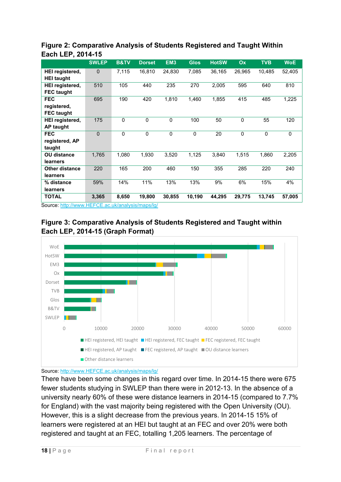|                        | <b>SWLEP</b>            | <b>B&amp;TV</b>                                                                        | <b>Dorset</b>          | EM <sub>3</sub> | <b>Glos</b>  | <b>HotSW</b> | Ox          | <b>TVB</b>  | <b>WoE</b>  |
|------------------------|-------------------------|----------------------------------------------------------------------------------------|------------------------|-----------------|--------------|--------------|-------------|-------------|-------------|
| <b>HEI registered,</b> | $\mathbf{0}$            | 7,115                                                                                  | 16,810                 | 24,830          | 7,085        | 36,165       | 26,965      | 10,485      | 52,405      |
| <b>HEI taught</b>      |                         |                                                                                        |                        |                 |              |              |             |             |             |
| <b>HEI registered,</b> | 510                     | 105                                                                                    | 440                    | 235             | 270          | 2,005        | 595         | 640         | 810         |
| <b>FEC taught</b>      |                         |                                                                                        |                        |                 |              |              |             |             |             |
| <b>FEC</b>             | 695                     | 190                                                                                    | 420                    | 1,810           | 1,460        | 1,855        | 415         | 485         | 1,225       |
| registered,            |                         |                                                                                        |                        |                 |              |              |             |             |             |
| <b>FEC taught</b>      |                         |                                                                                        |                        |                 |              |              |             |             |             |
| <b>HEI registered,</b> | 175                     | $\Omega$                                                                               | $\mathbf 0$            | $\mathbf 0$     | 100          | 50           | $\Omega$    | 55          | 120         |
| <b>AP taught</b>       |                         |                                                                                        |                        |                 |              |              |             |             |             |
| <b>FEC</b>             | $\mathbf 0$             | $\mathbf 0$                                                                            | $\mathbf 0$            | $\mathbf 0$     | $\mathbf{0}$ | 20           | $\mathbf 0$ | $\mathbf 0$ | $\mathbf 0$ |
| registered, AP         |                         |                                                                                        |                        |                 |              |              |             |             |             |
| taught                 |                         |                                                                                        |                        |                 |              |              |             |             |             |
| <b>OU distance</b>     | 1,765                   | 1,080                                                                                  | 1,930                  | 3,520           | 1,125        | 3,840        | 1,515       | 1,860       | 2,205       |
| learners               |                         |                                                                                        |                        |                 |              |              |             |             |             |
| <b>Other distance</b>  | 220                     | 165                                                                                    | 200                    | 460             | 150          | 355          | 285         | 220         | 240         |
| learners               |                         |                                                                                        |                        |                 |              |              |             |             |             |
| % distance             | 59%                     | 14%                                                                                    | 11%                    | 13%             | 13%          | 9%           | 6%          | 15%         | 4%          |
| learners               |                         |                                                                                        |                        |                 |              |              |             |             |             |
| <b>TOTAL</b>           | 3,365<br>$I = F \cap T$ | 8,650<br>$\mathbf{1}$ $\mathbf{1}$ $\mathbf{1}$ $\mathbf{1}$ $\mathbf{1}$ $\mathbf{1}$ | 19,800<br>$\mathbf{u}$ | 30,855          | 10,190       | 44,295       | 29,775      | 13,745      | 57,005      |

#### **Figure 2: Comparative Analysis of Students Registered and Taught Within Each LEP, 2014-15**

Source: http://www.HEFCE.ac.uk/analysis/maps/lg/





Source: http://www.HEFCE.ac.uk/analysis/maps/lg/

There have been some changes in this regard over time. In 2014-15 there were 675 fewer students studying in SWLEP than there were in 2012-13. In the absence of a university nearly 60% of these were distance learners in 2014-15 (compared to 7.7% for England) with the vast majority being registered with the Open University (OU). However, this is a slight decrease from the previous years. In 2014-15 15% of learners were registered at an HEI but taught at an FEC and over 20% were both registered and taught at an FEC, totalling 1,205 learners. The percentage of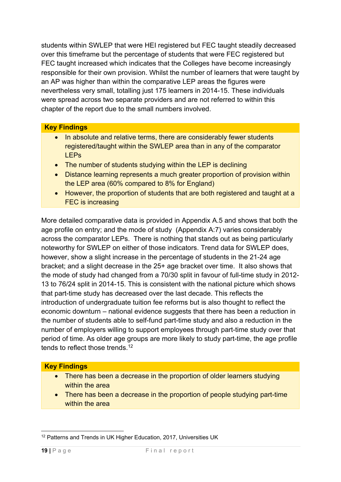students within SWLEP that were HEI registered but FEC taught steadily decreased over this timeframe but the percentage of students that were FEC registered but FEC taught increased which indicates that the Colleges have become increasingly responsible for their own provision. Whilst the number of learners that were taught by an AP was higher than within the comparative LEP areas the figures were nevertheless very small, totalling just 175 learners in 2014-15. These individuals were spread across two separate providers and are not referred to within this chapter of the report due to the small numbers involved.

#### **Key Findings**

- In absolute and relative terms, there are considerably fewer students registered/taught within the SWLEP area than in any of the comparator LEPs
- The number of students studying within the LEP is declining
- Distance learning represents a much greater proportion of provision within the LEP area (60% compared to 8% for England)
- However, the proportion of students that are both registered and taught at a FEC is increasing

More detailed comparative data is provided in Appendix A.5 and shows that both the age profile on entry; and the mode of study (Appendix A:7) varies considerably across the comparator LEPs. There is nothing that stands out as being particularly noteworthy for SWLEP on either of those indicators. Trend data for SWLEP does, however, show a slight increase in the percentage of students in the 21-24 age bracket; and a slight decrease in the 25+ age bracket over time. It also shows that the mode of study had changed from a 70/30 split in favour of full-time study in 2012- 13 to 76/24 split in 2014-15. This is consistent with the national picture which shows that part-time study has decreased over the last decade. This reflects the introduction of undergraduate tuition fee reforms but is also thought to reflect the economic downturn – national evidence suggests that there has been a reduction in the number of students able to self-fund part-time study and also a reduction in the number of employers willing to support employees through part-time study over that period of time. As older age groups are more likely to study part-time, the age profile tends to reflect those trends.<sup>12</sup>

#### **Key Findings**

- There has been a decrease in the proportion of older learners studying within the area
- There has been a decrease in the proportion of people studying part-time within the area

<sup>1</sup> <sup>12</sup> Patterns and Trends in UK Higher Education, 2017, Universities UK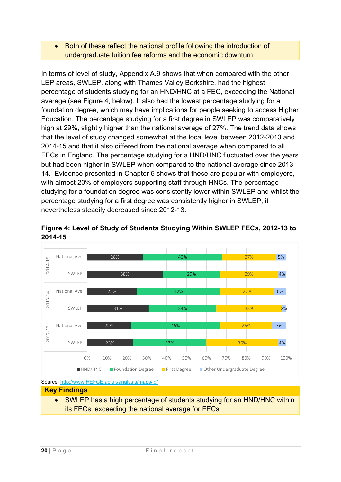#### Both of these reflect the national profile following the introduction of undergraduate tuition fee reforms and the economic downturn

In terms of level of study, Appendix A.9 shows that when compared with the other LEP areas, SWLEP, along with Thames Valley Berkshire, had the highest percentage of students studying for an HND/HNC at a FEC, exceeding the National average (see Figure 4, below). It also had the lowest percentage studying for a foundation degree, which may have implications for people seeking to access Higher Education. The percentage studying for a first degree in SWLEP was comparatively high at 29%, slightly higher than the national average of 27%. The trend data shows that the level of study changed somewhat at the local level between 2012-2013 and 2014-15 and that it also differed from the national average when compared to all FECs in England. The percentage studying for a HND/HNC fluctuated over the years but had been higher in SWLEP when compared to the national average since 2013- 14. Evidence presented in Chapter 5 shows that these are popular with employers, with almost 20% of employers supporting staff through HNCs. The percentage studying for a foundation degree was consistently lower within SWLEP and whilst the percentage studying for a first degree was consistently higher in SWLEP, it nevertheless steadily decreased since 2012-13.



**Figure 4: Level of Study of Students Studying Within SWLEP FECs, 2012-13 to 2014-15** 

Source: http://www.HEFCE.ac.uk/analysis/maps/lg/

**Key Findings** 

• SWLEP has a high percentage of students studying for an HND/HNC within its FECs, exceeding the national average for FECs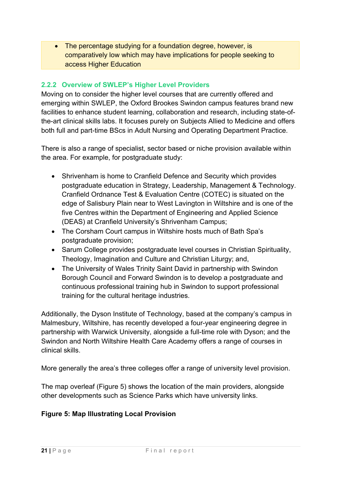• The percentage studying for a foundation degree, however, is comparatively low which may have implications for people seeking to access Higher Education

#### **2.2.2 Overview of SWLEP's Higher Level Providers**

Moving on to consider the higher level courses that are currently offered and emerging within SWLEP, the Oxford Brookes Swindon campus features brand new facilities to enhance student learning, collaboration and research, including state-ofthe-art clinical skills labs. It focuses purely on Subjects Allied to Medicine and offers both full and part-time BScs in Adult Nursing and Operating Department Practice.

There is also a range of specialist, sector based or niche provision available within the area. For example, for postgraduate study:

- Shrivenham is home to Cranfield Defence and Security which provides postgraduate education in Strategy, Leadership, Management & Technology. Cranfield Ordnance Test & Evaluation Centre (COTEC) is situated on the edge of Salisbury Plain near to West Lavington in Wiltshire and is one of the five Centres within the Department of Engineering and Applied Science (DEAS) at Cranfield University's Shrivenham Campus;
- The Corsham Court campus in Wiltshire hosts much of Bath Spa's postgraduate provision;
- Sarum College provides postgraduate level courses in Christian Spirituality, Theology, Imagination and Culture and Christian Liturgy; and,
- The University of Wales Trinity Saint David in partnership with Swindon Borough Council and Forward Swindon is to develop a postgraduate and continuous professional training hub in Swindon to support professional training for the cultural heritage industries.

Additionally, the Dyson Institute of Technology, based at the company's campus in Malmesbury, Wiltshire, has recently developed a four-year engineering degree in partnership with Warwick University, alongside a full-time role with Dyson; and the Swindon and North Wiltshire Health Care Academy offers a range of courses in clinical skills.

More generally the area's three colleges offer a range of university level provision.

The map overleaf (Figure 5) shows the location of the main providers, alongside other developments such as Science Parks which have university links.

#### **Figure 5: Map Illustrating Local Provision**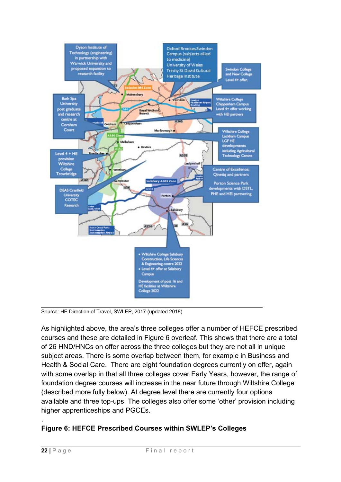

Source: HE Direction of Travel, SWLEP, 2017 (updated 2018)

As highlighted above, the area's three colleges offer a number of HEFCE prescribed courses and these are detailed in Figure 6 overleaf. This shows that there are a total of 26 HND/HNCs on offer across the three colleges but they are not all in unique subject areas. There is some overlap between them, for example in Business and Health & Social Care. There are eight foundation degrees currently on offer, again with some overlap in that all three colleges cover Early Years, however, the range of foundation degree courses will increase in the near future through Wiltshire College (described more fully below). At degree level there are currently four options available and three top-ups. The colleges also offer some 'other' provision including higher apprenticeships and PGCEs.

#### **Figure 6: HEFCE Prescribed Courses within SWLEP's Colleges**

.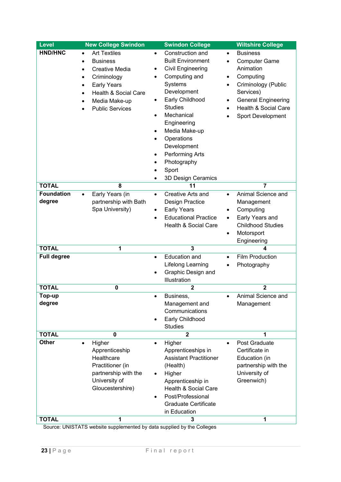| <b>Level</b>                | <b>New College Swindon</b>                                                                                                                                                                                                               | <b>Swindon College</b>                                                                                                                                                                                                                                                                                                                                 | <b>Wiltshire College</b>                                                                                                                                                                                                                          |
|-----------------------------|------------------------------------------------------------------------------------------------------------------------------------------------------------------------------------------------------------------------------------------|--------------------------------------------------------------------------------------------------------------------------------------------------------------------------------------------------------------------------------------------------------------------------------------------------------------------------------------------------------|---------------------------------------------------------------------------------------------------------------------------------------------------------------------------------------------------------------------------------------------------|
| <b>HND/HNC</b>              | <b>Art Textiles</b><br>$\bullet$<br><b>Business</b><br>$\bullet$<br><b>Creative Media</b><br>$\bullet$<br>Criminology<br>$\bullet$<br><b>Early Years</b><br>$\bullet$<br>Health & Social Care<br>Media Make-up<br><b>Public Services</b> | Construction and<br>$\bullet$<br><b>Built Environment</b><br>Civil Engineering<br>٠<br>Computing and<br>$\bullet$<br>Systems<br>Development<br>Early Childhood<br><b>Studies</b><br>Mechanical<br>Engineering<br>Media Make-up<br>$\bullet$<br>Operations<br>Development<br>Performing Arts<br>Photography<br>Sport<br>$\bullet$<br>3D Design Ceramics | <b>Business</b><br>$\bullet$<br><b>Computer Game</b><br>$\bullet$<br>Animation<br>Computing<br>$\bullet$<br>Criminology (Public<br>$\bullet$<br>Services)<br><b>General Engineering</b><br>$\bullet$<br>Health & Social Care<br>Sport Development |
| <b>TOTAL</b>                | 8                                                                                                                                                                                                                                        | 11                                                                                                                                                                                                                                                                                                                                                     | $\overline{7}$                                                                                                                                                                                                                                    |
| <b>Foundation</b><br>degree | Early Years (in<br>$\bullet$<br>partnership with Bath<br>Spa University)                                                                                                                                                                 | Creative Arts and<br>$\bullet$<br>Design Practice<br><b>Early Years</b><br>$\bullet$<br><b>Educational Practice</b><br>$\bullet$<br>Health & Social Care                                                                                                                                                                                               | Animal Science and<br>$\bullet$<br>Management<br>Computing<br>$\bullet$<br>Early Years and<br>$\bullet$<br><b>Childhood Studies</b><br>Motorsport<br>$\bullet$<br>Engineering                                                                     |
| <b>TOTAL</b>                | 1                                                                                                                                                                                                                                        | 3                                                                                                                                                                                                                                                                                                                                                      | 4                                                                                                                                                                                                                                                 |
| <b>Full degree</b>          |                                                                                                                                                                                                                                          | <b>Education and</b><br>$\bullet$<br>Lifelong Learning<br>Graphic Design and<br>Illustration                                                                                                                                                                                                                                                           | <b>Film Production</b><br>$\bullet$<br>Photography<br>$\bullet$                                                                                                                                                                                   |
| <b>TOTAL</b>                | $\mathbf 0$                                                                                                                                                                                                                              | $\overline{\mathbf{2}}$                                                                                                                                                                                                                                                                                                                                | $\overline{2}$                                                                                                                                                                                                                                    |
| Top-up<br>degree            |                                                                                                                                                                                                                                          | Business.<br>٠<br>Management and<br>Communications<br>Early Childhood<br><b>Studies</b>                                                                                                                                                                                                                                                                | Animal Science and<br>٠<br>Management                                                                                                                                                                                                             |
| <b>TOTAL</b>                | $\mathbf 0$                                                                                                                                                                                                                              | $\overline{2}$                                                                                                                                                                                                                                                                                                                                         | 1                                                                                                                                                                                                                                                 |
| <b>Other</b>                | Higher<br>$\bullet$<br>Apprenticeship<br>Healthcare<br>Practitioner (in<br>partnership with the<br>University of<br>Gloucestershire)                                                                                                     | Higher<br>Apprenticeships in<br><b>Assistant Practitioner</b><br>(Health)<br>Higher<br>Apprenticeship in<br><b>Health &amp; Social Care</b><br>Post/Professional<br><b>Graduate Certificate</b><br>in Education                                                                                                                                        | Post Graduate<br>Certificate in<br>Education (in<br>partnership with the<br>University of<br>Greenwich)                                                                                                                                           |
| <b>TOTAL</b>                | 1                                                                                                                                                                                                                                        | 3                                                                                                                                                                                                                                                                                                                                                      | 1                                                                                                                                                                                                                                                 |

Source: UNISTATS website supplemented by data supplied by the Colleges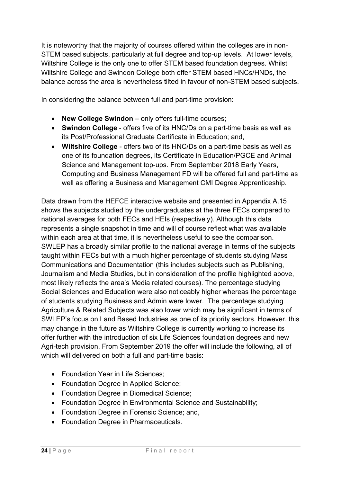It is noteworthy that the majority of courses offered within the colleges are in non-STEM based subjects, particularly at full degree and top-up levels. At lower levels, Wiltshire College is the only one to offer STEM based foundation degrees. Whilst Wiltshire College and Swindon College both offer STEM based HNCs/HNDs, the balance across the area is nevertheless tilted in favour of non-STEM based subjects.

In considering the balance between full and part-time provision:

- **New College Swindon** only offers full-time courses;
- **Swindon College** offers five of its HNC/Ds on a part-time basis as well as its Post/Professional Graduate Certificate in Education; and,
- **Wiltshire College** offers two of its HNC/Ds on a part-time basis as well as one of its foundation degrees, its Certificate in Education/PGCE and Animal Science and Management top-ups. From September 2018 Early Years, Computing and Business Management FD will be offered full and part-time as well as offering a Business and Management CMI Degree Apprenticeship.

Data drawn from the HEFCE interactive website and presented in Appendix A.15 shows the subjects studied by the undergraduates at the three FECs compared to national averages for both FECs and HEIs (respectively). Although this data represents a single snapshot in time and will of course reflect what was available within each area at that time, it is nevertheless useful to see the comparison. SWLEP has a broadly similar profile to the national average in terms of the subjects taught within FECs but with a much higher percentage of students studying Mass Communications and Documentation (this includes subjects such as Publishing, Journalism and Media Studies, but in consideration of the profile highlighted above, most likely reflects the area's Media related courses). The percentage studying Social Sciences and Education were also noticeably higher whereas the percentage of students studying Business and Admin were lower. The percentage studying Agriculture & Related Subjects was also lower which may be significant in terms of SWLEP's focus on Land Based Industries as one of its priority sectors. However, this may change in the future as Wiltshire College is currently working to increase its offer further with the introduction of six Life Sciences foundation degrees and new Agri-tech provision. From September 2019 the offer will include the following, all of which will delivered on both a full and part-time basis:

- Foundation Year in Life Sciences:
- Foundation Degree in Applied Science;
- Foundation Degree in Biomedical Science;
- Foundation Degree in Environmental Science and Sustainability;
- Foundation Degree in Forensic Science: and.
- Foundation Degree in Pharmaceuticals.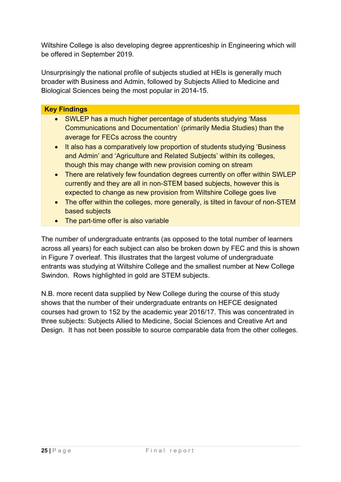Wiltshire College is also developing degree apprenticeship in Engineering which will be offered in September 2019.

Unsurprisingly the national profile of subjects studied at HEIs is generally much broader with Business and Admin, followed by Subjects Allied to Medicine and Biological Sciences being the most popular in 2014-15.

#### **Key Findings**

- SWLEP has a much higher percentage of students studying 'Mass' Communications and Documentation' (primarily Media Studies) than the average for FECs across the country
- It also has a comparatively low proportion of students studying 'Business' and Admin' and 'Agriculture and Related Subjects' within its colleges, though this may change with new provision coming on stream
- There are relatively few foundation degrees currently on offer within SWLEP currently and they are all in non-STEM based subjects, however this is expected to change as new provision from Wiltshire College goes live
- The offer within the colleges, more generally, is tilted in favour of non-STEM based subjects
- The part-time offer is also variable

The number of undergraduate entrants (as opposed to the total number of learners across all years) for each subject can also be broken down by FEC and this is shown in Figure 7 overleaf. This illustrates that the largest volume of undergraduate entrants was studying at Wiltshire College and the smallest number at New College Swindon. Rows highlighted in gold are STEM subjects.

N.B. more recent data supplied by New College during the course of this study shows that the number of their undergraduate entrants on HEFCE designated courses had grown to 152 by the academic year 2016/17. This was concentrated in three subjects: Subjects Allied to Medicine, Social Sciences and Creative Art and Design. It has not been possible to source comparable data from the other colleges.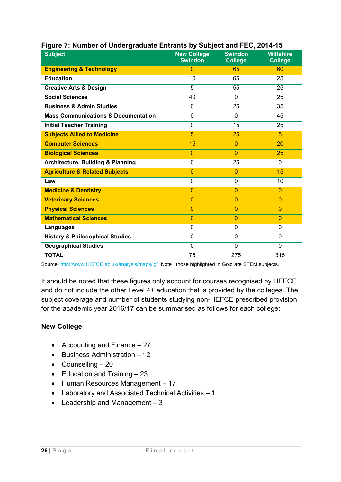| <b>Subject</b>                                 | <b>New College</b><br><b>Swindon</b> | <b>Swindon</b><br><b>College</b> | <b>Wiltshire</b><br><b>College</b> |
|------------------------------------------------|--------------------------------------|----------------------------------|------------------------------------|
| <b>Engineering &amp; Technology</b>            | $\Omega$                             | 65                               | 60                                 |
| <b>Education</b>                               | 10                                   | 65                               | 25                                 |
| <b>Creative Arts &amp; Design</b>              | 5                                    | 55                               | 25                                 |
| <b>Social Sciences</b>                         | 40                                   | $\Omega$                         | 25                                 |
| <b>Business &amp; Admin Studies</b>            | $\Omega$                             | 25                               | 35                                 |
| <b>Mass Communications &amp; Documentation</b> | 0                                    | $\mathbf{0}$                     | 45                                 |
| <b>Initial Teacher Training</b>                | 0                                    | 15                               | 25                                 |
| <b>Subjects Allied to Medicine</b>             | 5                                    | 25                               | 5                                  |
| <b>Computer Sciences</b>                       | 15                                   | $\Omega$                         | 20                                 |
| <b>Biological Sciences</b>                     | $\overline{0}$                       | $\mathbf{0}$                     | 25                                 |
| <b>Architecture, Building &amp; Planning</b>   | 0                                    | 25                               | $\mathbf{0}$                       |
| <b>Agriculture &amp; Related Subjects</b>      | $\Omega$                             | $\mathbf{0}$                     | 15                                 |
| Law                                            | 0                                    | $\mathbf 0$                      | 10                                 |
| <b>Medicine &amp; Dentistry</b>                | $\overline{0}$                       | $\overline{0}$                   | $\overline{0}$                     |
| <b>Veterinary Sciences</b>                     | $\overline{0}$                       | $\mathbf{0}$                     | $\overline{0}$                     |
| <b>Physical Sciences</b>                       | $\overline{0}$                       | $\overline{0}$                   | $\overline{0}$                     |
| <b>Mathematical Sciences</b>                   | $\overline{0}$                       | $\overline{0}$                   | $\mathbf{0}$                       |
| Languages                                      | 0                                    | 0                                | 0                                  |
| <b>History &amp; Philosophical Studies</b>     | $\overline{0}$                       | $\mathbf 0$                      | 0                                  |
| <b>Geographical Studies</b>                    | $\Omega$                             | $\Omega$                         | 0                                  |
| <b>TOTAL</b>                                   | 75                                   | 275                              | 315                                |

#### **Figure 7: Number of Undergraduate Entrants by Subject and FEC, 2014-15**

Source: http://www.HEFCE.ac.uk/analysis/maps/lg/ Note : those highlighted in Gold are STEM subjects.

It should be noted that these figures only account for courses recognised by HEFCE and do not include the other Level 4+ education that is provided by the colleges. The subject coverage and number of students studying non-HEFCE prescribed provision for the academic year 2016/17 can be summarised as follows for each college:

#### **New College**

- Accounting and Finance  $-27$
- $\bullet$  Business Administration 12
- $\bullet$  Counselling  $-20$
- $\bullet$  Education and Training  $-23$
- Human Resources Management 17
- Laboratory and Associated Technical Activities 1
- $\bullet$  Leadership and Management  $-3$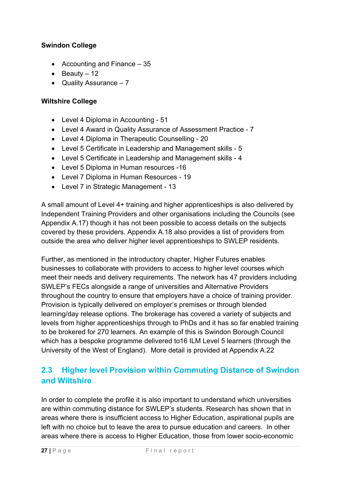#### **Swindon College**

- Accounting and Finance  $-35$
- $\bullet$  Beauty 12
- Quality Assurance  $-7$

#### **Wiltshire College**

- Level 4 Diploma in Accounting 51
- Level 4 Award in Quality Assurance of Assessment Practice 7
- Level 4 Diploma in Therapeutic Counselling 20
- Level 5 Certificate in Leadership and Management skills 5
- Level 5 Certificate in Leadership and Management skills 4
- Level 5 Diploma in Human resources -16
- Level 7 Diploma in Human Resources 19
- Level 7 in Strategic Management 13

A small amount of Level 4+ training and higher apprenticeships is also delivered by Independent Training Providers and other organisations including the Councils (see Appendix A.17) though it has not been possible to access details on the subjects covered by these providers. Appendix A.18 also provides a list of providers from outside the area who deliver higher level apprenticeships to SWLEP residents.

Further, as mentioned in the introductory chapter, Higher Futures enables businesses to collaborate with providers to access to higher level courses which meet their needs and delivery requirements. The network has 47 providers including SWLEP's FECs alongside a range of universities and Alternative Providers throughout the country to ensure that employers have a choice of training provider. Provision is typically delivered on employer's premises or through blended learning/day release options. The brokerage has covered a variety of subjects and levels from higher apprenticeships through to PhDs and it has so far enabled training to be brokered for 270 learners. An example of this is Swindon Borough Council which has a bespoke programme delivered to16 ILM Level 5 learners (through the University of the West of England). More detail is provided at Appendix A.22

## **2.3 Higher level Provision within Commuting Distance of Swindon and Wiltshire**

In order to complete the profile it is also important to understand which universities are within commuting distance for SWLEP's students. Research has shown that in areas where there is insufficient access to Higher Education, aspirational pupils are left with no choice but to leave the area to pursue education and careers. In other areas where there is access to Higher Education, those from lower socio-economic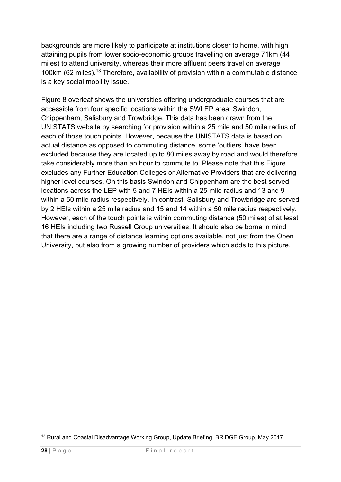backgrounds are more likely to participate at institutions closer to home, with high attaining pupils from lower socio-economic groups travelling on average 71km (44 miles) to attend university, whereas their more affluent peers travel on average 100km (62 miles).13 Therefore, availability of provision within a commutable distance is a key social mobility issue.

Figure 8 overleaf shows the universities offering undergraduate courses that are accessible from four specific locations within the SWLEP area: Swindon, Chippenham, Salisbury and Trowbridge. This data has been drawn from the UNISTATS website by searching for provision within a 25 mile and 50 mile radius of each of those touch points. However, because the UNISTATS data is based on actual distance as opposed to commuting distance, some 'outliers' have been excluded because they are located up to 80 miles away by road and would therefore take considerably more than an hour to commute to. Please note that this Figure excludes any Further Education Colleges or Alternative Providers that are delivering higher level courses. On this basis Swindon and Chippenham are the best served locations across the LEP with 5 and 7 HEIs within a 25 mile radius and 13 and 9 within a 50 mile radius respectively. In contrast, Salisbury and Trowbridge are served by 2 HEIs within a 25 mile radius and 15 and 14 within a 50 mile radius respectively. However, each of the touch points is within commuting distance (50 miles) of at least 16 HEIs including two Russell Group universities. It should also be borne in mind that there are a range of distance learning options available, not just from the Open University, but also from a growing number of providers which adds to this picture.

<sup>1</sup> <sup>13</sup> Rural and Coastal Disadvantage Working Group, Update Briefing, BRIDGE Group, May 2017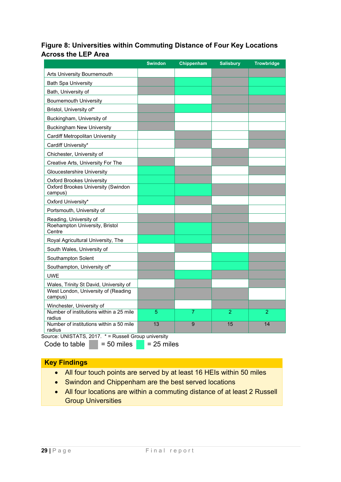#### **Figure 8: Universities within Commuting Distance of Four Key Locations Across the LEP Area**

|                                                      | <b>Swindon</b> | Chippenham     | <b>Salisbury</b> | <b>Trowbridge</b> |
|------------------------------------------------------|----------------|----------------|------------------|-------------------|
| Arts University Bournemouth                          |                |                |                  |                   |
| <b>Bath Spa University</b>                           |                |                |                  |                   |
| Bath, University of                                  |                |                |                  |                   |
| <b>Bournemouth University</b>                        |                |                |                  |                   |
| Bristol, University of*                              |                |                |                  |                   |
| Buckingham, University of                            |                |                |                  |                   |
| <b>Buckingham New University</b>                     |                |                |                  |                   |
| Cardiff Metropolitan University                      |                |                |                  |                   |
| Cardiff University*                                  |                |                |                  |                   |
| Chichester, University of                            |                |                |                  |                   |
| Creative Arts, University For The                    |                |                |                  |                   |
| <b>Gloucestershire University</b>                    |                |                |                  |                   |
| <b>Oxford Brookes University</b>                     |                |                |                  |                   |
| <b>Oxford Brookes University (Swindon</b><br>campus) |                |                |                  |                   |
| Oxford University*                                   |                |                |                  |                   |
| Portsmouth, University of                            |                |                |                  |                   |
| Reading, University of                               |                |                |                  |                   |
| Roehampton University, Bristol<br>Centre             |                |                |                  |                   |
| Royal Agricultural University, The                   |                |                |                  |                   |
| South Wales, University of                           |                |                |                  |                   |
| Southampton Solent                                   |                |                |                  |                   |
| Southampton, University of*                          |                |                |                  |                   |
| <b>UWE</b>                                           |                |                |                  |                   |
| Wales, Trinity St David, University of               |                |                |                  |                   |
| West London, University of (Reading<br>campus)       |                |                |                  |                   |
| Winchester, University of                            |                |                |                  |                   |
| Number of institutions within a 25 mile<br>radius    | 5              | $\overline{7}$ | $\overline{2}$   | $\overline{2}$    |
| Number of institutions within a 50 mile<br>radius    | 13             | 9              | 15               | 14                |

Source: UNISTATS, 2017. \* = Russell Group university

Code to table  $= 50$  miles  $= 25$  miles

#### **Key Findings**

- All four touch points are served by at least 16 HEIs within 50 miles
- Swindon and Chippenham are the best served locations
- All four locations are within a commuting distance of at least 2 Russell Group Universities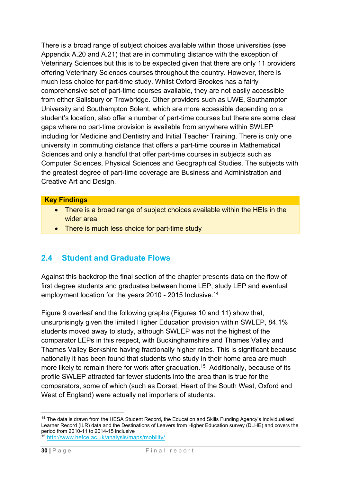There is a broad range of subject choices available within those universities (see Appendix A.20 and A.21) that are in commuting distance with the exception of Veterinary Sciences but this is to be expected given that there are only 11 providers offering Veterinary Sciences courses throughout the country. However, there is much less choice for part-time study. Whilst Oxford Brookes has a fairly comprehensive set of part-time courses available, they are not easily accessible from either Salisbury or Trowbridge. Other providers such as UWE, Southampton University and Southampton Solent, which are more accessible depending on a student's location, also offer a number of part-time courses but there are some clear gaps where no part-time provision is available from anywhere within SWLEP including for Medicine and Dentistry and Initial Teacher Training. There is only one university in commuting distance that offers a part-time course in Mathematical Sciences and only a handful that offer part-time courses in subjects such as Computer Sciences, Physical Sciences and Geographical Studies. The subjects with the greatest degree of part-time coverage are Business and Administration and Creative Art and Design.

#### **Key Findings**

- There is a broad range of subject choices available within the HEIs in the wider area
- There is much less choice for part-time study

### **2.4 Student and Graduate Flows**

Against this backdrop the final section of the chapter presents data on the flow of first degree students and graduates between home LEP, study LEP and eventual employment location for the years 2010 - 2015 Inclusive.14

Figure 9 overleaf and the following graphs (Figures 10 and 11) show that, unsurprisingly given the limited Higher Education provision within SWLEP, 84.1% students moved away to study, although SWLEP was not the highest of the comparator LEPs in this respect, with Buckinghamshire and Thames Valley and Thames Valley Berkshire having fractionally higher rates. This is significant because nationally it has been found that students who study in their home area are much more likely to remain there for work after graduation.<sup>15</sup> Additionally, because of its profile SWLEP attracted far fewer students into the area than is true for the comparators, some of which (such as Dorset, Heart of the South West, Oxford and West of England) were actually net importers of students.

1

<sup>&</sup>lt;sup>14</sup> The data is drawn from the HESA Student Record, the Education and Skills Funding Agency's Individualised Learner Record (ILR) data and the Destinations of Leavers from Higher Education survey (DLHE) and covers the period from 2010-11 to 2014-15 inclusive

<sup>15</sup> http://www.hefce.ac.uk/analysis/maps/mobility/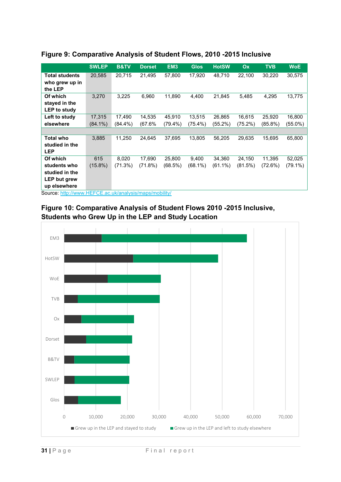|                       | <b>SWLEP</b> | <b>B&amp;TV</b> | <b>Dorset</b> | EM <sub>3</sub> | <b>Glos</b> | <b>HotSW</b> | Ox      | <b>TVB</b> | <b>WoE</b> |
|-----------------------|--------------|-----------------|---------------|-----------------|-------------|--------------|---------|------------|------------|
| <b>Total students</b> | 20,585       | 20,715          | 21,495        | 57,800          | 17,920      | 48,710       | 22,100  | 30,220     | 30,575     |
| who grew up in        |              |                 |               |                 |             |              |         |            |            |
| the LEP               |              |                 |               |                 |             |              |         |            |            |
| Of which              | 3,270        | 3,225           | 6,960         | 11,890          | 4,400       | 21,845       | 5,485   | 4,295      | 13,775     |
| stayed in the         |              |                 |               |                 |             |              |         |            |            |
| LEP to study          |              |                 |               |                 |             |              |         |            |            |
| Left to study         | 17,315       | 17,490          | 14,535        | 45,910          | 13,515      | 26,865       | 16,615  | 25,920     | 16,800     |
| elsewhere             | $(84.1\%)$   | $(84.4\%)$      | (67.6%        | $(79.4\%)$      | $(75.4\%)$  | (55.2%)      | (75.2%) | $(85.8\%)$ | $(55.0\%)$ |
|                       |              |                 |               |                 |             |              |         |            |            |
| <b>Total who</b>      | 3,885        | 11,250          | 24,645        | 37,695          | 13,805      | 56,205       | 29,635  | 15,695     | 65,800     |
| studied in the        |              |                 |               |                 |             |              |         |            |            |
| <b>LEP</b>            |              |                 |               |                 |             |              |         |            |            |
| Of which              | 615          | 8,020           | 17.690        | 25,800          | 9,400       | 34,360       | 24,150  | 11,395     | 52,025     |
| students who          | $(15.8\%)$   | (71.3%)         | (71.8%)       | (68.5%)         | $(68.1\%)$  | $(61.1\%)$   | (81.5%) | (72.6%)    | $(79.1\%)$ |
| studied in the        |              |                 |               |                 |             |              |         |            |            |
| <b>LEP but grew</b>   |              |                 |               |                 |             |              |         |            |            |
| up elsewhere          |              |                 |               |                 |             |              |         |            |            |

#### **Figure 9: Comparative Analysis of Student Flows, 2010 -2015 Inclusive**

Source: http://www.HEFCE.ac.uk/analysis/maps/mobility/



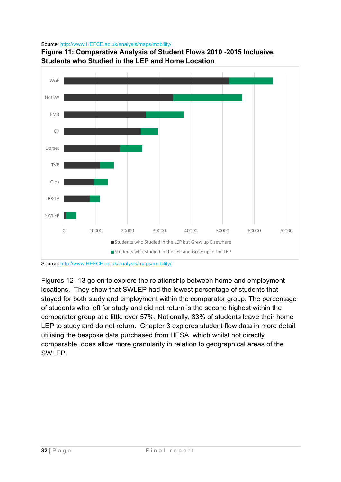Source: http://www.HEFCE.ac.uk/analysis/maps/mobility/



**Students who Studied in the LEP and Home Location**

**Figure 11: Comparative Analysis of Student Flows 2010 -2015 Inclusive,** 

Figures 12 -13 go on to explore the relationship between home and employment locations. They show that SWLEP had the lowest percentage of students that stayed for both study and employment within the comparator group. The percentage of students who left for study and did not return is the second highest within the comparator group at a little over 57%. Nationally, 33% of students leave their home LEP to study and do not return. Chapter 3 explores student flow data in more detail utilising the bespoke data purchased from HESA, which whilst not directly comparable, does allow more granularity in relation to geographical areas of the SWLEP.

Source: http://www.HEFCE.ac.uk/analysis/maps/mobility/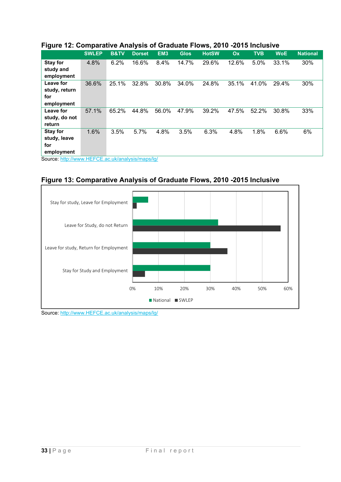| ັ                                                |              |                 |               |                 |             |              |       |            |            |                 |
|--------------------------------------------------|--------------|-----------------|---------------|-----------------|-------------|--------------|-------|------------|------------|-----------------|
|                                                  | <b>SWLEP</b> | <b>B&amp;TV</b> | <b>Dorset</b> | EM <sub>3</sub> | <b>Glos</b> | <b>HotSW</b> | Ox    | <b>TVB</b> | <b>WoE</b> | <b>National</b> |
| <b>Stay for</b>                                  | 4.8%         | 6.2%            | 16.6%         | 8.4%            | 14.7%       | 29.6%        | 12.6% | 5.0%       | 33.1%      | 30%             |
| study and                                        |              |                 |               |                 |             |              |       |            |            |                 |
| employment                                       |              |                 |               |                 |             |              |       |            |            |                 |
| Leave for                                        | 36.6%        | 25.1%           | 32.8%         | 30.8%           | 34.0%       | 24.8%        | 35.1% | 41.0%      | 29.4%      | 30%             |
| study, return                                    |              |                 |               |                 |             |              |       |            |            |                 |
| for                                              |              |                 |               |                 |             |              |       |            |            |                 |
| employment                                       |              |                 |               |                 |             |              |       |            |            |                 |
| Leave for                                        | 57.1%        | 65.2%           | 44.8%         | 56.0%           | 47.9%       | 39.2%        | 47.5% | 52.2%      | 30.8%      | 33%             |
| study, do not                                    |              |                 |               |                 |             |              |       |            |            |                 |
| return                                           |              |                 |               |                 |             |              |       |            |            |                 |
| <b>Stay for</b>                                  | 1.6%         | 3.5%            | 5.7%          | 4.8%            | 3.5%        | 6.3%         | 4.8%  | 1.8%       | 6.6%       | 6%              |
| study, leave                                     |              |                 |               |                 |             |              |       |            |            |                 |
| for                                              |              |                 |               |                 |             |              |       |            |            |                 |
| employment                                       |              |                 |               |                 |             |              |       |            |            |                 |
| Source: http://www.HEFCE.ac.uk/analysis/maps/lg/ |              |                 |               |                 |             |              |       |            |            |                 |

#### **Figure 12: Comparative Analysis of Graduate Flows, 2010 -2015 Inclusive**

**Figure 13: Comparative Analysis of Graduate Flows, 2010 -2015 Inclusive** 



Source: http://www.HEFCE.ac.uk/analysis/maps/lg/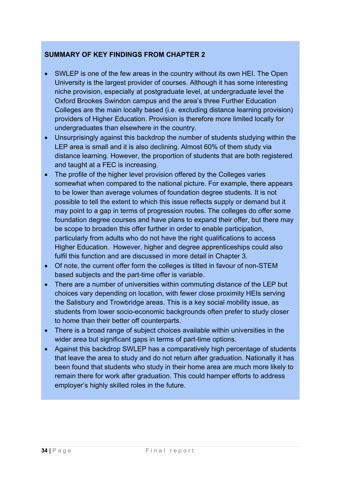#### **SUMMARY OF KEY FINDINGS FROM CHAPTER 2**

- SWLEP is one of the few areas in the country without its own HEI. The Open University is the largest provider of courses. Although it has some interesting niche provision, especially at postgraduate level, at undergraduate level the Oxford Brookes Swindon campus and the area's three Further Education Colleges are the main locally based (i.e. excluding distance learning provision) providers of Higher Education. Provision is therefore more limited locally for undergraduates than elsewhere in the country.
- Unsurprisingly against this backdrop the number of students studying within the LEP area is small and it is also declining. Almost 60% of them study via distance learning. However, the proportion of students that are both registered and taught at a FEC is increasing.
- The profile of the higher level provision offered by the Colleges varies somewhat when compared to the national picture. For example, there appears to be lower than average volumes of foundation degree students. It is not possible to tell the extent to which this issue reflects supply or demand but it may point to a gap in terms of progression routes. The colleges do offer some foundation degree courses and have plans to expand their offer, but there may be scope to broaden this offer further in order to enable participation, particularly from adults who do not have the right qualifications to access Higher Education. However, higher and degree apprenticeships could also fulfil this function and are discussed in more detail in Chapter 3.
- Of note, the current offer form the colleges is tilted in favour of non-STEM based subjects and the part-time offer is variable.
- There are a number of universities within commuting distance of the LEP but choices vary depending on location, with fewer close proximity HEIs serving the Salisbury and Trowbridge areas. This is a key social mobility issue, as students from lower socio-economic backgrounds often prefer to study closer to home than their better off counterparts.
- There is a broad range of subject choices available within universities in the wider area but significant gaps in terms of part-time options.
- Against this backdrop SWLEP has a comparatively high percentage of students that leave the area to study and do not return after graduation. Nationally it has been found that students who study in their home area are much more likely to remain there for work after graduation. This could hamper efforts to address employer's highly skilled roles in the future.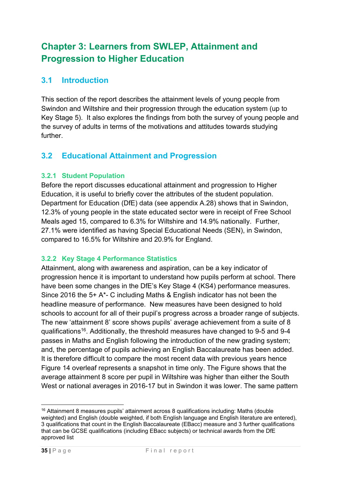# **Chapter 3: Learners from SWLEP, Attainment and Progression to Higher Education**

### **3.1 Introduction**

This section of the report describes the attainment levels of young people from Swindon and Wiltshire and their progression through the education system (up to Key Stage 5). It also explores the findings from both the survey of young people and the survey of adults in terms of the motivations and attitudes towards studying further.

### **3.2 Educational Attainment and Progression**

#### **3.2.1 Student Population**

Before the report discusses educational attainment and progression to Higher Education, it is useful to briefly cover the attributes of the student population. Department for Education (DfE) data (see appendix A.28) shows that in Swindon, 12.3% of young people in the state educated sector were in receipt of Free School Meals aged 15, compared to 6.3% for Wiltshire and 14.9% nationally. Further, 27.1% were identified as having Special Educational Needs (SEN), in Swindon, compared to 16.5% for Wiltshire and 20.9% for England.

#### **3.2.2 Key Stage 4 Performance Statistics**

Attainment, along with awareness and aspiration, can be a key indicator of progression hence it is important to understand how pupils perform at school. There have been some changes in the DfE's Key Stage 4 (KS4) performance measures. Since 2016 the 5+ A\*- C including Maths & English indicator has not been the headline measure of performance. New measures have been designed to hold schools to account for all of their pupil's progress across a broader range of subjects. The new 'attainment 8' score shows pupils' average achievement from a suite of 8 qualifications16. Additionally, the threshold measures have changed to 9-5 and 9-4 passes in Maths and English following the introduction of the new grading system; and, the percentage of pupils achieving an English Baccalaureate has been added. It is therefore difficult to compare the most recent data with previous years hence Figure 14 overleaf represents a snapshot in time only. The Figure shows that the average attainment 8 score per pupil in Wiltshire was higher than either the South West or national averages in 2016-17 but in Swindon it was lower. The same pattern

<sup>1</sup> 16 Attainment 8 measures pupils' attainment across 8 qualifications including: Maths (double weighted) and English (double weighted, if both English language and English literature are entered), 3 qualifications that count in the English Baccalaureate (EBacc) measure and 3 further qualifications that can be GCSE qualifications (including EBacc subjects) or technical awards from the DfE approved list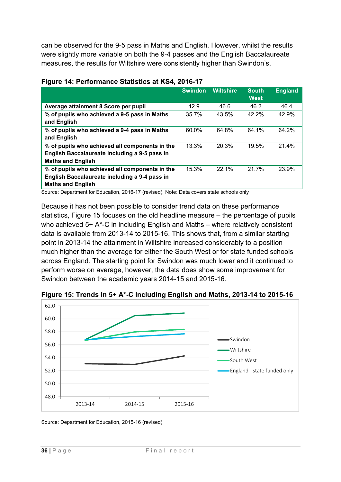can be observed for the 9-5 pass in Maths and English. However, whilst the results were slightly more variable on both the 9-4 passes and the English Baccalaureate measures, the results for Wiltshire were consistently higher than Swindon's.

|                                                                                                                             | <b>Swindon</b> | <b>Wiltshire</b> | <b>South</b><br><b>West</b> | <b>England</b> |
|-----------------------------------------------------------------------------------------------------------------------------|----------------|------------------|-----------------------------|----------------|
| Average attainment 8 Score per pupil                                                                                        | 42.9           | 46.6             | 46.2                        | 46.4           |
| % of pupils who achieved a 9-5 pass in Maths<br>and English                                                                 | 35.7%          | 43.5%            | 42.2%                       | 42.9%          |
| % of pupils who achieved a 9-4 pass in Maths<br>and English                                                                 | 60.0%          | 64.8%            | 64.1%                       | 64.2%          |
| % of pupils who achieved all components in the<br>English Baccalaureate including a 9-5 pass in<br><b>Maths and English</b> | 13.3%          | 20.3%            | 19.5%                       | 21.4%          |
| % of pupils who achieved all components in the<br>English Baccalaureate including a 9-4 pass in<br><b>Maths and English</b> | 15.3%          | 22.1%            | 21.7%                       | 23.9%          |

# **Figure 14: Performance Statistics at KS4, 2016-17**

Source: Department for Education, 2016-17 (revised). Note: Data covers state schools only

Because it has not been possible to consider trend data on these performance statistics, Figure 15 focuses on the old headline measure – the percentage of pupils who achieved 5+ A\*-C in including English and Maths – where relatively consistent data is available from 2013-14 to 2015-16. This shows that, from a similar starting point in 2013-14 the attainment in Wiltshire increased considerably to a position much higher than the average for either the South West or for state funded schools across England. The starting point for Swindon was much lower and it continued to perform worse on average, however, the data does show some improvement for Swindon between the academic years 2014-15 and 2015-16.



**Figure 15: Trends in 5+ A\*-C Including English and Maths, 2013-14 to 2015-16** 

Source: Department for Education, 2015-16 (revised)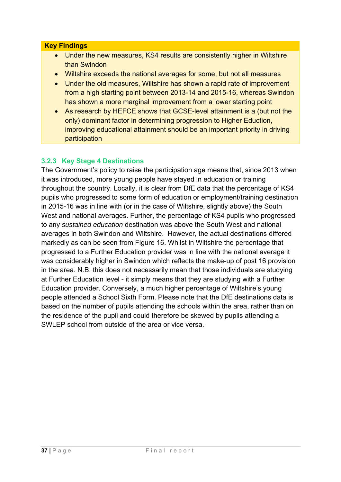#### **Key Findings**

- Under the new measures, KS4 results are consistently higher in Wiltshire than Swindon
- Wiltshire exceeds the national averages for some, but not all measures
- Under the old measures, Wiltshire has shown a rapid rate of improvement from a high starting point between 2013-14 and 2015-16, whereas Swindon has shown a more marginal improvement from a lower starting point
- As research by HEFCE shows that GCSE-level attainment is a (but not the only) dominant factor in determining progression to Higher Eduction, improving educational attainment should be an important priority in driving participation

# **3.2.3 Key Stage 4 Destinations**

The Government's policy to raise the participation age means that, since 2013 when it was introduced, more young people have stayed in education or training throughout the country. Locally, it is clear from DfE data that the percentage of KS4 pupils who progressed to some form of education or employment/training destination in 2015-16 was in line with (or in the case of Wiltshire, slightly above) the South West and national averages. Further, the percentage of KS4 pupils who progressed to any *sustained education* destination was above the South West and national averages in both Swindon and Wiltshire. However, the actual destinations differed markedly as can be seen from Figure 16. Whilst in Wiltshire the percentage that progressed to a Further Education provider was in line with the national average it was considerably higher in Swindon which reflects the make-up of post 16 provision in the area. N.B. this does not necessarily mean that those individuals are studying at Further Education level - it simply means that they are studying with a Further Education provider. Conversely, a much higher percentage of Wiltshire's young people attended a School Sixth Form. Please note that the DfE destinations data is based on the number of pupils attending the schools within the area, rather than on the residence of the pupil and could therefore be skewed by pupils attending a SWLEP school from outside of the area or vice versa.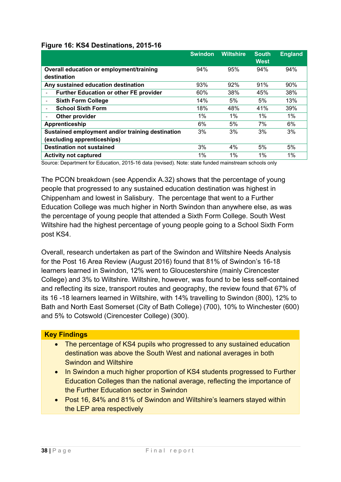#### **Figure 16: KS4 Destinations, 2015-16**

|                                                           | <b>Swindon</b> | <b>Wiltshire</b> | <b>South</b><br><b>West</b> | <b>England</b> |
|-----------------------------------------------------------|----------------|------------------|-----------------------------|----------------|
| Overall education or employment/training<br>destination   | 94%            | 95%              | 94%                         | 94%            |
| Any sustained education destination                       | 93%            | 92%              | 91%                         | 90%            |
| <b>Further Education or other FE provider</b>             | 60%            | 38%              | 45%                         | 38%            |
| <b>Sixth Form College</b><br>$\qquad \qquad \blacksquare$ | 14%            | 5%               | 5%                          | 13%            |
| <b>School Sixth Form</b>                                  | 18%            | 48%              | 41%                         | 39%            |
| Other provider                                            | $1\%$          | $1\%$            | $1\%$                       | $1\%$          |
| Apprenticeship                                            | 6%             | 5%               | 7%                          | 6%             |
| Sustained employment and/or training destination          | 3%             | 3%               | 3%                          | 3%             |
| (excluding apprenticeships)                               |                |                  |                             |                |
| <b>Destination not sustained</b>                          | 3%             | 4%               | 5%                          | 5%             |
| <b>Activity not captured</b>                              | $1\%$          | 1%               | 1%                          | 1%             |

Source: Department for Education, 2015-16 data (revised). Note: state funded mainstream schools only

The PCON breakdown (see Appendix A.32) shows that the percentage of young people that progressed to any sustained education destination was highest in Chippenham and lowest in Salisbury. The percentage that went to a Further Education College was much higher in North Swindon than anywhere else, as was the percentage of young people that attended a Sixth Form College. South West Wiltshire had the highest percentage of young people going to a School Sixth Form post KS4.

Overall, research undertaken as part of the Swindon and Wiltshire Needs Analysis for the Post 16 Area Review (August 2016) found that 81% of Swindon's 16-18 learners learned in Swindon, 12% went to Gloucestershire (mainly Cirencester College) and 3% to Wiltshire. Wiltshire, however, was found to be less self-contained and reflecting its size, transport routes and geography, the review found that 67% of its 16 -18 learners learned in Wiltshire, with 14% travelling to Swindon (800), 12% to Bath and North East Somerset (City of Bath College) (700), 10% to Winchester (600) and 5% to Cotswold (Cirencester College) (300).

#### **Key Findings**

- The percentage of KS4 pupils who progressed to any sustained education destination was above the South West and national averages in both Swindon and Wiltshire
- In Swindon a much higher proportion of KS4 students progressed to Further Education Colleges than the national average, reflecting the importance of the Further Education sector in Swindon
- Post 16, 84% and 81% of Swindon and Wiltshire's learners stayed within the LEP area respectively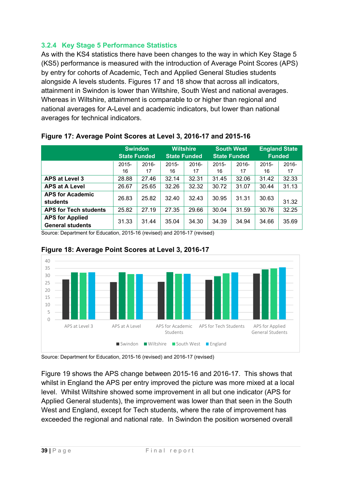# **3.2.4 Key Stage 5 Performance Statistics**

As with the KS4 statistics there have been changes to the way in which Key Stage 5 (KS5) performance is measured with the introduction of Average Point Scores (APS) by entry for cohorts of Academic, Tech and Applied General Studies students alongside A levels students. Figures 17 and 18 show that across all indicators, attainment in Swindon is lower than Wiltshire, South West and national averages. Whereas in Wiltshire, attainment is comparable to or higher than regional and national averages for A-Level and academic indicators, but lower than national averages for technical indicators.

|                                                   | <b>Swindon</b><br><b>State Funded</b> |             | <b>Wiltshire</b><br><b>State Funded</b> |                | <b>South West</b><br><b>State Funded</b> |             | <b>England State</b><br><b>Funded</b> |             |
|---------------------------------------------------|---------------------------------------|-------------|-----------------------------------------|----------------|------------------------------------------|-------------|---------------------------------------|-------------|
|                                                   | $2015 -$<br>16                        | 2016-<br>17 | $2015 -$<br>16                          | $2016 -$<br>17 | $2015 -$<br>16                           | 2016-<br>17 | $2015 -$<br>16                        | 2016-<br>17 |
| <b>APS at Level 3</b>                             | 28.88                                 | 27.46       | 32.14                                   | 32.31          | 31.45                                    | 32.06       | 31.42                                 | 32.33       |
| <b>APS at A Level</b>                             | 26.67                                 | 25.65       | 32.26                                   | 32.32          | 30.72                                    | 31.07       | 30.44                                 | 31.13       |
| <b>APS for Academic</b><br>students               | 26.83                                 | 25.82       | 32.40                                   | 32.43          | 30.95                                    | 31.31       | 30.63                                 | 31.32       |
| <b>APS for Tech students</b>                      | 25.82                                 | 27.19       | 27.35                                   | 29.66          | 30.04                                    | 31.59       | 30.76                                 | 32.25       |
| <b>APS for Applied</b><br><b>General students</b> | 31.33                                 | 31.44       | 35.04                                   | 34.30          | 34.39                                    | 34.94       | 34.66                                 | 35.69       |

# **Figure 17: Average Point Scores at Level 3, 2016-17 and 2015-16**

Source: Department for Education, 2015-16 (revised) and 2016-17 (revised)



# **Figure 18: Average Point Scores at Level 3, 2016-17**

Source: Department for Education, 2015-16 (revised) and 2016-17 (revised)

Figure 19 shows the APS change between 2015-16 and 2016-17. This shows that whilst in England the APS per entry improved the picture was more mixed at a local level. Whilst Wiltshire showed some improvement in all but one indicator (APS for Applied General students), the improvement was lower than that seen in the South West and England, except for Tech students, where the rate of improvement has exceeded the regional and national rate. In Swindon the position worsened overall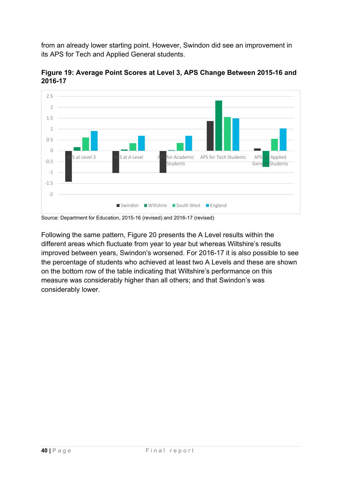from an already lower starting point. However, Swindon did see an improvement in its APS for Tech and Applied General students.



**Figure 19: Average Point Scores at Level 3, APS Change Between 2015-16 and 2016-17** 

Source: Department for Education, 2015-16 (revised) and 2016-17 (revised)

Following the same pattern, Figure 20 presents the A Level results within the different areas which fluctuate from year to year but whereas Wiltshire's results improved between years, Swindon's worsened. For 2016-17 it is also possible to see the percentage of students who achieved at least two A Levels and these are shown on the bottom row of the table indicating that Wiltshire's performance on this measure was considerably higher than all others; and that Swindon's was considerably lower.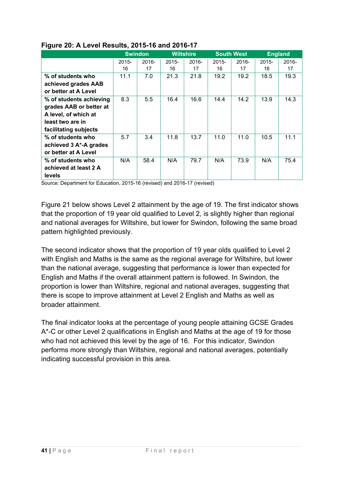|                         | <b>Swindon</b> |       |                  |       | <b>South West</b> |       |                |       |
|-------------------------|----------------|-------|------------------|-------|-------------------|-------|----------------|-------|
|                         |                |       | <b>Wiltshire</b> |       |                   |       | <b>England</b> |       |
|                         | $2015 -$       | 2016- | $2015 -$         | 2016- | $2015 -$          | 2016- | $2015 -$       | 2016- |
|                         | 16             | 17    | 16               | 17    | 16                | 17    | 16             | 17    |
| % of students who       | 11.1           | 7.0   | 21.3             | 21.8  | 19.2              | 19.2  | 18.5           | 19.3  |
| achieved grades AAB     |                |       |                  |       |                   |       |                |       |
| or better at A Level    |                |       |                  |       |                   |       |                |       |
| % of students achieving | 8.3            | 5.5   | 16.4             | 16.6  | 14.4              | 14.2  | 13.9           | 14.3  |
| grades AAB or better at |                |       |                  |       |                   |       |                |       |
| A level, of which at    |                |       |                  |       |                   |       |                |       |
| least two are in        |                |       |                  |       |                   |       |                |       |
| facilitating subjects   |                |       |                  |       |                   |       |                |       |
| % of students who       | 5.7            | 3.4   | 11.8             | 13.7  | 11.0              | 11.0  | 10.5           | 11.1  |
| achieved 3 A*-A grades  |                |       |                  |       |                   |       |                |       |
| or better at A Level    |                |       |                  |       |                   |       |                |       |
| % of students who       | N/A            | 58.4  | N/A              | 79.7  | N/A               | 73.9  | N/A            | 75.4  |
| achieved at least 2 A   |                |       |                  |       |                   |       |                |       |
| levels                  |                |       |                  |       |                   |       |                |       |

# **Figure 20: A Level Results, 2015-16 and 2016-17**

Source: Department for Education, 2015-16 (revised) and 2016-17 (revised)

Figure 21 below shows Level 2 attainment by the age of 19. The first indicator shows that the proportion of 19 year old qualified to Level 2, is slightly higher than regional and national averages for Wiltshire, but lower for Swindon, following the same broad pattern highlighted previously.

The second indicator shows that the proportion of 19 year olds qualified to Level 2 with English and Maths is the same as the regional average for Wiltshire, but lower than the national average, suggesting that performance is lower than expected for English and Maths if the overall attainment pattern is followed. In Swindon, the proportion is lower than Wiltshire, regional and national averages, suggesting that there is scope to improve attainment at Level 2 English and Maths as well as broader attainment.

The final indicator looks at the percentage of young people attaining GCSE Grades A\*-C or other Level 2 qualifications in English and Maths at the age of 19 for those who had not achieved this level by the age of 16. For this indicator, Swindon performs more strongly than Wiltshire, regional and national averages, potentially indicating successful provision in this area.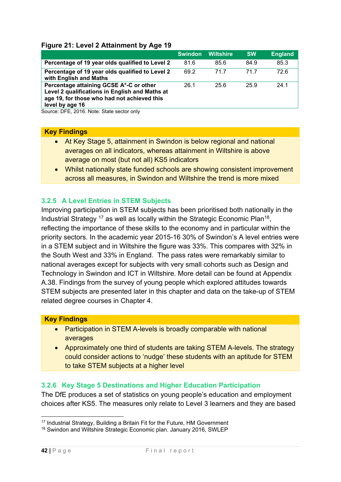# **Figure 21: Level 2 Attainment by Age 19**

|                                                                                                                                                                                                                                             | <b>Swindon</b> | <b>Wiltshire</b> | <b>SW</b> | <b>England</b> |
|---------------------------------------------------------------------------------------------------------------------------------------------------------------------------------------------------------------------------------------------|----------------|------------------|-----------|----------------|
| Percentage of 19 year olds qualified to Level 2                                                                                                                                                                                             | 81.6           | 85.6             | 84.9      | 85.3           |
| Percentage of 19 year olds qualified to Level 2<br>with English and Maths                                                                                                                                                                   | 69.2           | 71.7             | 717       | 72.6           |
| Percentage attaining GCSE A*-C or other<br>Level 2 qualifications in English and Maths at<br>age 19, for those who had not achieved this<br>level by age 16<br>$\Omega$ DEE $\Omega$ 0040 Million $\Omega$ lilion is also is substituted by | 26.1           | 25.6             | 25.9      | 24.1           |

Source: DFE, 2016. Note: State sector only

#### **Key Findings**

- At Key Stage 5, attainment in Swindon is below regional and national averages on all indicators, whereas attainment in Wiltshire is above average on most (but not all) KS5 indicators
- Whilst nationally state funded schools are showing consistent improvement across all measures, in Swindon and Wiltshire the trend is more mixed

# **3.2.5 A Level Entries in STEM Subjects**

Improving participation in STEM subjects has been prioritised both nationally in the Industrial Strategy  $17$  as well as locally within the Strategic Economic Plan<sup>18</sup>, reflecting the importance of these skills to the economy and in particular within the priority sectors. In the academic year 2015-16 30% of Swindon's A level entries were in a STEM subject and in Wiltshire the figure was 33%. This compares with 32% in the South West and 33% in England. The pass rates were remarkably similar to national averages except for subjects with very small cohorts such as Design and Technology in Swindon and ICT in Wiltshire. More detail can be found at Appendix A.38. Findings from the survey of young people which explored attitudes towards STEM subjects are presented later in this chapter and data on the take-up of STEM related degree courses in Chapter 4.

#### **Key Findings**

- Participation in STEM A-levels is broadly comparable with national averages
- Approximately one third of students are taking STEM A-levels. The strategy could consider actions to 'nudge' these students with an aptitude for STEM to take STEM subjects at a higher level

# **3.2.6 Key Stage 5 Destinations and Higher Education Participation**

The DfE produces a set of statistics on young people's education and employment choices after KS5. The measures only relate to Level 3 learners and they are based

<sup>1</sup> <sup>17</sup> Industrial Strategy, Building a Britain Fit for the Future, HM Government

<sup>&</sup>lt;sup>18</sup> Swindon and Wiltshire Strategic Economic plan. January 2016, SWLEP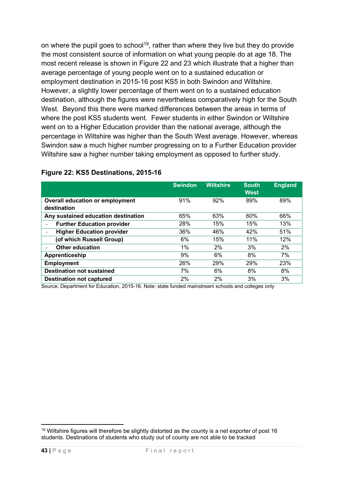on where the pupil goes to school<sup>19</sup>, rather than where they live but they do provide the most consistent source of information on what young people do at age 18. The most recent release is shown in Figure 22 and 23 which illustrate that a higher than average percentage of young people went on to a sustained education or employment destination in 2015-16 post KS5 in both Swindon and Wiltshire. However, a slightly lower percentage of them went on to a sustained education destination, although the figures were nevertheless comparatively high for the South West. Beyond this there were marked differences between the areas in terms of where the post KS5 students went. Fewer students in either Swindon or Wiltshire went on to a Higher Education provider than the national average, although the percentage in Wiltshire was higher than the South West average. However, whereas Swindon saw a much higher number progressing on to a Further Education provider Wiltshire saw a higher number taking employment as opposed to further study.

|                                        | <b>Swindon</b> | <b>Wiltshire</b> | <b>South</b><br><b>West</b> | <b>England</b> |
|----------------------------------------|----------------|------------------|-----------------------------|----------------|
| <b>Overall education or employment</b> | 91%            | 92%              | 89%                         | 89%            |
| destination                            |                |                  |                             |                |
| Any sustained education destination    | 65%            | 63%              | 60%                         | 66%            |
| <b>Further Education provider</b><br>٠ | 28%            | 15%              | 15%                         | 13%            |
| <b>Higher Education provider</b>       | 36%            | 46%              | 42%                         | 51%            |
| (of which Russell Group)               | 6%             | 15%              | 11%                         | 12%            |
| <b>Other education</b>                 | $1\%$          | 2%               | 3%                          | 2%             |
| Apprenticeship                         | 9%             | 6%               | 8%                          | 7%             |
| <b>Employment</b>                      | 26%            | 29%              | 29%                         | 23%            |
| <b>Destination not sustained</b>       | 7%             | 6%               | 8%                          | 8%             |
| <b>Destination not captured</b>        | 2%             | 2%               | 3%                          | 3%             |

#### **Figure 22: KS5 Destinations, 2015-16**

Source: Department for Education, 2015-16. Note: state funded mainstream schools and colleges only

<sup>1</sup> <sup>19</sup> Wiltshire figures will therefore be slightly distorted as the county is a net exporter of post 16 students. Destinations of students who study out of county are not able to be tracked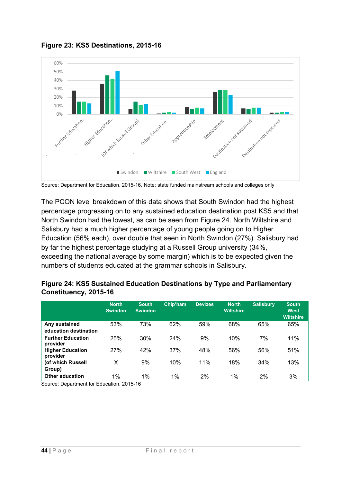

**Figure 23: KS5 Destinations, 2015-16** 

The PCON level breakdown of this data shows that South Swindon had the highest percentage progressing on to any sustained education destination post KS5 and that North Swindon had the lowest, as can be seen from Figure 24. North Wiltshire and Salisbury had a much higher percentage of young people going on to Higher Education (56% each), over double that seen in North Swindon (27%). Salisbury had by far the highest percentage studying at a Russell Group university (34%, exceeding the national average by some margin) which is to be expected given the numbers of students educated at the grammar schools in Salisbury.

|                                        | <b>North</b><br><b>Swindon</b> | <b>South</b><br><b>Swindon</b> | Chip'ham | <b>Devizes</b> | <b>North</b><br><b>Wiltshire</b> | <b>Salisbury</b> | <b>South</b><br>West<br><b>Wiltshire</b> |
|----------------------------------------|--------------------------------|--------------------------------|----------|----------------|----------------------------------|------------------|------------------------------------------|
| Any sustained<br>education destination | 53%                            | 73%                            | 62%      | 59%            | 68%                              | 65%              | 65%                                      |
| <b>Further Education</b><br>provider   | 25%                            | 30%                            | 24%      | 9%             | 10%                              | 7%               | 11%                                      |
| <b>Higher Education</b><br>provider    | 27%                            | 42%                            | 37%      | 48%            | 56%                              | 56%              | 51%                                      |
| (of which Russell<br>Group)            | x                              | 9%                             | 10%      | 11%            | 18%                              | 34%              | 13%                                      |
| Other education                        | 1%                             | $1\%$                          | 1%       | 2%             | 1%                               | 2%               | 3%                                       |

#### **Figure 24: KS5 Sustained Education Destinations by Type and Parliamentary Constituency, 2015-16**

Source: Department for Education, 2015-16

Source: Department for Education, 2015-16. Note: state funded mainstream schools and colleges only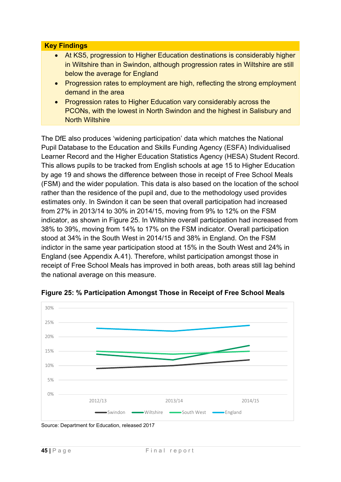#### **Key Findings**

- At KS5, progression to Higher Education destinations is considerably higher in Wiltshire than in Swindon, although progression rates in Wiltshire are still below the average for England
- Progression rates to employment are high, reflecting the strong employment demand in the area
- Progression rates to Higher Education vary considerably across the PCONs, with the lowest in North Swindon and the highest in Salisbury and North Wiltshire

The DfE also produces 'widening participation' data which matches the National Pupil Database to the Education and Skills Funding Agency (ESFA) Individualised Learner Record and the Higher Education Statistics Agency (HESA) Student Record. This allows pupils to be tracked from English schools at age 15 to Higher Education by age 19 and shows the difference between those in receipt of Free School Meals (FSM) and the wider population. This data is also based on the location of the school rather than the residence of the pupil and, due to the methodology used provides estimates only. In Swindon it can be seen that overall participation had increased from 27% in 2013/14 to 30% in 2014/15, moving from 9% to 12% on the FSM indicator, as shown in Figure 25. In Wiltshire overall participation had increased from 38% to 39%, moving from 14% to 17% on the FSM indicator. Overall participation stood at 34% in the South West in 2014/15 and 38% in England. On the FSM indictor in the same year participation stood at 15% in the South West and 24% in England (see Appendix A.41). Therefore, whilst participation amongst those in receipt of Free School Meals has improved in both areas, both areas still lag behind the national average on this measure.



**Figure 25: % Participation Amongst Those in Receipt of Free School Meals** 

Source: Department for Education, released 2017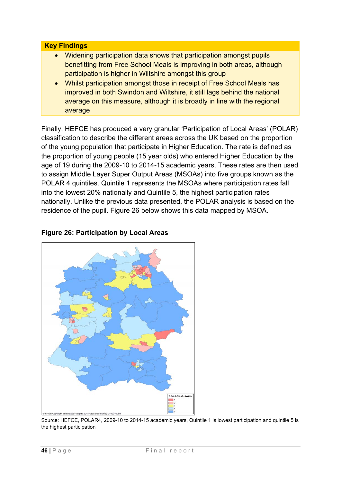#### **Key Findings**

- Widening participation data shows that participation amongst pupils benefitting from Free School Meals is improving in both areas, although participation is higher in Wiltshire amongst this group
- Whilst participation amongst those in receipt of Free School Meals has improved in both Swindon and Wiltshire, it still lags behind the national average on this measure, although it is broadly in line with the regional average

Finally, HEFCE has produced a very granular 'Participation of Local Areas' (POLAR) classification to describe the different areas across the UK based on the proportion of the young population that participate in Higher Education. The rate is defined as the proportion of young people (15 year olds) who entered Higher Education by the age of 19 during the 2009-10 to 2014-15 academic years. These rates are then used to assign Middle Layer Super Output Areas (MSOAs) into five groups known as the POLAR 4 quintiles. Quintile 1 represents the MSOAs where participation rates fall into the lowest 20% nationally and Quintile 5, the highest participation rates nationally. Unlike the previous data presented, the POLAR analysis is based on the residence of the pupil. Figure 26 below shows this data mapped by MSOA.

# **Figure 26: Participation by Local Areas**



Source: HEFCE, POLAR4, 2009-10 to 2014-15 academic years, Quintile 1 is lowest participation and quintile 5 is the highest participation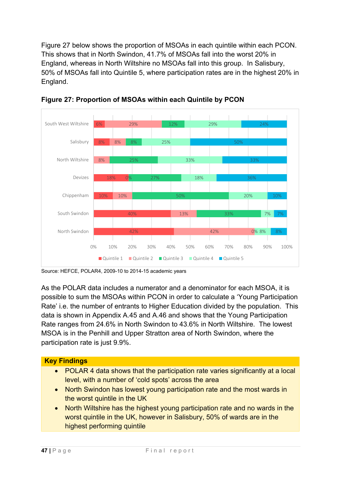Figure 27 below shows the proportion of MSOAs in each quintile within each PCON. This shows that in North Swindon, 41.7% of MSOAs fall into the worst 20% in England, whereas in North Wiltshire no MSOAs fall into this group. In Salisbury, 50% of MSOAs fall into Quintile 5, where participation rates are in the highest 20% in England.



**Figure 27: Proportion of MSOAs within each Quintile by PCON** 

Source: HEFCE, POLAR4, 2009-10 to 2014-15 academic years

As the POLAR data includes a numerator and a denominator for each MSOA, it is possible to sum the MSOAs within PCON in order to calculate a 'Young Participation Rate' i.e. the number of entrants to Higher Education divided by the population. This data is shown in Appendix A.45 and A.46 and shows that the Young Participation Rate ranges from 24.6% in North Swindon to 43.6% in North Wiltshire. The lowest MSOA is in the Penhill and Upper Stratton area of North Swindon, where the participation rate is just 9.9%.

# **Key Findings**

- POLAR 4 data shows that the participation rate varies significantly at a local level, with a number of 'cold spots' across the area
- North Swindon has lowest young participation rate and the most wards in the worst quintile in the UK
- North Wiltshire has the highest young participation rate and no wards in the worst quintile in the UK, however in Salisbury, 50% of wards are in the highest performing quintile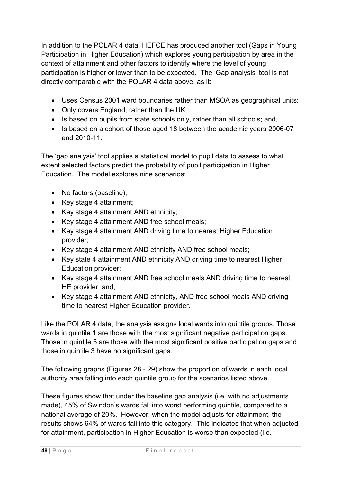In addition to the POLAR 4 data, HEFCE has produced another tool (Gaps in Young Participation in Higher Education) which explores young participation by area in the context of attainment and other factors to identify where the level of young participation is higher or lower than to be expected. The 'Gap analysis' tool is not directly comparable with the POLAR 4 data above, as it:

- Uses Census 2001 ward boundaries rather than MSOA as geographical units;
- Only covers England, rather than the UK;
- Is based on pupils from state schools only, rather than all schools; and,
- Is based on a cohort of those aged 18 between the academic years 2006-07 and 2010-11.

The 'gap analysis' tool applies a statistical model to pupil data to assess to what extent selected factors predict the probability of pupil participation in Higher Education. The model explores nine scenarios:

- No factors (baseline);
- $\bullet$  Key stage 4 attainment;
- Key stage 4 attainment AND ethnicity;
- Key stage 4 attainment AND free school meals;
- Key stage 4 attainment AND driving time to nearest Higher Education provider;
- Key stage 4 attainment AND ethnicity AND free school meals;
- Key state 4 attainment AND ethnicity AND driving time to nearest Higher Education provider;
- Key stage 4 attainment AND free school meals AND driving time to nearest HE provider; and,
- Key stage 4 attainment AND ethnicity, AND free school meals AND driving time to nearest Higher Education provider.

Like the POLAR 4 data, the analysis assigns local wards into quintile groups. Those wards in quintile 1 are those with the most significant negative participation gaps. Those in quintile 5 are those with the most significant positive participation gaps and those in quintile 3 have no significant gaps.

The following graphs (Figures 28 - 29) show the proportion of wards in each local authority area falling into each quintile group for the scenarios listed above.

These figures show that under the baseline gap analysis (i.e. with no adjustments made), 45% of Swindon's wards fall into worst performing quintile, compared to a national average of 20%. However, when the model adjusts for attainment, the results shows 64% of wards fall into this category. This indicates that when adjusted for attainment, participation in Higher Education is worse than expected (i.e.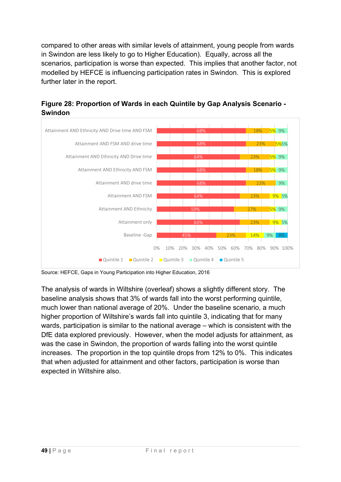compared to other areas with similar levels of attainment, young people from wards in Swindon are less likely to go to Higher Education). Equally, across all the scenarios, participation is worse than expected. This implies that another factor, not modelled by HEFCE is influencing participation rates in Swindon. This is explored further later in the report.





Source: HEFCE, Gaps in Young Participation into Higher Education, 2016

The analysis of wards in Wiltshire (overleaf) shows a slightly different story. The baseline analysis shows that 3% of wards fall into the worst performing quintile, much lower than national average of 20%. Under the baseline scenario, a much higher proportion of Wiltshire's wards fall into quintile 3, indicating that for many wards, participation is similar to the national average – which is consistent with the DfE data explored previously. However, when the model adjusts for attainment, as was the case in Swindon, the proportion of wards falling into the worst quintile increases. The proportion in the top quintile drops from 12% to 0%. This indicates that when adjusted for attainment and other factors, participation is worse than expected in Wiltshire also.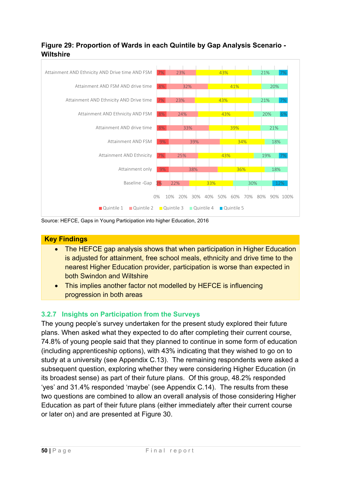# **Figure 29: Proportion of Wards in each Quintile by Gap Analysis Scenario - Wiltshire**



Source: HEFCE, Gaps in Young Participation into higher Education, 2016

# **Key Findings**

- The HEFCE gap analysis shows that when participation in Higher Education is adjusted for attainment, free school meals, ethnicity and drive time to the nearest Higher Education provider, participation is worse than expected in both Swindon and Wiltshire
- This implies another factor not modelled by HEFCE is influencing progression in both areas

# **3.2.7 Insights on Participation from the Surveys**

The young people's survey undertaken for the present study explored their future plans. When asked what they expected to do after completing their current course, 74.8% of young people said that they planned to continue in some form of education (including apprenticeship options), with 43% indicating that they wished to go on to study at a university (see Appendix C.13). The remaining respondents were asked a subsequent question, exploring whether they were considering Higher Education (in its broadest sense) as part of their future plans. Of this group, 48.2% responded 'yes' and 31.4% responded 'maybe' (see Appendix C.14). The results from these two questions are combined to allow an overall analysis of those considering Higher Education as part of their future plans (either immediately after their current course or later on) and are presented at Figure 30.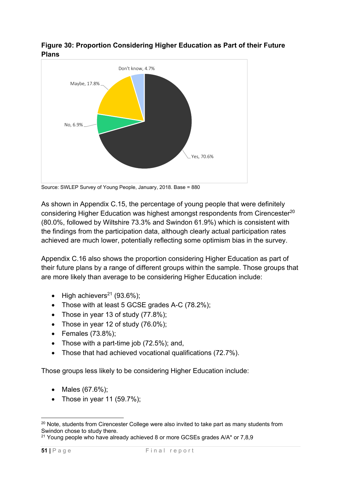



Source: SWLEP Survey of Young People, January, 2018. Base = 880

As shown in Appendix C.15, the percentage of young people that were definitely considering Higher Education was highest amongst respondents from Cirencester<sup>20</sup> (80.0%, followed by Wiltshire 73.3% and Swindon 61.9%) which is consistent with the findings from the participation data, although clearly actual participation rates achieved are much lower, potentially reflecting some optimism bias in the survey.

Appendix C.16 also shows the proportion considering Higher Education as part of their future plans by a range of different groups within the sample. Those groups that are more likely than average to be considering Higher Education include:

- $\bullet$  High achievers<sup>21</sup> (93.6%);
- Those with at least 5 GCSE grades A-C (78.2%);
- Those in year 13 of study  $(77.8\%)$ ;
- Those in year 12 of study  $(76.0\%)$ ;
- $\bullet$  Females (73.8%);
- Those with a part-time job  $(72.5\%)$ ; and,
- Those that had achieved vocational qualifications (72.7%).

Those groups less likely to be considering Higher Education include:

- Males  $(67.6\%)$ ;
- Those in year 11  $(59.7\%)$ ;

<sup>&</sup>lt;u>.</u>  $20$  Note, students from Cirencester College were also invited to take part as many students from Swindon chose to study there.

<sup>&</sup>lt;sup>21</sup> Young people who have already achieved 8 or more GCSEs grades A/A\* or 7,8,9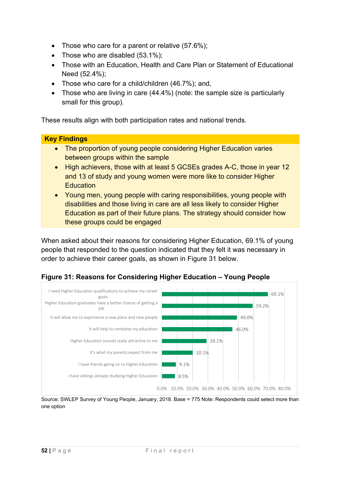- Those who care for a parent or relative (57.6%);
- Those who are disabled (53.1%):
- Those with an Education, Health and Care Plan or Statement of Educational Need (52.4%);
- Those who care for a child/children (46.7%); and,
- Those who are living in care (44.4%) (note: the sample size is particularly small for this group).

These results align with both participation rates and national trends.

# **Key Findings**

- The proportion of young people considering Higher Education varies between groups within the sample
- High achievers, those with at least 5 GCSEs grades A-C, those in year 12 and 13 of study and young women were more like to consider Higher **Education**
- Young men, young people with caring responsibilities, young people with disabilities and those living in care are all less likely to consider Higher Education as part of their future plans. The strategy should consider how these groups could be engaged

When asked about their reasons for considering Higher Education, 69.1% of young people that responded to the question indicated that they felt it was necessary in order to achieve their career goals, as shown in Figure 31 below.





Source: SWLEP Survey of Young People, January, 2018. Base = 775 Note: Respondents could select more than one option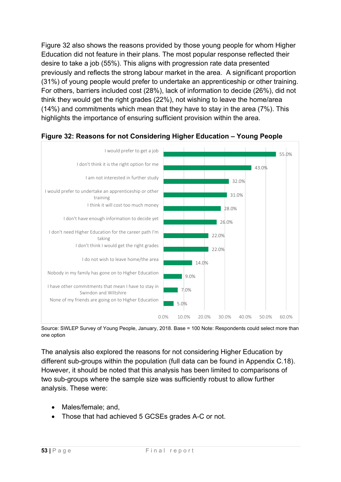Figure 32 also shows the reasons provided by those young people for whom Higher Education did not feature in their plans. The most popular response reflected their desire to take a job (55%). This aligns with progression rate data presented previously and reflects the strong labour market in the area. A significant proportion (31%) of young people would prefer to undertake an apprenticeship or other training. For others, barriers included cost (28%), lack of information to decide (26%), did not think they would get the right grades (22%), not wishing to leave the home/area (14%) and commitments which mean that they have to stay in the area (7%). This highlights the importance of ensuring sufficient provision within the area.



# **Figure 32: Reasons for not Considering Higher Education – Young People**

Source: SWLEP Survey of Young People, January, 2018. Base = 100 Note: Respondents could select more than one option

The analysis also explored the reasons for not considering Higher Education by different sub-groups within the population (full data can be found in Appendix C.18). However, it should be noted that this analysis has been limited to comparisons of two sub-groups where the sample size was sufficiently robust to allow further analysis. These were:

- Males/female; and,
- Those that had achieved 5 GCSEs grades A-C or not.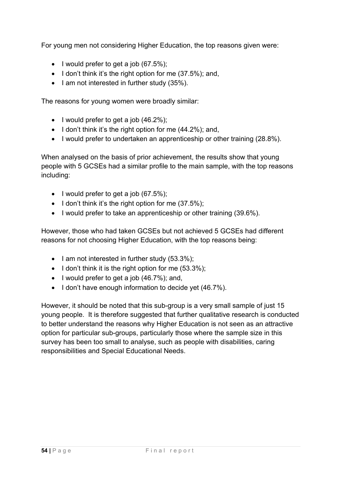For young men not considering Higher Education, the top reasons given were:

- $\bullet$  I would prefer to get a job (67.5%);
- $\bullet$  I don't think it's the right option for me (37.5%); and,
- $\bullet$  I am not interested in further study (35%).

The reasons for young women were broadly similar:

- $\bullet$  I would prefer to get a job (46.2%);
- $\bullet$  I don't think it's the right option for me (44.2%); and,
- I would prefer to undertaken an apprenticeship or other training (28.8%).

When analysed on the basis of prior achievement, the results show that young people with 5 GCSEs had a similar profile to the main sample, with the top reasons including:

- $\bullet$  I would prefer to get a job (67.5%):
- $\bullet$  I don't think it's the right option for me (37.5%);
- I would prefer to take an apprenticeship or other training (39.6%).

However, those who had taken GCSEs but not achieved 5 GCSEs had different reasons for not choosing Higher Education, with the top reasons being:

- $\bullet$  I am not interested in further study (53.3%);
- $\bullet$  I don't think it is the right option for me  $(53.3\%)$ ;
- $\bullet$  I would prefer to get a job (46.7%); and,
- I don't have enough information to decide yet (46.7%).

However, it should be noted that this sub-group is a very small sample of just 15 young people. It is therefore suggested that further qualitative research is conducted to better understand the reasons why Higher Education is not seen as an attractive option for particular sub-groups, particularly those where the sample size in this survey has been too small to analyse, such as people with disabilities, caring responsibilities and Special Educational Needs.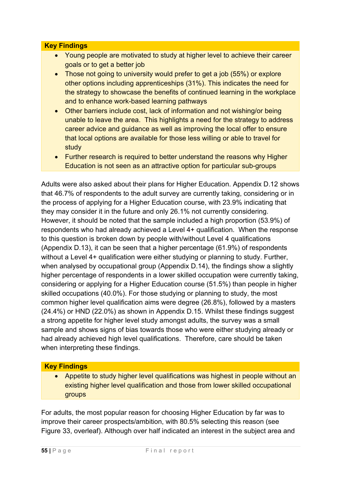#### **Key Findings**

- Young people are motivated to study at higher level to achieve their career goals or to get a better job
- Those not going to university would prefer to get a job (55%) or explore other options including apprenticeships (31%). This indicates the need for the strategy to showcase the benefits of continued learning in the workplace and to enhance work-based learning pathways
- Other barriers include cost, lack of information and not wishing/or being unable to leave the area. This highlights a need for the strategy to address career advice and guidance as well as improving the local offer to ensure that local options are available for those less willing or able to travel for study
- Further research is required to better understand the reasons why Higher Education is not seen as an attractive option for particular sub-groups

Adults were also asked about their plans for Higher Education. Appendix D.12 shows that 46.7% of respondents to the adult survey are currently taking, considering or in the process of applying for a Higher Education course, with 23.9% indicating that they may consider it in the future and only 26.1% not currently considering. However, it should be noted that the sample included a high proportion (53.9%) of respondents who had already achieved a Level 4+ qualification. When the response to this question is broken down by people with/without Level 4 qualifications (Appendix D.13), it can be seen that a higher percentage (61.9%) of respondents without a Level 4+ qualification were either studying or planning to study. Further, when analysed by occupational group (Appendix D.14), the findings show a slightly higher percentage of respondents in a lower skilled occupation were currently taking, considering or applying for a Higher Education course (51.5%) than people in higher skilled occupations (40.0%). For those studying or planning to study, the most common higher level qualification aims were degree (26.8%), followed by a masters (24.4%) or HND (22.0%) as shown in Appendix D.15. Whilst these findings suggest a strong appetite for higher level study amongst adults, the survey was a small sample and shows signs of bias towards those who were either studying already or had already achieved high level qualifications. Therefore, care should be taken when interpreting these findings.

# **Key Findings**

 Appetite to study higher level qualifications was highest in people without an existing higher level qualification and those from lower skilled occupational groups

For adults, the most popular reason for choosing Higher Education by far was to improve their career prospects/ambition, with 80.5% selecting this reason (see Figure 33, overleaf). Although over half indicated an interest in the subject area and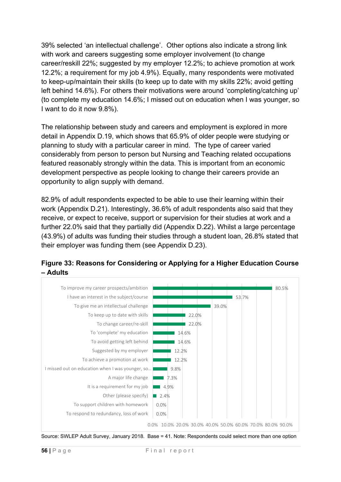39% selected 'an intellectual challenge'. Other options also indicate a strong link with work and careers suggesting some employer involvement (to change career/reskill 22%; suggested by my employer 12.2%; to achieve promotion at work 12.2%; a requirement for my job 4.9%). Equally, many respondents were motivated to keep-up/maintain their skills (to keep up to date with my skills 22%; avoid getting left behind 14.6%). For others their motivations were around 'completing/catching up' (to complete my education 14.6%; I missed out on education when I was younger, so I want to do it now 9.8%).

The relationship between study and careers and employment is explored in more detail in Appendix D.19, which shows that 65.9% of older people were studying or planning to study with a particular career in mind. The type of career varied considerably from person to person but Nursing and Teaching related occupations featured reasonably strongly within the data. This is important from an economic development perspective as people looking to change their careers provide an opportunity to align supply with demand.

82.9% of adult respondents expected to be able to use their learning within their work (Appendix D.21). Interestingly, 36.6% of adult respondents also said that they receive, or expect to receive, support or supervision for their studies at work and a further 22.0% said that they partially did (Appendix D.22). Whilst a large percentage (43.9%) of adults was funding their studies through a student loan, 26.8% stated that their employer was funding them (see Appendix D.23).





Source: SWLEP Adult Survey, January 2018. Base = 41. Note: Respondents could select more than one option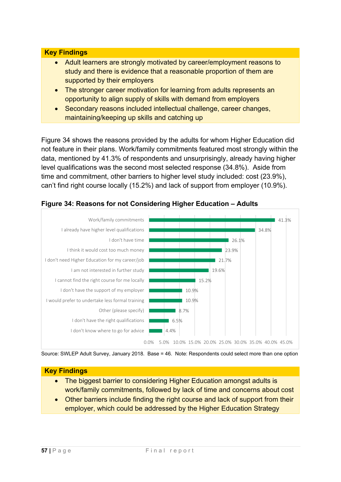#### **Key Findings**

- Adult learners are strongly motivated by career/employment reasons to study and there is evidence that a reasonable proportion of them are supported by their employers
- The stronger career motivation for learning from adults represents an opportunity to align supply of skills with demand from employers
- Secondary reasons included intellectual challenge, career changes, maintaining/keeping up skills and catching up

Figure 34 shows the reasons provided by the adults for whom Higher Education did not feature in their plans. Work/family commitments featured most strongly within the data, mentioned by 41.3% of respondents and unsurprisingly, already having higher level qualifications was the second most selected response (34.8%). Aside from time and commitment, other barriers to higher level study included: cost (23.9%), can't find right course locally (15.2%) and lack of support from employer (10.9%).



#### **Figure 34: Reasons for not Considering Higher Education – Adults**



4.4% 6.5%

8.7%

10.9% 10.9%

15.2%

19.6%

0.0% 5.0% 10.0% 15.0% 20.0% 25.0% 30.0% 35.0% 40.0% 45.0%

#### **Key Findings**

I don't know where to go for advice I don't have the right qualifications

I would prefer to undertake less formal training

I don't have the support of my employer I cannot find the right course for me locally

I am not interested in further study

Other (please specify)

- The biggest barrier to considering Higher Education amongst adults is work/family commitments, followed by lack of time and concerns about cost
- Other barriers include finding the right course and lack of support from their employer, which could be addressed by the Higher Education Strategy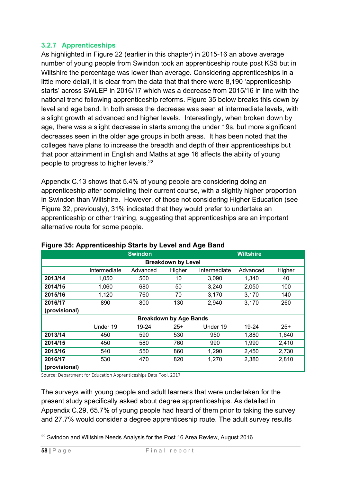# **3.2.7 Apprenticeships**

As highlighted in Figure 22 (earlier in this chapter) in 2015-16 an above average number of young people from Swindon took an apprenticeship route post KS5 but in Wiltshire the percentage was lower than average. Considering apprenticeships in a little more detail, it is clear from the data that that there were 8,190 'apprenticeship starts' across SWLEP in 2016/17 which was a decrease from 2015/16 in line with the national trend following apprenticeship reforms. Figure 35 below breaks this down by level and age band. In both areas the decrease was seen at intermediate levels, with a slight growth at advanced and higher levels. Interestingly, when broken down by age, there was a slight decrease in starts among the under 19s, but more significant decreases seen in the older age groups in both areas. It has been noted that the colleges have plans to increase the breadth and depth of their apprenticeships but that poor attainment in English and Maths at age 16 affects the ability of young people to progress to higher levels.<sup>22</sup>

Appendix C.13 shows that 5.4% of young people are considering doing an apprenticeship after completing their current course, with a slightly higher proportion in Swindon than Wiltshire. However, of those not considering Higher Education (see Figure 32, previously), 31% indicated that they would prefer to undertake an apprenticeship or other training, suggesting that apprenticeships are an important alternative route for some people.

|                           |              | <b>Swindon</b> |                               |              | <b>Wiltshire</b> |        |  |  |  |  |
|---------------------------|--------------|----------------|-------------------------------|--------------|------------------|--------|--|--|--|--|
| <b>Breakdown by Level</b> |              |                |                               |              |                  |        |  |  |  |  |
|                           | Intermediate | Advanced       | Higher                        | Intermediate | Advanced         | Higher |  |  |  |  |
| 2013/14                   | 1.050        | 500            | 10                            | 3,090        | 1,340            | 40     |  |  |  |  |
| 2014/15                   | 1,060        | 680            | 50                            | 3,240        | 2,050            | 100    |  |  |  |  |
| 2015/16                   | 1,120        | 760            | 70                            | 3,170        | 3,170            | 140    |  |  |  |  |
| 2016/17                   | 890          | 800            | 130                           | 2,940        | 3,170            | 260    |  |  |  |  |
| (provisional)             |              |                |                               |              |                  |        |  |  |  |  |
|                           |              |                | <b>Breakdown by Age Bands</b> |              |                  |        |  |  |  |  |
|                           | Under 19     | 19-24          | $25+$                         | Under 19     | 19-24            | $25+$  |  |  |  |  |
| 2013/14                   | 450          | 590            | 530                           | 950          | 1,880            | 1,640  |  |  |  |  |
| 2014/15                   | 450          | 580            | 760                           | 990          | 1,990            | 2,410  |  |  |  |  |
| 2015/16                   | 540          | 550            | 860                           | 1,290        | 2,450            | 2,730  |  |  |  |  |
| 2016/17                   | 530          | 470            | 820                           | 1,270        | 2,380            | 2,810  |  |  |  |  |
| (provisional)             |              |                |                               |              |                  |        |  |  |  |  |

# **Figure 35: Apprenticeship Starts by Level and Age Band**

Source: Department for Education Apprenticeships Data Tool, 2017

The surveys with young people and adult learners that were undertaken for the present study specifically asked about degree apprenticeships. As detailed in Appendix C.29, 65.7% of young people had heard of them prior to taking the survey and 27.7% would consider a degree apprenticeship route. The adult survey results

<sup>1</sup> <sup>22</sup> Swindon and Wiltshire Needs Analysis for the Post 16 Area Review, August 2016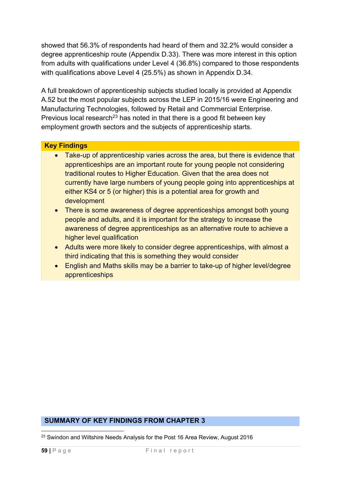showed that 56.3% of respondents had heard of them and 32.2% would consider a degree apprenticeship route (Appendix D.33). There was more interest in this option from adults with qualifications under Level 4 (36.8%) compared to those respondents with qualifications above Level 4 (25.5%) as shown in Appendix D.34.

A full breakdown of apprenticeship subjects studied locally is provided at Appendix A.52 but the most popular subjects across the LEP in 2015/16 were Engineering and Manufacturing Technologies, followed by Retail and Commercial Enterprise. Previous local research<sup>23</sup> has noted in that there is a good fit between key employment growth sectors and the subjects of apprenticeship starts.

#### **Key Findings**

- Take-up of apprenticeship varies across the area, but there is evidence that apprenticeships are an important route for young people not considering traditional routes to Higher Education. Given that the area does not currently have large numbers of young people going into apprenticeships at either KS4 or 5 (or higher) this is a potential area for growth and development
- There is some awareness of degree apprenticeships amongst both young people and adults, and it is important for the strategy to increase the awareness of degree apprenticeships as an alternative route to achieve a higher level qualification
- Adults were more likely to consider degree apprenticeships, with almost a third indicating that this is something they would consider
- English and Maths skills may be a barrier to take-up of higher level/degree apprenticeships

#### **SUMMARY OF KEY FINDINGS FROM CHAPTER 3**

<sup>1</sup>  $^{23}$  Swindon and Wiltshire Needs Analysis for the Post 16 Area Review, August 2016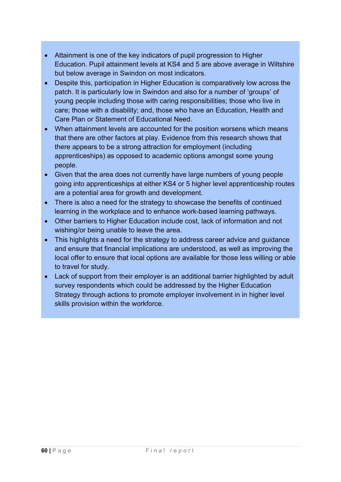- Attainment is one of the key indicators of pupil progression to Higher Education. Pupil attainment levels at KS4 and 5 are above average in Wiltshire but below average in Swindon on most indicators.
- Despite this, participation in Higher Education is comparatively low across the patch. It is particularly low in Swindon and also for a number of 'groups' of young people including those with caring responsibilities; those who live in care; those with a disability; and, those who have an Education, Health and Care Plan or Statement of Educational Need.
- When attainment levels are accounted for the position worsens which means that there are other factors at play. Evidence from this research shows that there appears to be a strong attraction for employment (including apprenticeships) as opposed to academic options amongst some young people.
- Given that the area does not currently have large numbers of young people going into apprenticeships at either KS4 or 5 higher level apprenticeship routes are a potential area for growth and development.
- There is also a need for the strategy to showcase the benefits of continued learning in the workplace and to enhance work-based learning pathways.
- Other barriers to Higher Education include cost, lack of information and not wishing/or being unable to leave the area.
- This highlights a need for the strategy to address career advice and guidance and ensure that financial implications are understood, as well as improving the local offer to ensure that local options are available for those less willing or able to travel for study.
- Lack of support from their employer is an additional barrier highlighted by adult survey respondents which could be addressed by the Higher Education Strategy through actions to promote employer involvement in in higher level skills provision within the workforce.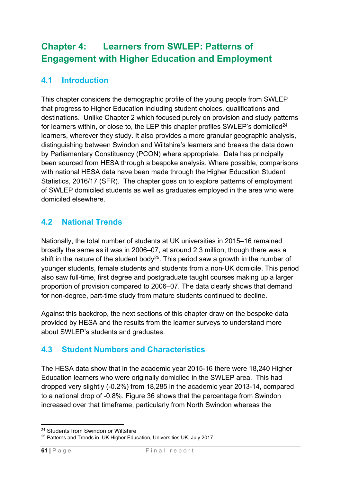# **Chapter 4: Learners from SWLEP: Patterns of Engagement with Higher Education and Employment**

# **4.1 Introduction**

This chapter considers the demographic profile of the young people from SWLEP that progress to Higher Education including student choices, qualifications and destinations. Unlike Chapter 2 which focused purely on provision and study patterns for learners within, or close to, the LEP this chapter profiles SWLEP's domiciled<sup>24</sup> learners, wherever they study. It also provides a more granular geographic analysis, distinguishing between Swindon and Wiltshire's learners and breaks the data down by Parliamentary Constituency (PCON) where appropriate. Data has principally been sourced from HESA through a bespoke analysis. Where possible, comparisons with national HESA data have been made through the Higher Education Student Statistics, 2016/17 (SFR). The chapter goes on to explore patterns of employment of SWLEP domiciled students as well as graduates employed in the area who were domiciled elsewhere.

# **4.2 National Trends**

Nationally, the total number of students at UK universities in 2015–16 remained broadly the same as it was in 2006–07, at around 2.3 million, though there was a shift in the nature of the student body<sup>25</sup>. This period saw a growth in the number of younger students, female students and students from a non-UK domicile. This period also saw full-time, first degree and postgraduate taught courses making up a larger proportion of provision compared to 2006–07. The data clearly shows that demand for non-degree, part-time study from mature students continued to decline.

Against this backdrop, the next sections of this chapter draw on the bespoke data provided by HESA and the results from the learner surveys to understand more about SWLEP's students and graduates.

# **4.3 Student Numbers and Characteristics**

The HESA data show that in the academic year 2015-16 there were 18,240 Higher Education learners who were originally domiciled in the SWLEP area. This had dropped very slightly (-0.2%) from 18,285 in the academic year 2013-14, compared to a national drop of -0.8%. Figure 36 shows that the percentage from Swindon increased over that timeframe, particularly from North Swindon whereas the

<sup>1</sup> <sup>24</sup> Students from Swindon or Wiltshire

<sup>&</sup>lt;sup>25</sup> Patterns and Trends in UK Higher Education, Universities UK, July 2017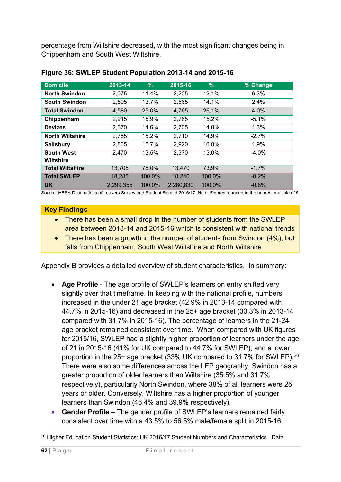percentage from Wiltshire decreased, with the most significant changes being in Chippenham and South West Wiltshire.

| <b>Domicile</b>        | 2013-14   | $\%$   | 2015-16   | $\%$   | % Change |
|------------------------|-----------|--------|-----------|--------|----------|
| <b>North Swindon</b>   | 2,075     | 11.4%  | 2,205     | 12.1%  | 6.3%     |
| <b>South Swindon</b>   | 2,505     | 13.7%  | 2,565     | 14.1%  | 2.4%     |
| <b>Total Swindon</b>   | 4.580     | 25.0%  | 4.765     | 26.1%  | 4.0%     |
| Chippenham             | 2,915     | 15.9%  | 2,765     | 15.2%  | $-5.1%$  |
| <b>Devizes</b>         | 2,670     | 14.6%  | 2,705     | 14.8%  | 1.3%     |
| <b>North Wiltshire</b> | 2,785     | 15.2%  | 2,710     | 14.9%  | $-2.7%$  |
| <b>Salisbury</b>       | 2,865     | 15.7%  | 2,920     | 16.0%  | 1.9%     |
| <b>South West</b>      | 2,470     | 13.5%  | 2,370     | 13.0%  | $-4.0\%$ |
| <b>Wiltshire</b>       |           |        |           |        |          |
| <b>Total Wiltshire</b> | 13,705    | 75.0%  | 13,470    | 73.9%  | $-1.7%$  |
| <b>Total SWLEP</b>     | 18,285    | 100.0% | 18,240    | 100.0% | $-0.2%$  |
| <b>UK</b>              | 2,299,355 | 100.0% | 2,280,830 | 100.0% | $-0.8%$  |

#### **Figure 36: SWLEP Student Population 2013-14 and 2015-16**

Source: HESA Destinations of Leavers Survey and Student Record 2016/17. Note: Figures rounded to the nearest multiple of 5

#### **Key Findings**

- There has been a small drop in the number of students from the SWLEP area between 2013-14 and 2015-16 which is consistent with national trends
- There has been a growth in the number of students from Swindon (4%), but falls from Chippenham, South West Wiltshire and North Wiltshire

Appendix B provides a detailed overview of student characteristics. In summary:

- **Age Profile** The age profile of SWLEP's learners on entry shifted very slightly over that timeframe. In keeping with the national profile, numbers increased in the under 21 age bracket (42.9% in 2013-14 compared with 44.7% in 2015-16) and decreased in the 25+ age bracket (33.3% in 2013-14 compared with 31.7% in 2015-16). The percentage of learners in the 21-24 age bracket remained consistent over time. When compared with UK figures for 2015/16, SWLEP had a slightly higher proportion of learners under the age of 21 in 2015-16 (41% for UK compared to 44.7% for SWLEP), and a lower proportion in the 25+ age bracket (33% UK compared to 31.7% for SWLEP).26 There were also some differences across the LEP geography. Swindon has a greater proportion of older learners than Wiltshire (35.5% and 31.7% respectively), particularly North Swindon, where 38% of all learners were 25 years or older. Conversely, Wiltshire has a higher proportion of younger learners than Swindon (46.4% and 39.9% respectively).
- **Gender Profile** The gender profile of SWLEP's learners remained fairly consistent over time with a 43.5% to 56.5% male/female split in 2015-16.

<sup>1</sup> <sup>26</sup> Higher Education Student Statistics: UK 2016/17 Student Numbers and Characteristics. Data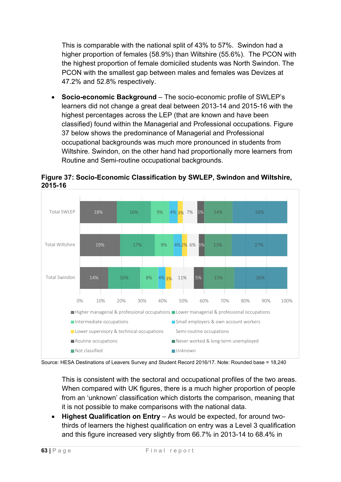This is comparable with the national split of 43% to 57%. Swindon had a higher proportion of females (58.9%) than Wiltshire (55.6%). The PCON with the highest proportion of female domiciled students was North Swindon. The PCON with the smallest gap between males and females was Devizes at 47.2% and 52.8% respectively.

 **Socio-economic Background** – The socio-economic profile of SWLEP's learners did not change a great deal between 2013-14 and 2015-16 with the highest percentages across the LEP (that are known and have been classified) found within the Managerial and Professional occupations. Figure 37 below shows the predominance of Managerial and Professional occupational backgrounds was much more pronounced in students from Wiltshire. Swindon, on the other hand had proportionally more learners from Routine and Semi-routine occupational backgrounds.



**Figure 37: Socio-Economic Classification by SWLEP, Swindon and Wiltshire, 2015-16**

Source: HESA Destinations of Leavers Survey and Student Record 2016/17. Note: Rounded base = 18,240

This is consistent with the sectoral and occupational profiles of the two areas. When compared with UK figures, there is a much higher proportion of people from an 'unknown' classification which distorts the comparison, meaning that it is not possible to make comparisons with the national data.

**Highest Qualification on Entry** – As would be expected, for around twothirds of learners the highest qualification on entry was a Level 3 qualification and this figure increased very slightly from 66.7% in 2013-14 to 68.4% in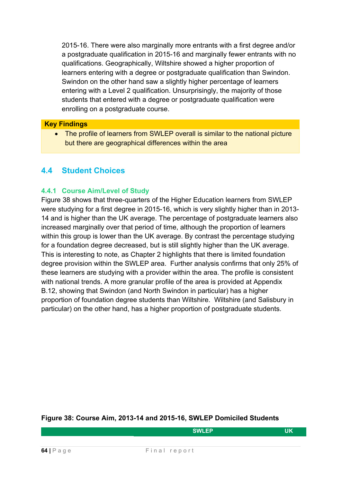2015-16. There were also marginally more entrants with a first degree and/or a postgraduate qualification in 2015-16 and marginally fewer entrants with no qualifications. Geographically, Wiltshire showed a higher proportion of learners entering with a degree or postgraduate qualification than Swindon. Swindon on the other hand saw a slightly higher percentage of learners entering with a Level 2 qualification. Unsurprisingly, the majority of those students that entered with a degree or postgraduate qualification were enrolling on a postgraduate course.

#### **Key Findings**

• The profile of learners from SWLEP overall is similar to the national picture but there are geographical differences within the area

# **4.4 Student Choices**

#### **4.4.1 Course Aim/Level of Study**

Figure 38 shows that three-quarters of the Higher Education learners from SWLEP were studying for a first degree in 2015-16, which is very slightly higher than in 2013- 14 and is higher than the UK average. The percentage of postgraduate learners also increased marginally over that period of time, although the proportion of learners within this group is lower than the UK average. By contrast the percentage studying for a foundation degree decreased, but is still slightly higher than the UK average. This is interesting to note, as Chapter 2 highlights that there is limited foundation degree provision within the SWLEP area. Further analysis confirms that only 25% of these learners are studying with a provider within the area. The profile is consistent with national trends. A more granular profile of the area is provided at Appendix B.12, showing that Swindon (and North Swindon in particular) has a higher proportion of foundation degree students than Wiltshire. Wiltshire (and Salisbury in particular) on the other hand, has a higher proportion of postgraduate students.

#### **Figure 38: Course Aim, 2013-14 and 2015-16, SWLEP Domiciled Students**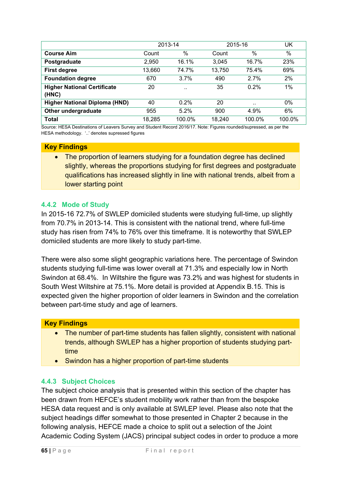|                                      |        | 2013-14              |        | 2015-16 | UK     |
|--------------------------------------|--------|----------------------|--------|---------|--------|
| <b>Course Aim</b>                    | Count  | $\%$                 | Count  | $\%$    | $\%$   |
| Postgraduate                         | 2,950  | 16.1%                | 3.045  | 16.7%   | 23%    |
| <b>First degree</b>                  | 13,660 | 74.7%                | 13,750 | 75.4%   | 69%    |
| <b>Foundation degree</b>             | 670    | 3.7%                 | 490    | 2.7%    | 2%     |
| <b>Higher National Certificate</b>   | 20     | $\ddot{\phantom{0}}$ | 35     | 0.2%    | $1\%$  |
| (HNC)                                |        |                      |        |         |        |
| <b>Higher National Diploma (HND)</b> | 40     | 0.2%                 | 20     |         | $0\%$  |
| Other undergraduate                  | 955    | 5.2%                 | 900    | 4.9%    | 6%     |
| <b>Total</b>                         | 18,285 | 100.0%               | 18,240 | 100.0%  | 100.0% |

Source: HESA Destinations of Leavers Survey and Student Record 2016/17. Note: Figures rounded/supressed, as per the HESA methodology. '..' denotes supressed figures

#### **Key Findings**

• The proportion of learners studying for a foundation degree has declined slightly, whereas the proportions studying for first degrees and postgraduate qualifications has increased slightly in line with national trends, albeit from a lower starting point

#### **4.4.2 Mode of Study**

In 2015-16 72.7% of SWLEP domiciled students were studying full-time, up slightly from 70.7% in 2013-14. This is consistent with the national trend, where full-time study has risen from 74% to 76% over this timeframe. It is noteworthy that SWLEP domiciled students are more likely to study part-time.

There were also some slight geographic variations here. The percentage of Swindon students studying full-time was lower overall at 71.3% and especially low in North Swindon at 68.4%. In Wiltshire the figure was 73.2% and was highest for students in South West Wiltshire at 75.1%. More detail is provided at Appendix B.15. This is expected given the higher proportion of older learners in Swindon and the correlation between part-time study and age of learners.

#### **Key Findings**

- The number of part-time students has fallen slightly, consistent with national trends, although SWLEP has a higher proportion of students studying parttime
- Swindon has a higher proportion of part-time students

#### **4.4.3 Subject Choices**

The subject choice analysis that is presented within this section of the chapter has been drawn from HEFCE's student mobility work rather than from the bespoke HESA data request and is only available at SWLEP level. Please also note that the subject headings differ somewhat to those presented in Chapter 2 because in the following analysis, HEFCE made a choice to split out a selection of the Joint Academic Coding System (JACS) principal subject codes in order to produce a more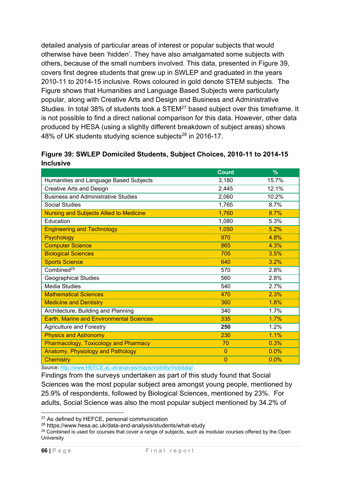detailed analysis of particular areas of interest or popular subjects that would otherwise have been 'hidden'. They have also amalgamated some subjects with others, because of the small numbers involved. This data, presented in Figure 39, covers first degree students that grew up in SWLEP and graduated in the years 2010-11 to 2014-15 inclusive. Rows coloured in gold denote STEM subjects. The Figure shows that Humanities and Language Based Subjects were particularly popular, along with Creative Arts and Design and Business and Administrative Studies. In total 38% of students took a STEM27 based subject over this timeframe. It is not possible to find a direct national comparison for this data. However, other data produced by HESA (using a slightly different breakdown of subject areas) shows 48% of UK students studying science subjects<sup>28</sup> in 2016-17.

|                  | Figure 39: SWLEP Domiciled Students, Subject Choices, 2010-11 to 2014-15 |  |
|------------------|--------------------------------------------------------------------------|--|
| <b>Inclusive</b> |                                                                          |  |

|                                                 | <b>Count</b> | $\%$  |
|-------------------------------------------------|--------------|-------|
| Humanities and Language Based Subjects          | 3,180        | 15.7% |
| <b>Creative Arts and Design</b>                 | 2,445        | 12.1% |
| <b>Business and Administrative Studies</b>      | 2,060        | 10.2% |
| <b>Social Studies</b>                           | 1,765        | 8.7%  |
| <b>Nursing and Subjects Allied to Medicine</b>  | 1,760        | 8.7%  |
| Education                                       | 1,080        | 5.3%  |
| <b>Engineering and Technology</b>               | 1,050        | 5.2%  |
| <b>Psychology</b>                               | 970          | 4.8%  |
| <b>Computer Science</b>                         | 865          | 4.3%  |
| <b>Biological Sciences</b>                      | 705          | 3.5%  |
| <b>Sports Science</b>                           | 640          | 3.2%  |
| Combined <sup>29</sup>                          | 570          | 2.8%  |
| <b>Geographical Studies</b>                     | 560          | 2.8%  |
| <b>Media Studies</b>                            | 540          | 2.7%  |
| <b>Mathematical Sciences</b>                    | 470          | 2.3%  |
| <b>Medicine and Dentistry</b>                   | 360          | 1.8%  |
| Architecture, Building and Planning             | 340          | 1.7%  |
| <b>Earth, Marine and Environmental Sciences</b> | 335          | 1.7%  |
| <b>Agriculture and Forestry</b>                 | 250          | 1.2%  |
| <b>Physics and Astronomy</b>                    | 230          | 1.1%  |
| <b>Pharmacology, Toxicology and Pharmacy</b>    | 70           | 0.3%  |
| <b>Anatomy, Physiology and Pathology</b>        | $\mathbf{0}$ | 0.0%  |
| <b>Chemistry</b>                                | $\mathbf{0}$ | 0.0%  |

Source: http://www.HEFCE.ac.uk/analysis/maps/mobility/mobdata/

Findings from the surveys undertaken as part of this study found that Social Sciences was the most popular subject area amongst young people, mentioned by 25.9% of respondents, followed by Biological Sciences, mentioned by 23%. For adults, Social Science was also the most popular subject mentioned by 34.2% of

1

<sup>&</sup>lt;sup>27</sup> As defined by HEFCE, personal communication<br><sup>28</sup> https://www.hesa.ac.uk/data-and-analysis/students/what-study

<sup>&</sup>lt;sup>29</sup> Combined is used for courses that cover a range of subjects, such as modular courses offered by the Open University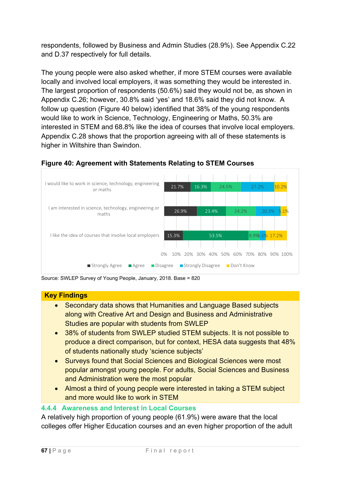respondents, followed by Business and Admin Studies (28.9%). See Appendix C.22 and D.37 respectively for full details.

The young people were also asked whether, if more STEM courses were available locally and involved local employers, it was something they would be interested in. The largest proportion of respondents (50.6%) said they would not be, as shown in Appendix C.26; however, 30.8% said 'yes' and 18.6% said they did not know. A follow up question (Figure 40 below) identified that 38% of the young respondents would like to work in Science, Technology, Engineering or Maths, 50.3% are interested in STEM and 68.8% like the idea of courses that involve local employers. Appendix C.28 shows that the proportion agreeing with all of these statements is higher in Wiltshire than Swindon.





Source: SWLEP Survey of Young People, January, 2018. Base = 820

# **Key Findings**

- Secondary data shows that Humanities and Language Based subjects along with Creative Art and Design and Business and Administrative Studies are popular with students from SWLEP
- 38% of students from SWLEP studied STEM subjects. It is not possible to produce a direct comparison, but for context, HESA data suggests that 48% of students nationally study 'science subjects'
- Surveys found that Social Sciences and Biological Sciences were most popular amongst young people. For adults, Social Sciences and Business and Administration were the most popular
- Almost a third of young people were interested in taking a STEM subject and more would like to work in STEM

# **4.4.4 Awareness and Interest in Local Courses**

A relatively high proportion of young people (61.9%) were aware that the local colleges offer Higher Education courses and an even higher proportion of the adult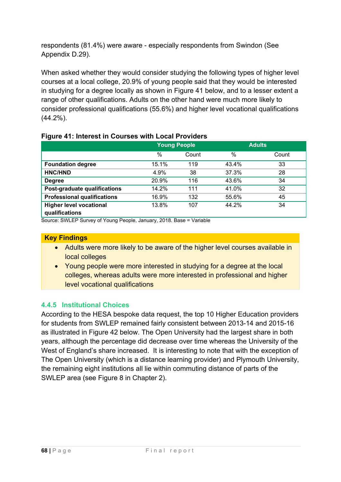respondents (81.4%) were aware - especially respondents from Swindon (See Appendix D.29).

When asked whether they would consider studying the following types of higher level courses at a local college, 20.9% of young people said that they would be interested in studying for a degree locally as shown in Figure 41 below, and to a lesser extent a range of other qualifications. Adults on the other hand were much more likely to consider professional qualifications (55.6%) and higher level vocational qualifications (44.2%).

|                                                  | <b>Young People</b> |       |       | <b>Adults</b> |
|--------------------------------------------------|---------------------|-------|-------|---------------|
|                                                  | $\frac{0}{0}$       | Count | %     | Count         |
| <b>Foundation degree</b>                         | 15.1%               | 119   | 43.4% | 33            |
| <b>HNC/HND</b>                                   | 4.9%                | 38    | 37.3% | 28            |
| <b>Degree</b>                                    | 20.9%               | 116   | 43.6% | 34            |
| Post-graduate qualifications                     | 14.2%               | 111   | 41.0% | 32            |
| <b>Professional qualifications</b>               | 16.9%               | 132   | 55.6% | 45            |
| <b>Higher level vocational</b><br>qualifications | 13.8%               | 107   | 44.2% | 34            |

#### **Figure 41: Interest in Courses with Local Providers**

Source: SWLEP Survey of Young People, January, 2018. Base = Variable

### **Key Findings**

- Adults were more likely to be aware of the higher level courses available in local colleges
- Young people were more interested in studying for a degree at the local colleges, whereas adults were more interested in professional and higher level vocational qualifications

# **4.4.5 Institutional Choices**

According to the HESA bespoke data request, the top 10 Higher Education providers for students from SWLEP remained fairly consistent between 2013-14 and 2015-16 as illustrated in Figure 42 below. The Open University had the largest share in both years, although the percentage did decrease over time whereas the University of the West of England's share increased. It is interesting to note that with the exception of The Open University (which is a distance learning provider) and Plymouth University, the remaining eight institutions all lie within commuting distance of parts of the SWLEP area (see Figure 8 in Chapter 2).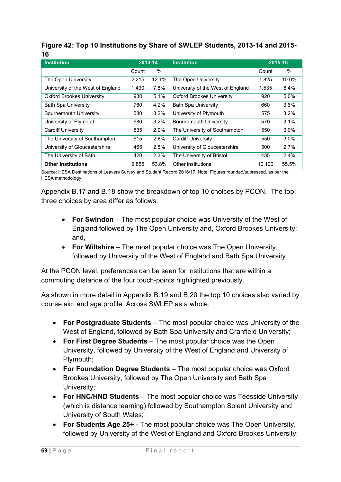# **Figure 42: Top 10 Institutions by Share of SWLEP Students, 2013-14 and 2015- 16**

| <b>Institution</b>                | 2013-14 |       | <b>Institution</b>                | 2015-16 |         |
|-----------------------------------|---------|-------|-----------------------------------|---------|---------|
|                                   | Count   | $\%$  |                                   | Count   | $\%$    |
| The Open University               | 2,215   | 12.1% | The Open University               | 1,825   | 10.0%   |
| University of the West of England | 1,430   | 7.8%  | University of the West of England | 1,535   | $8.4\%$ |
| <b>Oxford Brookes University</b>  | 930     | 5.1%  | <b>Oxford Brookes University</b>  | 920     | $5.0\%$ |
| <b>Bath Spa University</b>        | 760     | 4.2%  | <b>Bath Spa University</b>        | 660     | $3.6\%$ |
| <b>Bournemouth University</b>     | 580     | 3.2%  | University of Plymouth            | 575     | 3.2%    |
| University of Plymouth            | 580     | 3.2%  | <b>Bournemouth University</b>     | 570     | 3.1%    |
| Cardiff University                | 535     | 2.9%  | The University of Southampton     | 550     | $3.0\%$ |
| The University of Southampton     | 515     | 2.8%  | <b>Cardiff University</b>         | 550     | 3.0%    |
| University of Gloucestershire     | 465     | 2.5%  | University of Gloucestershire     | 500     | 2.7%    |
| The University of Bath            | 420     | 2.3%  | The University of Bristol         | 435     | 2.4%    |
| <b>Other institutions</b>         | 9,855   | 53.8% | Other institutions                | 10,120  | 55.5%   |

Source: HESA Destinations of Leavers Survey and Student Record 2016/17. Note: Figures rounded/supressed, as per the HESA methodology

Appendix B.17 and B.18 show the breakdown of top 10 choices by PCON. The top three choices by area differ as follows:

- **For Swindon** The most popular choice was University of the West of England followed by The Open University and, Oxford Brookes University; and,
- **For Wiltshire** The most popular choice was The Open University, followed by University of the West of England and Bath Spa University.

At the PCON level, preferences can be seen for institutions that are within a commuting distance of the four touch-points highlighted previously.

As shown in more detail in Appendix B.19 and B.20 the top 10 choices also varied by course aim and age profile. Across SWLEP as a whole:

- **For Postgraduate Students** The most popular choice was University of the West of England, followed by Bath Spa University and Cranfield University;
- **For First Degree Students** The most popular choice was the Open University, followed by University of the West of England and University of Plymouth;
- **For Foundation Degree Students** The most popular choice was Oxford Brookes University, followed by The Open University and Bath Spa University;
- **For HNC/HND Students** The most popular choice was Teesside University (which is distance learning) followed by Southampton Solent University and University of South Wales;
- **For Students Age 25+**  The most popular choice was The Open University, followed by University of the West of England and Oxford Brookes University;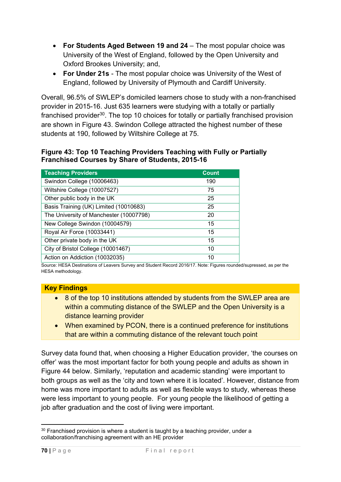- **For Students Aged Between 19 and 24** The most popular choice was University of the West of England, followed by the Open University and Oxford Brookes University; and,
- **For Under 21s** The most popular choice was University of the West of England, followed by University of Plymouth and Cardiff University.

Overall, 96.5% of SWLEP's domiciled learners chose to study with a non-franchised provider in 2015-16. Just 635 learners were studying with a totally or partially franchised provider<sup>30</sup>. The top 10 choices for totally or partially franchised provision are shown in Figure 43. Swindon College attracted the highest number of these students at 190, followed by Wiltshire College at 75.

### **Figure 43: Top 10 Teaching Providers Teaching with Fully or Partially Franchised Courses by Share of Students, 2015-16**

| <b>Teaching Providers</b>               | <b>Count</b> |
|-----------------------------------------|--------------|
| Swindon College (10006463)              | 190          |
| Wiltshire College (10007527)            | 75           |
| Other public body in the UK             | 25           |
| Basis Training (UK) Limited (10010683)  | 25           |
| The University of Manchester (10007798) | 20           |
| New College Swindon (10004579)          | 15           |
| Royal Air Force (10033441)              | 15           |
| Other private body in the UK            | 15           |
| City of Bristol College (10001467)      | 10           |
| Action on Addiction (10032035)          | 10           |

Source: HESA Destinations of Leavers Survey and Student Record 2016/17. Note: Figures rounded/supressed, as per the HESA methodology.

# **Key Findings**

- 8 of the top 10 institutions attended by students from the SWLEP area are within a commuting distance of the SWLEP and the Open University is a distance learning provider
- When examined by PCON, there is a continued preference for institutions that are within a commuting distance of the relevant touch point

Survey data found that, when choosing a Higher Education provider, 'the courses on offer' was the most important factor for both young people and adults as shown in Figure 44 below. Similarly, 'reputation and academic standing' were important to both groups as well as the 'city and town where it is located'. However, distance from home was more important to adults as well as flexible ways to study, whereas these were less important to young people. For young people the likelihood of getting a job after graduation and the cost of living were important.

<sup>1</sup>  $30$  Franchised provision is where a student is taught by a teaching provider, under a collaboration/franchising agreement with an HE provider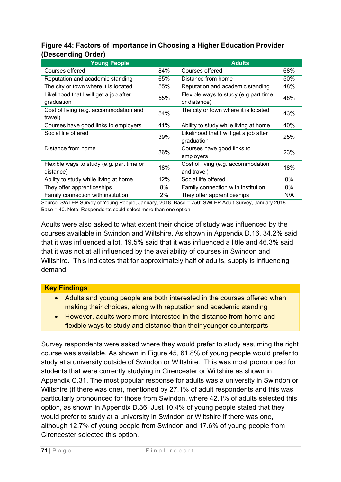# **Figure 44: Factors of Importance in Choosing a Higher Education Provider (Descending Order)**

| <b>Young People</b>                                    |     | <b>Adults</b>                                         |     |
|--------------------------------------------------------|-----|-------------------------------------------------------|-----|
| Courses offered                                        | 84% | Courses offered                                       | 68% |
| Reputation and academic standing                       | 65% | Distance from home                                    | 50% |
| The city or town where it is located                   | 55% | Reputation and academic standing                      | 48% |
| Likelihood that I will get a job after<br>graduation   | 55% | Flexible ways to study (e.g part time<br>or distance) | 48% |
| Cost of living (e.g. accommodation and<br>travel)      | 54% | The city or town where it is located                  | 43% |
| Courses have good links to employers                   | 41% | Ability to study while living at home                 | 40% |
| Social life offered                                    | 39% | Likelihood that I will get a job after<br>graduation  | 25% |
| Distance from home                                     | 36% | Courses have good links to<br>employers               | 23% |
| Flexible ways to study (e.g. part time or<br>distance) | 18% | Cost of living (e.g. accommodation<br>and travel)     | 18% |
| Ability to study while living at home                  | 12% | Social life offered                                   | 0%  |
| They offer apprenticeships                             | 8%  | Family connection with institution                    | 0%  |
| Family connection with institution                     | 2%  | They offer apprenticeships                            | N/A |

Source: SWLEP Survey of Young People, January, 2018. Base = 750; SWLEP Adult Survey, January 2018. Base = 40. Note: Respondents could select more than one option

Adults were also asked to what extent their choice of study was influenced by the courses available in Swindon and Wiltshire. As shown in Appendix D.16, 34.2% said that it was influenced a lot, 19.5% said that it was influenced a little and 46.3% said that it was not at all influenced by the availability of courses in Swindon and Wiltshire. This indicates that for approximately half of adults, supply is influencing demand.

# **Key Findings**

- Adults and young people are both interested in the courses offered when making their choices, along with reputation and academic standing
- However, adults were more interested in the distance from home and flexible ways to study and distance than their younger counterparts

Survey respondents were asked where they would prefer to study assuming the right course was available. As shown in Figure 45, 61.8% of young people would prefer to study at a university outside of Swindon or Wiltshire. This was most pronounced for students that were currently studying in Cirencester or Wiltshire as shown in Appendix C.31. The most popular response for adults was a university in Swindon or Wiltshire (if there was one), mentioned by 27.1% of adult respondents and this was particularly pronounced for those from Swindon, where 42.1% of adults selected this option, as shown in Appendix D.36. Just 10.4% of young people stated that they would prefer to study at a university in Swindon or Wiltshire if there was one, although 12.7% of young people from Swindon and 17.6% of young people from Cirencester selected this option.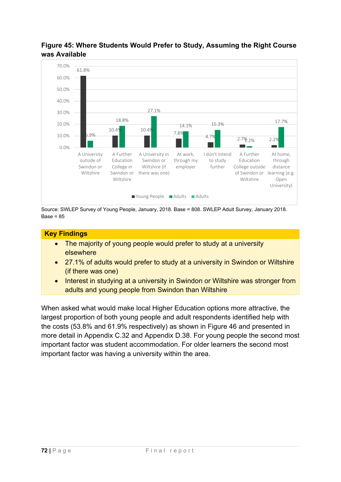

## **Figure 45: Where Students Would Prefer to Study, Assuming the Right Course was Available**

Source: SWLEP Survey of Young People, January, 2018. Base = 808. SWLEP Adult Survey, January 2018.  $Base = 85$ 

## **Key Findings**

- The majority of young people would prefer to study at a university elsewhere
- 27.1% of adults would prefer to study at a university in Swindon or Wiltshire (if there was one)
- Interest in studying at a university in Swindon or Wiltshire was stronger from adults and young people from Swindon than Wiltshire

When asked what would make local Higher Education options more attractive, the largest proportion of both young people and adult respondents identified help with the costs (53.8% and 61.9% respectively) as shown in Figure 46 and presented in more detail in Appendix C.32 and Appendix D.38. For young people the second most important factor was student accommodation. For older learners the second most important factor was having a university within the area.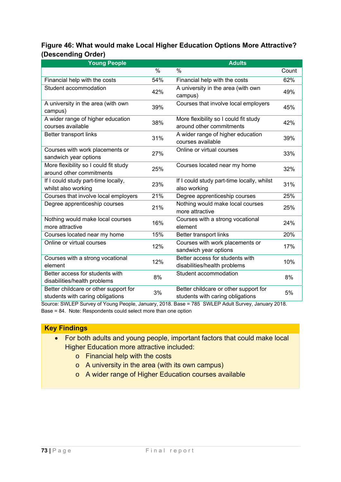## **Figure 46: What would make Local Higher Education Options More Attractive? (Descending Order)**

| <b>Young People</b>                                               |      | <b>Adults</b>                                                     |       |
|-------------------------------------------------------------------|------|-------------------------------------------------------------------|-------|
|                                                                   | $\%$ | $\%$                                                              | Count |
| Financial help with the costs                                     | 54%  | Financial help with the costs                                     | 62%   |
| Student accommodation                                             | 42%  | A university in the area (with own<br>campus)                     | 49%   |
| A university in the area (with own<br>campus)                     | 39%  | Courses that involve local employers                              | 45%   |
| A wider range of higher education<br>courses available            | 38%  | More flexibility so I could fit study<br>around other commitments | 42%   |
| Better transport links                                            | 31%  | A wider range of higher education<br>courses available            | 39%   |
| Courses with work placements or<br>sandwich year options          | 27%  | Online or virtual courses                                         | 33%   |
| More flexibility so I could fit study<br>around other commitments | 25%  | Courses located near my home                                      | 32%   |
| If I could study part-time locally,                               | 23%  | If I could study part-time locally, whilst                        | 31%   |
| whilst also working                                               |      | also working                                                      |       |
| Courses that involve local employers                              | 21%  | Degree apprenticeship courses                                     | 25%   |
| Degree apprenticeship courses                                     | 21%  | Nothing would make local courses<br>more attractive               | 25%   |
| Nothing would make local courses<br>more attractive               | 16%  | Courses with a strong vocational<br>element                       | 24%   |
| Courses located near my home                                      | 15%  | Better transport links                                            | 20%   |
| Online or virtual courses                                         | 12%  | Courses with work placements or<br>sandwich year options          | 17%   |
| Courses with a strong vocational                                  | 12%  | Better access for students with                                   | 10%   |
| element                                                           |      | disabilities/health problems                                      |       |
| Better access for students with                                   | 8%   | Student accommodation                                             | 8%    |
| disabilities/health problems                                      |      |                                                                   |       |
| Better childcare or other support for                             | 3%   | Better childcare or other support for                             | 5%    |
| students with caring obligations                                  |      | students with caring obligations                                  |       |

Source: SWLEP Survey of Young People, January, 2018. Base = 785 SWLEP Adult Survey, January 2018. Base = 84. Note: Respondents could select more than one option

### **Key Findings**

- For both adults and young people, important factors that could make local Higher Education more attractive included:
	- o Financial help with the costs
	- o A university in the area (with its own campus)
	- o A wider range of Higher Education courses available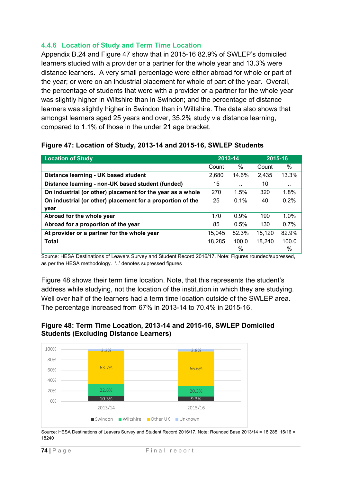### **4.4.6 Location of Study and Term Time Location**

Appendix B.24 and Figure 47 show that in 2015-16 82.9% of SWLEP's domiciled learners studied with a provider or a partner for the whole year and 13.3% were distance learners. A very small percentage were either abroad for whole or part of the year; or were on an industrial placement for whole of part of the year. Overall, the percentage of students that were with a provider or a partner for the whole year was slightly higher in Wiltshire than in Swindon; and the percentage of distance learners was slightly higher in Swindon than in Wiltshire. The data also shows that amongst learners aged 25 years and over, 35.2% study via distance learning, compared to 1.1% of those in the under 21 age bracket.

### **Figure 47: Location of Study, 2013-14 and 2015-16, SWLEP Students**

| <b>Location of Study</b>                                   | 2013-14 |         | 2015-16 |       |
|------------------------------------------------------------|---------|---------|---------|-------|
|                                                            | Count   | $\%$    | Count   | %     |
| Distance learning - UK based student                       | 2,680   | 14.6%   | 2,435   | 13.3% |
| Distance learning - non-UK based student (funded)          | 15      |         | 10      |       |
| On industrial (or other) placement for the year as a whole | 270     | 1.5%    | 320     | 1.8%  |
| On industrial (or other) placement for a proportion of the | 25      | 0.1%    | 40      | 0.2%  |
| year                                                       |         |         |         |       |
| Abroad for the whole year                                  | 170     | $0.9\%$ | 190     | 1.0%  |
| Abroad for a proportion of the year                        | 85      | 0.5%    | 130     | 0.7%  |
| At provider or a partner for the whole year                | 15,045  | 82.3%   | 15,120  | 82.9% |
| <b>Total</b>                                               | 18,285  | 100.0   | 18,240  | 100.0 |
|                                                            |         | $\%$    |         | $\%$  |

Source: HESA Destinations of Leavers Survey and Student Record 2016/17. Note: Figures rounded/supressed, as per the HESA methodology. '..' denotes supressed figures

Figure 48 shows their term time location. Note, that this represents the student's address while studying, not the location of the institution in which they are studying. Well over half of the learners had a term time location outside of the SWLEP area. The percentage increased from 67% in 2013-14 to 70.4% in 2015-16.





Source: HESA Destinations of Leavers Survey and Student Record 2016/17. Note: Rounded Base 2013/14 = 18,285, 15/16 = 18240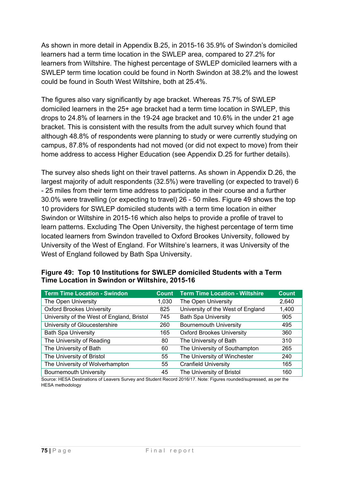As shown in more detail in Appendix B.25, in 2015-16 35.9% of Swindon's domiciled learners had a term time location in the SWLEP area, compared to 27.2% for learners from Wiltshire. The highest percentage of SWLEP domiciled learners with a SWLEP term time location could be found in North Swindon at 38.2% and the lowest could be found in South West Wiltshire, both at 25.4%.

The figures also vary significantly by age bracket. Whereas 75.7% of SWLEP domiciled learners in the 25+ age bracket had a term time location in SWLEP, this drops to 24.8% of learners in the 19-24 age bracket and 10.6% in the under 21 age bracket. This is consistent with the results from the adult survey which found that although 48.8% of respondents were planning to study or were currently studying on campus, 87.8% of respondents had not moved (or did not expect to move) from their home address to access Higher Education (see Appendix D.25 for further details).

The survey also sheds light on their travel patterns. As shown in Appendix D.26, the largest majority of adult respondents (32.5%) were travelling (or expected to travel) 6 - 25 miles from their term time address to participate in their course and a further 30.0% were travelling (or expecting to travel) 26 - 50 miles. Figure 49 shows the top 10 providers for SWLEP domiciled students with a term time location in either Swindon or Wiltshire in 2015-16 which also helps to provide a profile of travel to learn patterns. Excluding The Open University, the highest percentage of term time located learners from Swindon travelled to Oxford Brookes University, followed by University of the West of England. For Wiltshire's learners, it was University of the West of England followed by Bath Spa University.

| <b>Term Time Location - Swindon</b>        | Count | <b>Term Time Location - Wiltshire</b> | <b>Count</b> |
|--------------------------------------------|-------|---------------------------------------|--------------|
| The Open University                        | 1,030 | The Open University                   | 2,640        |
| <b>Oxford Brookes University</b>           | 825   | University of the West of England     | 1,400        |
| University of the West of England, Bristol | 745   | <b>Bath Spa University</b>            | 905          |
| University of Gloucestershire              | 260   | Bournemouth University                | 495          |
| <b>Bath Spa University</b>                 | 165   | <b>Oxford Brookes University</b>      | 360          |
| The University of Reading                  | 80    | The University of Bath                | 310          |
| The University of Bath                     | 60    | The University of Southampton         | 265          |
| The University of Bristol                  | 55    | The University of Winchester          | 240          |
| The University of Wolverhampton            | 55    | <b>Cranfield University</b>           | 165          |
| <b>Bournemouth University</b>              | 45    | The University of Bristol             | 160          |

### **Figure 49: Top 10 Institutions for SWLEP domiciled Students with a Term Time Location in Swindon or Wiltshire, 2015-16**

Source: HESA Destinations of Leavers Survey and Student Record 2016/17. Note: Figures rounded/supressed, as per the HESA methodology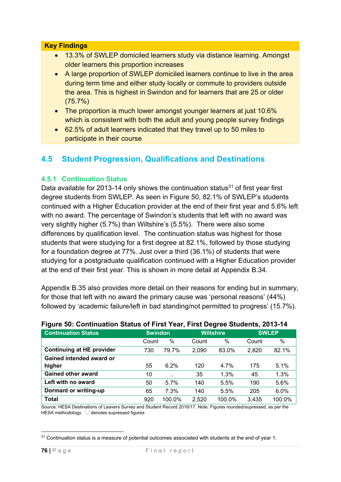#### **Key Findings**

- 13.3% of SWLEP domiciled learners study via distance learning. Amongst older learners this proportion increases
- A large proportion of SWLEP domiciled learners continue to live in the area during term time and either study locally or commute to providers outside the area. This is highest in Swindon and for learners that are 25 or older (75.7%)
- The proportion is much lower amongst younger learners at just 10.6% which is consistent with both the adult and young people survey findings
- 62.5% of adult learners indicated that they travel up to 50 miles to participate in their course

## **4.5 Student Progression, Qualifications and Destinations**

### **4.5.1 Continuation Status**

Data available for 2013-14 only shows the continuation status $31$  of first year first degree students from SWLEP. As seen in Figure 50, 82.1% of SWLEP's students continued with a Higher Education provider at the end of their first year and 5.6% left with no award. The percentage of Swindon's students that left with no award was very slightly higher (5.7%) than Wiltshire's (5.5%). There were also some differences by qualification level. The continuation status was highest for those students that were studying for a first degree at 82.1%, followed by those studying for a foundation degree at 77%. Just over a third (36.1%) of students that were studying for a postgraduate qualification continued with a Higher Education provider at the end of their first year. This is shown in more detail at Appendix B.34.

Appendix B.35 also provides more detail on their reasons for ending but in summary, for those that left with no award the primary cause was 'personal reasons' (44%) followed by 'academic failure/left in bad standing/not permitted to progress' (15.7%).

| <b>Continuation Status</b>       |       | <b>Swindon</b>       |       | <b>Wiltshire</b> | <b>SWLEP</b> |        |
|----------------------------------|-------|----------------------|-------|------------------|--------------|--------|
|                                  | Count | $\%$                 | Count | $\%$             | Count        | $\%$   |
| <b>Continuing at HE provider</b> | 730   | 79.7%                | 2,090 | 83.0%            | 2,820        | 82.1%  |
| Gained intended award or         |       |                      |       |                  |              |        |
| higher                           | 55    | 6.2%                 | 120   | 4.7%             | 175          | 5.1%   |
| <b>Gained other award</b>        | 10    | $\ddot{\phantom{0}}$ | 35    | 1.3%             | 45           | 1.3%   |
| Left with no award               | 50    | 5.7%                 | 140   | 5.5%             | 190          | 5.6%   |
| Dormant or writing-up            | 65    | 7.3%                 | 140   | 5.5%             | 205          | 6.0%   |
| <b>Total</b>                     | 920   | 100.0%               | 2,520 | 100.0%           | 3,435        | 100.0% |

#### **Figure 50: Continuation Status of First Year, First Degree Students, 2013-14**

Source: HESA Destinations of Leavers Survey and Student Record 2016/17. Note: Figures rounded/supressed, as per the HESA methodology. '..' denotes supressed figures

<sup>1</sup> <sup>31</sup> Continuation status is a measure of potential outcomes associated with students at the end of year 1.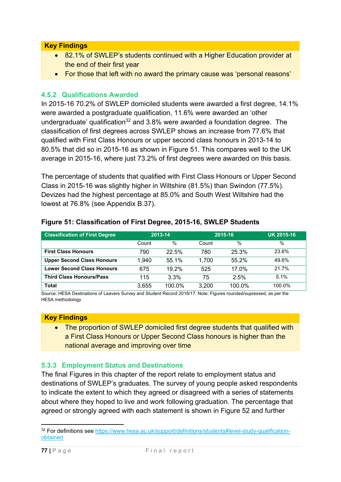### **Key Findings**

- 82.1% of SWLEP's students continued with a Higher Education provider at the end of their first year
- For those that left with no award the primary cause was 'personal reasons'

### **4.5.2 Qualifications Awarded**

In 2015-16 70.2% of SWLEP domiciled students were awarded a first degree, 14.1% were awarded a postgraduate qualification, 11.6% were awarded an 'other undergraduate' qualification<sup>32</sup> and  $3.8\%$  were awarded a foundation degree. The classification of first degrees across SWLEP shows an increase from 77.6% that qualified with First Class Honours or upper second class honours in 2013-14 to 80.5% that did so in 2015-16 as shown in Figure 51. This compares well to the UK average in 2015-16, where just 73.2% of first degrees were awarded on this basis.

The percentage of students that qualified with First Class Honours or Upper Second Class in 2015-16 was slightly higher in Wiltshire (81.5%) than Swindon (77.5%). Devizes had the highest percentage at 85.0% and South West Wiltshire had the lowest at 76.8% (see Appendix B.37).

| <b>Classification of First Degree</b> |       | 2013-14 |       | 2015-16 | <b>UK 2015-16</b> |
|---------------------------------------|-------|---------|-------|---------|-------------------|
|                                       | Count | $\%$    | Count | $\%$    | $\%$              |
| <b>First Class Honours</b>            | 790   | 22.5%   | 780   | 25.3%   | 23.6%             |
| <b>Upper Second Class Honours</b>     | 1.940 | 55.1%   | 1,700 | 55.2%   | 49.6%             |
| <b>Lower Second Class Honours</b>     | 675   | 19.2%   | 525   | 17.0%   | 21.7%             |
| <b>Third Class Honours/Pass</b>       | 115   | 3.3%    | 75    | 2.5%    | 5.1%              |
| <b>Total</b>                          | 3.655 | 100.0%  | 3,200 | 100.0%  | 100.0%            |

#### **Figure 51: Classification of First Degree, 2015-16, SWLEP Students**

Source: HESA Destinations of Leavers Survey and Student Record 2016/17. Note: Figures rounded/supressed, as per the HESA methodology

#### **Key Findings**

• The proportion of SWLEP domiciled first degree students that qualified with a First Class Honours or Upper Second Class honours is higher than the national average and improving over time

### **5.3.3 Employment Status and Destinations**

The final Figures in this chapter of the report relate to employment status and destinations of SWLEP's graduates. The survey of young people asked respondents to indicate the extent to which they agreed or disagreed with a series of statements about where they hoped to live and work following graduation. The percentage that agreed or strongly agreed with each statement is shown in Figure 52 and further

<sup>1</sup> <sup>32</sup> For definitions see https://www.hesa.ac.uk/support/definitions/students#level-study-qualificationobtained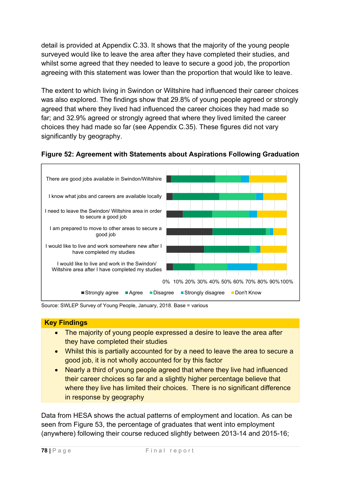detail is provided at Appendix C.33. It shows that the majority of the young people surveyed would like to leave the area after they have completed their studies, and whilst some agreed that they needed to leave to secure a good job, the proportion agreeing with this statement was lower than the proportion that would like to leave.

The extent to which living in Swindon or Wiltshire had influenced their career choices was also explored. The findings show that 29.8% of young people agreed or strongly agreed that where they lived had influenced the career choices they had made so far; and 32.9% agreed or strongly agreed that where they lived limited the career choices they had made so far (see Appendix C.35). These figures did not vary significantly by geography.





Source: SWLEP Survey of Young People, January, 2018. Base = various

### **Key Findings**  • The majority of young people expressed a desire to leave the area after they have completed their studies

- Whilst this is partially accounted for by a need to leave the area to secure a good job, it is not wholly accounted for by this factor
- Nearly a third of young people agreed that where they live had influenced their career choices so far and a slightly higher percentage believe that where they live has limited their choices. There is no significant difference in response by geography

Data from HESA shows the actual patterns of employment and location. As can be seen from Figure 53, the percentage of graduates that went into employment (anywhere) following their course reduced slightly between 2013-14 and 2015-16;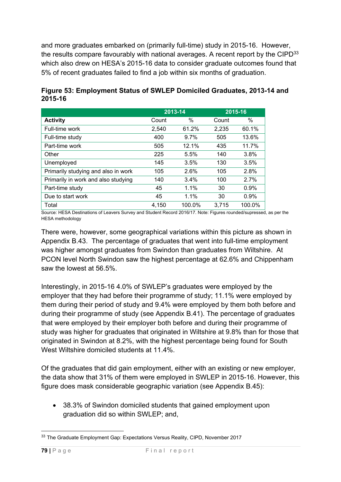and more graduates embarked on (primarily full-time) study in 2015-16. However, the results compare favourably with national averages. A recent report by the CIPD<sup>33</sup> which also drew on HESA's 2015-16 data to consider graduate outcomes found that 5% of recent graduates failed to find a job within six months of graduation.

|                                     |       | 2013-14 |       | 2015-16 |
|-------------------------------------|-------|---------|-------|---------|
| <b>Activity</b>                     | Count | %       | Count | %       |
| Full-time work                      | 2,540 | 61.2%   | 2,235 | 60.1%   |
| Full-time study                     | 400   | 9.7%    | 505   | 13.6%   |
| Part-time work                      | 505   | 12.1%   | 435   | 11.7%   |
| Other                               | 225   | 5.5%    | 140   | 3.8%    |
| Unemployed                          | 145   | 3.5%    | 130   | 3.5%    |
| Primarily studying and also in work | 105   | 2.6%    | 105   | 2.8%    |
| Primarily in work and also studying | 140   | 3.4%    | 100   | 2.7%    |
| Part-time study                     | 45    | 1.1%    | 30    | 0.9%    |
| Due to start work                   | 45    | 1.1%    | 30    | 0.9%    |
| Total                               | 4,150 | 100.0%  | 3,715 | 100.0%  |

## **Figure 53: Employment Status of SWLEP Domiciled Graduates, 2013-14 and 2015-16**

Source: HESA Destinations of Leavers Survey and Student Record 2016/17. Note: Figures rounded/supressed, as per the HESA methodology

There were, however, some geographical variations within this picture as shown in Appendix B.43. The percentage of graduates that went into full-time employment was higher amongst graduates from Swindon than graduates from Wiltshire. At PCON level North Swindon saw the highest percentage at 62.6% and Chippenham saw the lowest at 56.5%.

Interestingly, in 2015-16 4.0% of SWLEP's graduates were employed by the employer that they had before their programme of study; 11.1% were employed by them during their period of study and 9.4% were employed by them both before and during their programme of study (see Appendix B.41). The percentage of graduates that were employed by their employer both before and during their programme of study was higher for graduates that originated in Wiltshire at 9.8% than for those that originated in Swindon at 8.2%, with the highest percentage being found for South West Wiltshire domiciled students at 11.4%.

Of the graduates that did gain employment, either with an existing or new employer, the data show that 31% of them were employed in SWLEP in 2015-16. However, this figure does mask considerable geographic variation (see Appendix B.45):

 38.3% of Swindon domiciled students that gained employment upon graduation did so within SWLEP; and,

<sup>1</sup> <sup>33</sup> The Graduate Employment Gap: Expectations Versus Reality, CIPD, November 2017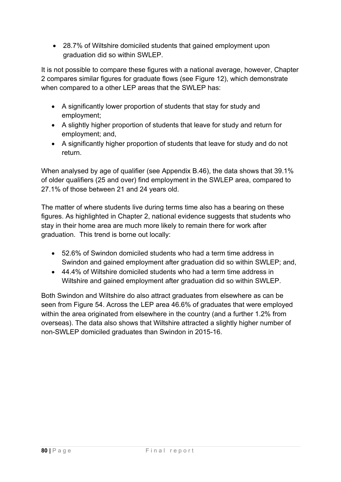28.7% of Wiltshire domiciled students that gained employment upon graduation did so within SWLEP.

It is not possible to compare these figures with a national average, however, Chapter 2 compares similar figures for graduate flows (see Figure 12), which demonstrate when compared to a other LEP areas that the SWLEP has:

- A significantly lower proportion of students that stay for study and employment;
- A slightly higher proportion of students that leave for study and return for employment; and,
- A significantly higher proportion of students that leave for study and do not return.

When analysed by age of qualifier (see Appendix B.46), the data shows that 39.1% of older qualifiers (25 and over) find employment in the SWLEP area, compared to 27.1% of those between 21 and 24 years old.

The matter of where students live during terms time also has a bearing on these figures. As highlighted in Chapter 2, national evidence suggests that students who stay in their home area are much more likely to remain there for work after graduation. This trend is borne out locally:

- 52.6% of Swindon domiciled students who had a term time address in Swindon and gained employment after graduation did so within SWLEP; and,
- 44.4% of Wiltshire domiciled students who had a term time address in Wiltshire and gained employment after graduation did so within SWLEP.

Both Swindon and Wiltshire do also attract graduates from elsewhere as can be seen from Figure 54. Across the LEP area 46.6% of graduates that were employed within the area originated from elsewhere in the country (and a further 1.2% from overseas). The data also shows that Wiltshire attracted a slightly higher number of non-SWLEP domiciled graduates than Swindon in 2015-16.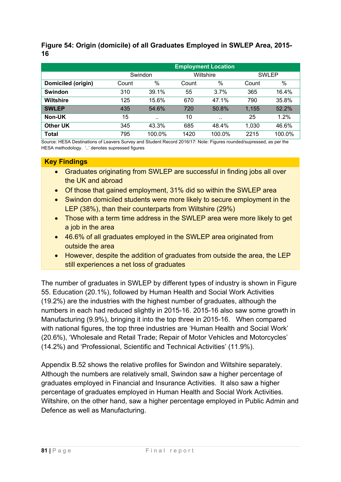### **Figure 54: Origin (domicile) of all Graduates Employed in SWLEP Area, 2015- 16**

|                    |       |           |              | <b>Employment Location</b> |              |        |  |
|--------------------|-------|-----------|--------------|----------------------------|--------------|--------|--|
|                    |       | Swindon   |              | Wiltshire                  | <b>SWLEP</b> |        |  |
| Domiciled (origin) | Count | $\%$      | Count        | %                          | Count        | %      |  |
| <b>Swindon</b>     | 310   | 39.1%     | 55           | 3.7%                       | 365          | 16.4%  |  |
| <b>Wiltshire</b>   | 125   | 15.6%     | 670          | 47.1%                      |              | 35.8%  |  |
| <b>SWLEP</b>       | 435   | 54.6%     | 720<br>50.8% |                            | 1.155        | 52.2%  |  |
| Non-UK             | 15    | $\ddotsc$ | 10           | $\ddotsc$                  | 25           | 1.2%   |  |
| <b>Other UK</b>    | 345   | 43.3%     | 685          | 48.4%                      | 1,030        | 46.6%  |  |
| <b>Total</b>       | 795   | 100.0%    | 1420         | 100.0%                     | 2215         | 100.0% |  |

Source: HESA Destinations of Leavers Survey and Student Record 2016/17: Note: Figures rounded/supressed, as per the HESA methodology. '..' denotes supressed figures

### **Key Findings**

- Graduates originating from SWLEP are successful in finding jobs all over the UK and abroad
- Of those that gained employment, 31% did so within the SWLEP area
- Swindon domiciled students were more likely to secure employment in the LEP (38%), than their counterparts from Wiltshire (29%)
- Those with a term time address in the SWLEP area were more likely to get a job in the area
- 46.6% of all graduates employed in the SWLEP area originated from outside the area
- However, despite the addition of graduates from outside the area, the LEP still experiences a net loss of graduates

The number of graduates in SWLEP by different types of industry is shown in Figure 55. Education (20.1%), followed by Human Health and Social Work Activities (19.2%) are the industries with the highest number of graduates, although the numbers in each had reduced slightly in 2015-16. 2015-16 also saw some growth in Manufacturing (9.9%), bringing it into the top three in 2015-16. When compared with national figures, the top three industries are 'Human Health and Social Work' (20.6%), 'Wholesale and Retail Trade; Repair of Motor Vehicles and Motorcycles' (14.2%) and 'Professional, Scientific and Technical Activities' (11.9%).

Appendix B.52 shows the relative profiles for Swindon and Wiltshire separately. Although the numbers are relatively small, Swindon saw a higher percentage of graduates employed in Financial and Insurance Activities. It also saw a higher percentage of graduates employed in Human Health and Social Work Activities. Wiltshire, on the other hand, saw a higher percentage employed in Public Admin and Defence as well as Manufacturing.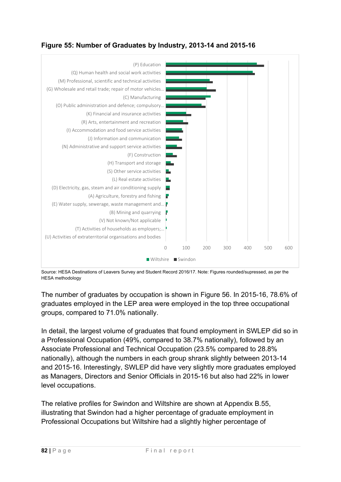## **Figure 55: Number of Graduates by Industry, 2013-14 and 2015-16**



Source: HESA Destinations of Leavers Survey and Student Record 2016/17. Note: Figures rounded/supressed, as per the HESA methodology

The number of graduates by occupation is shown in Figure 56. In 2015-16, 78.6% of graduates employed in the LEP area were employed in the top three occupational groups, compared to 71.0% nationally.

In detail, the largest volume of graduates that found employment in SWLEP did so in a Professional Occupation (49%, compared to 38.7% nationally), followed by an Associate Professional and Technical Occupation (23.5% compared to 28.8% nationally), although the numbers in each group shrank slightly between 2013-14 and 2015-16. Interestingly, SWLEP did have very slightly more graduates employed as Managers, Directors and Senior Officials in 2015-16 but also had 22% in lower level occupations.

The relative profiles for Swindon and Wiltshire are shown at Appendix B.55, illustrating that Swindon had a higher percentage of graduate employment in Professional Occupations but Wiltshire had a slightly higher percentage of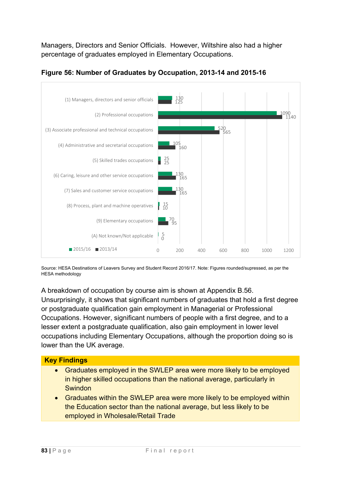Managers, Directors and Senior Officials. However, Wiltshire also had a higher percentage of graduates employed in Elementary Occupations.



### **Figure 56: Number of Graduates by Occupation, 2013-14 and 2015-16**

Source: HESA Destinations of Leavers Survey and Student Record 2016/17. Note: Figures rounded/supressed, as per the HESA methodology

A breakdown of occupation by course aim is shown at Appendix B.56. Unsurprisingly, it shows that significant numbers of graduates that hold a first degree or postgraduate qualification gain employment in Managerial or Professional Occupations. However, significant numbers of people with a first degree, and to a lesser extent a postgraduate qualification, also gain employment in lower level occupations including Elementary Occupations, although the proportion doing so is lower than the UK average.

# **Key Findings**  Graduates employed in the SWLEP area were more likely to be employed in higher skilled occupations than the national average, particularly in **Swindon** Graduates within the SWLEP area were more likely to be employed within

the Education sector than the national average, but less likely to be employed in Wholesale/Retail Trade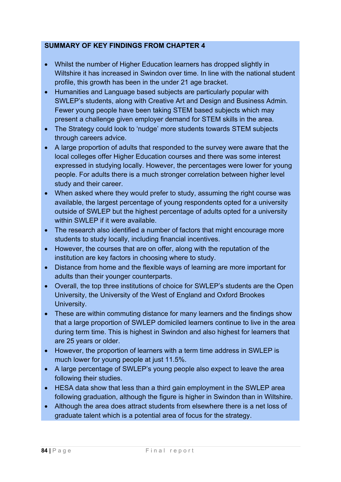### **SUMMARY OF KEY FINDINGS FROM CHAPTER 4**

- Whilst the number of Higher Education learners has dropped slightly in Wiltshire it has increased in Swindon over time. In line with the national student profile, this growth has been in the under 21 age bracket.
- Humanities and Language based subjects are particularly popular with SWLEP's students, along with Creative Art and Design and Business Admin. Fewer young people have been taking STEM based subjects which may present a challenge given employer demand for STEM skills in the area.
- The Strategy could look to 'nudge' more students towards STEM subjects through careers advice.
- A large proportion of adults that responded to the survey were aware that the local colleges offer Higher Education courses and there was some interest expressed in studying locally. However, the percentages were lower for young people. For adults there is a much stronger correlation between higher level study and their career.
- When asked where they would prefer to study, assuming the right course was available, the largest percentage of young respondents opted for a university outside of SWLEP but the highest percentage of adults opted for a university within SWI FP if it were available.
- The research also identified a number of factors that might encourage more students to study locally, including financial incentives.
- However, the courses that are on offer, along with the reputation of the institution are key factors in choosing where to study.
- Distance from home and the flexible ways of learning are more important for adults than their younger counterparts.
- Overall, the top three institutions of choice for SWLEP's students are the Open University, the University of the West of England and Oxford Brookes University.
- These are within commuting distance for many learners and the findings show that a large proportion of SWLEP domiciled learners continue to live in the area during term time. This is highest in Swindon and also highest for learners that are 25 years or older.
- However, the proportion of learners with a term time address in SWLEP is much lower for young people at just 11.5%.
- A large percentage of SWLEP's young people also expect to leave the area following their studies.
- HESA data show that less than a third gain employment in the SWLEP area following graduation, although the figure is higher in Swindon than in Wiltshire.
- Although the area does attract students from elsewhere there is a net loss of graduate talent which is a potential area of focus for the strategy.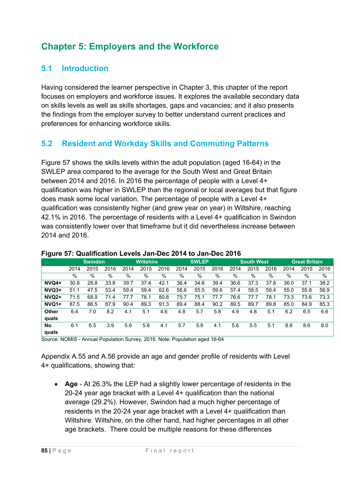# **Chapter 5: Employers and the Workforce**

## **5.1 Introduction**

Having considered the learner perspective in Chapter 3, this chapter of the report focuses on employers and workforce issues. It explores the available secondary data on skills levels as well as skills shortages, gaps and vacancies; and it also presents the findings from the employer survey to better understand current practices and preferences for enhancing workforce skills.

## **5.2 Resident and Workday Skills and Commuting Patterns**

Figure 57 shows the skills levels within the adult population (aged 16-64) in the SWLEP area compared to the average for the South West and Great Britain between 2014 and 2016. In 2016 the percentage of people with a Level 4+ qualification was higher in SWLEP than the regional or local averages but that figure does mask some local variation. The percentage of people with a Level 4+ qualification was consistently higher (and grew year on year) in Wiltshire, reaching 42.1% in 2016. The percentage of residents with a Level 4+ qualification in Swindon was consistently lower over that timeframe but it did nevertheless increase between 2014 and 2016.

| ັ            |                |      |      |                  |      |      |              |      |      |                   |      |      |                      |      |      |
|--------------|----------------|------|------|------------------|------|------|--------------|------|------|-------------------|------|------|----------------------|------|------|
|              | <b>Swindon</b> |      |      | <b>Wiltshire</b> |      |      | <b>SWLEP</b> |      |      | <b>South West</b> |      |      | <b>Great Britain</b> |      |      |
|              | 2014           | 2015 | 2016 | 2014             | 2015 | 2016 | 2014         | 2015 | 2016 | 2014              | 2015 | 2016 | 2014                 | 2015 | 2016 |
|              | $\%$           | %    | $\%$ | %                | %    | $\%$ | %            | %    | %    | %                 | %    | %    | %                    | $\%$ | %    |
| $NVO4+$      | 30.8           | 28.8 | 33.8 | 39.7             | 37.4 | 42.1 | 36.4         | 34.6 | 39.4 | 36.6              | 37.3 | 37.8 | 36.0                 | 37.1 | 38.2 |
| $NVO3+$      | 51.1           | 47.5 | 53.4 | 59.4             | 59.4 | 62.6 | 56.6         | 55.5 | 59.6 | 57.4              | 58.5 | 59.4 | 55.0                 | 55.8 | 56.9 |
| <b>NVQ2+</b> | 71.5           | 68.9 | 71.4 | 77.7             | 78.1 | 80.8 | 75.7         | 75.1 | 77.7 | 76.6              | 77.7 | 78.1 | 73.3                 | 73.6 | 73.3 |
| NVQ1+        | 87.5           | 86.5 | 87.9 | 90.4             | 89.3 | 91.3 | 89.4         | 88.4 | 90.2 | 89.5              | 89.7 | 89.8 | 85.0                 | 84.9 | 85.3 |
| Other        | 6.4            | 7.0  | 8.2  | 4.1              | 5.1  | 4.6  | 4.8          | 5.7  | 5.8  | 4.9               | 4.8  | 5.1  | 6.2                  | 6.5  | 6.6  |
| quals        |                |      |      |                  |      |      |              |      |      |                   |      |      |                      |      |      |
| <b>No</b>    | 6.1            | 6.5  | 3.9  | 5.6              | 5.6  | 4.1  | 5.7          | 5.9  | 4.1  | 5.6               | 5.5  | 5.1  | 8.8                  | 8.6  | 8.0  |
| quals        |                |      |      |                  |      |      |              |      |      |                   |      |      |                      |      |      |

#### **Figure 57: Qualification Levels Jan-Dec 2014 to Jan-Dec 2016**

Source: NOMIS - Annual Population Survey, 2016. Note: Population aged 16-64

Appendix A.55 and A.56 provide an age and gender profile of residents with Level 4+ qualifications, showing that:

 **Age** - At 26.3% the LEP had a slightly lower percentage of residents in the 20-24 year age bracket with a Level 4+ qualification than the national average (29.2%). However, Swindon had a much higher percentage of residents in the 20-24 year age bracket with a Level 4+ qualification than Wiltshire. Wiltshire, on the other hand, had higher percentages in all other age brackets. There could be multiple reasons for these differences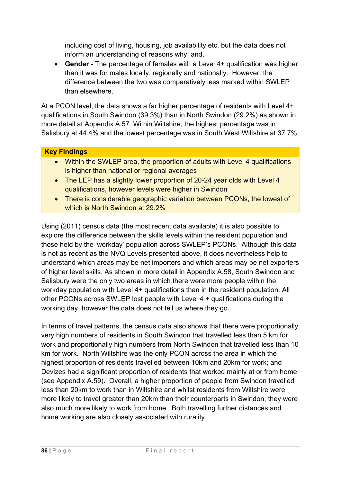including cost of living, housing, job availability etc. but the data does not inform an understanding of reasons why; and,

 **Gender** - The percentage of females with a Level 4+ qualification was higher than it was for males locally, regionally and nationally. However, the difference between the two was comparatively less marked within SWLEP than elsewhere.

At a PCON level, the data shows a far higher percentage of residents with Level 4+ qualifications in South Swindon (39.3%) than in North Swindon (29.2%) as shown in more detail at Appendix A.57. Within Wiltshire, the highest percentage was in Salisbury at 44.4% and the lowest percentage was in South West Wiltshire at 37.7%.

### **Key Findings**

- Within the SWLEP area, the proportion of adults with Level 4 qualifications is higher than national or regional averages
- The LEP has a slightly lower proportion of 20-24 year olds with Level 4 qualifications, however levels were higher in Swindon
- There is considerable geographic variation between PCONs, the lowest of which is North Swindon at 29.2%

Using (2011) census data (the most recent data available) it is also possible to explore the difference between the skills levels within the resident population and those held by the 'workday' population across SWLEP's PCONs. Although this data is not as recent as the NVQ Levels presented above, it does nevertheless help to understand which areas may be net importers and which areas may be net exporters of higher level skills. As shown in more detail in Appendix A.58, South Swindon and Salisbury were the only two areas in which there were more people within the workday population with Level 4+ qualifications than in the resident population. All other PCONs across SWLEP lost people with Level 4 + qualifications during the working day, however the data does not tell us where they go.

In terms of travel patterns, the census data also shows that there were proportionally very high numbers of residents in South Swindon that travelled less than 5 km for work and proportionally high numbers from North Swindon that travelled less than 10 km for work. North Wiltshire was the only PCON across the area in which the highest proportion of residents travelled between 10km and 20km for work; and Devizes had a significant proportion of residents that worked mainly at or from home (see Appendix A.59). Overall, a higher proportion of people from Swindon travelled less than 20km to work than in Wiltshire and whilst residents from Wiltshire were more likely to travel greater than 20km than their counterparts in Swindon, they were also much more likely to work from home. Both travelling further distances and home working are also closely associated with rurality.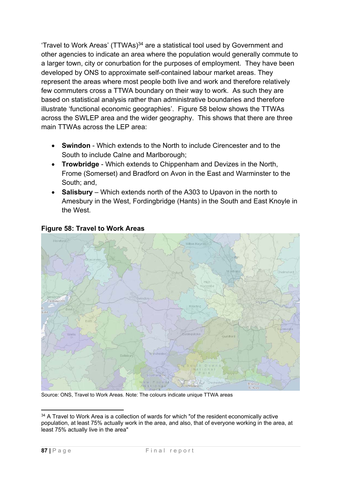'Travel to Work Areas' (TTWAs)<sup>34</sup> are a statistical tool used by Government and other agencies to indicate an area where the population would generally commute to a larger town, city or conurbation for the purposes of employment. They have been developed by ONS to approximate self-contained labour market areas. They represent the areas where most people both live and work and therefore relatively few commuters cross a TTWA boundary on their way to work. As such they are based on statistical analysis rather than administrative boundaries and therefore illustrate 'functional economic geographies'. Figure 58 below shows the TTWAs across the SWLEP area and the wider geography. This shows that there are three main TTWAs across the LEP area:

- **Swindon** Which extends to the North to include Cirencester and to the South to include Calne and Marlborough;
- **Trowbridge** Which extends to Chippenham and Devizes in the North, Frome (Somerset) and Bradford on Avon in the East and Warminster to the South; and,
- **Salisbury** Which extends north of the A303 to Upavon in the north to Amesbury in the West, Fordingbridge (Hants) in the South and East Knoyle in the West.



### **Figure 58: Travel to Work Areas**

Source: ONS, Travel to Work Areas. Note: The colours indicate unique TTWA areas

<sup>1</sup> <sup>34</sup> A Travel to Work Area is a collection of wards for which "of the resident economically active population, at least 75% actually work in the area, and also, that of everyone working in the area, at least 75% actually live in the area"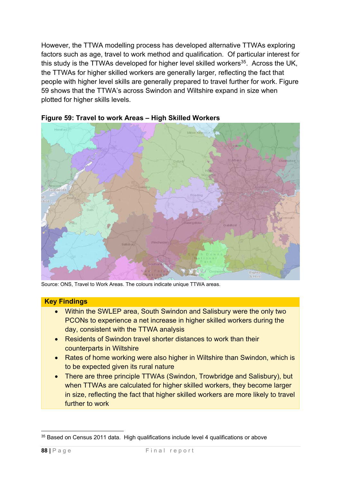However, the TTWA modelling process has developed alternative TTWAs exploring factors such as age, travel to work method and qualification. Of particular interest for this study is the TTWAs developed for higher level skilled workers $35$ . Across the UK, the TTWAs for higher skilled workers are generally larger, reflecting the fact that people with higher level skills are generally prepared to travel further for work. Figure 59 shows that the TTWA's across Swindon and Wiltshire expand in size when plotted for higher skills levels.





Source: ONS, Travel to Work Areas. The colours indicate unique TTWA areas.

#### **Key Findings**

- Within the SWLEP area, South Swindon and Salisbury were the only two PCONs to experience a net increase in higher skilled workers during the day, consistent with the TTWA analysis
- Residents of Swindon travel shorter distances to work than their counterparts in Wiltshire
- Rates of home working were also higher in Wiltshire than Swindon, which is to be expected given its rural nature
- There are three principle TTWAs (Swindon, Trowbridge and Salisbury), but when TTWAs are calculated for higher skilled workers, they become larger in size, reflecting the fact that higher skilled workers are more likely to travel further to work

<sup>1</sup> <sup>35</sup> Based on Census 2011 data. High qualifications include level 4 qualifications or above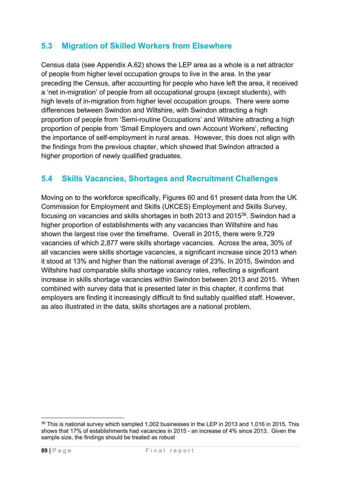## **5.3 Migration of Skilled Workers from Elsewhere**

Census data (see Appendix A.62) shows the LEP area as a whole is a net attractor of people from higher level occupation groups to live in the area. In the year preceding the Census, after accounting for people who have left the area, it received a 'net in-migration' of people from all occupational groups (except students), with high levels of in-migration from higher level occupation groups. There were some differences between Swindon and Wiltshire, with Swindon attracting a high proportion of people from 'Semi-routine Occupations' and Wiltshire attracting a high proportion of people from 'Small Employers and own Account Workers', reflecting the importance of self-employment in rural areas. However, this does not align with the findings from the previous chapter, which showed that Swindon attracted a higher proportion of newly qualified graduates.

## **5.4 Skills Vacancies, Shortages and Recruitment Challenges**

Moving on to the workforce specifically, Figures 60 and 61 present data from the UK Commission for Employment and Skills (UKCES) Employment and Skills Survey, focusing on vacancies and skills shortages in both 2013 and 201536. Swindon had a higher proportion of establishments with any vacancies than Wiltshire and has shown the largest rise over the timeframe. Overall in 2015, there were 9,729 vacancies of which 2,877 were skills shortage vacancies. Across the area, 30% of all vacancies were skills shortage vacancies, a significant increase since 2013 when it stood at 13% and higher than the national average of 23%. In 2015, Swindon and Wiltshire had comparable skills shortage vacancy rates, reflecting a significant increase in skills shortage vacancies within Swindon between 2013 and 2015. When combined with survey data that is presented later in this chapter, it confirms that employers are finding it increasingly difficult to find suitably qualified staff. However, as also illustrated in the data, skills shortages are a national problem.

<sup>&</sup>lt;u>.</u> <sup>36</sup> This is national survey which sampled 1,002 businesses in the LEP in 2013 and 1,016 in 2015. This shows that 17% of establishments had vacancies in 2015 - an increase of 4% since 2013. Given the sample size, the findings should be treated as robust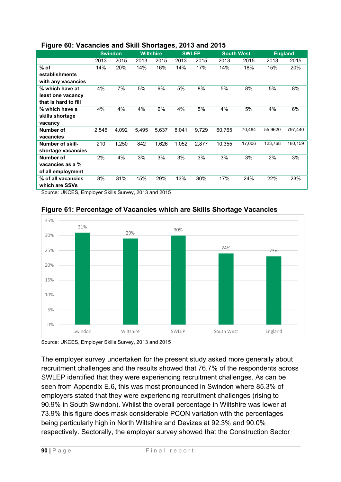### **Figure 60: Vacancies and Skill Shortages, 2013 and 2015**

|                         | <b>Swindon</b> |       | <b>Wiltshire</b> |       | <b>SWLEP</b> |       | <b>South West</b> |        | <b>England</b> |         |
|-------------------------|----------------|-------|------------------|-------|--------------|-------|-------------------|--------|----------------|---------|
|                         | 2013           | 2015  | 2013             | 2015  | 2013         | 2015  | 2013              | 2015   | 2013           | 2015    |
| $%$ of                  | 14%            | 20%   | 14%              | 16%   | 14%          | 17%   | 14%               | 18%    | 15%            | 20%     |
| establishments          |                |       |                  |       |              |       |                   |        |                |         |
| with any vacancies      |                |       |                  |       |              |       |                   |        |                |         |
| % which have at         | 4%             | 7%    | 5%               | 9%    | 5%           | 8%    | 5%                | 8%     | 5%             | 8%      |
| least one vacancy       |                |       |                  |       |              |       |                   |        |                |         |
| that is hard to fill    |                |       |                  |       |              |       |                   |        |                |         |
| % which have a          | 4%             | 4%    | 4%               | 6%    | 4%           | 5%    | 4%                | 5%     | 4%             | 6%      |
| skills shortage         |                |       |                  |       |              |       |                   |        |                |         |
| vacancy                 |                |       |                  |       |              |       |                   |        |                |         |
| Number of               | 2,546          | 4,092 | 5,495            | 5,637 | 8,041        | 9,729 | 60,765            | 70,484 | 55,9620        | 797,440 |
| vacancies               |                |       |                  |       |              |       |                   |        |                |         |
| <b>Number of skill-</b> | 210            | 1,250 | 842              | 1,626 | 1,052        | 2,877 | 10,355            | 17,006 | 123,768        | 180,159 |
| shortage vacancies      |                |       |                  |       |              |       |                   |        |                |         |
| Number of               | 2%             | 4%    | 3%               | 3%    | 3%           | 3%    | 3%                | 3%     | 2%             | 3%      |
| vacancies as a %        |                |       |                  |       |              |       |                   |        |                |         |
| of all employment       |                |       |                  |       |              |       |                   |        |                |         |
| % of all vacancies      | 8%             | 31%   | 15%              | 29%   | 13%          | 30%   | 17%               | 24%    | 22%            | 23%     |
| which are SSVs          |                |       |                  |       |              |       |                   |        |                |         |

Source: UKCES, Employer Skills Survey, 2013 and 2015



**Figure 61: Percentage of Vacancies which are Skills Shortage Vacancies**

Source: UKCES, Employer Skills Survey, 2013 and 2015

The employer survey undertaken for the present study asked more generally about recruitment challenges and the results showed that 76.7% of the respondents across SWLEP identified that they were experiencing recruitment challenges. As can be seen from Appendix E.6, this was most pronounced in Swindon where 85.3% of employers stated that they were experiencing recruitment challenges (rising to 90.9% in South Swindon). Whilst the overall percentage in Wiltshire was lower at 73.9% this figure does mask considerable PCON variation with the percentages being particularly high in North Wiltshire and Devizes at 92.3% and 90.0% respectively. Sectorally, the employer survey showed that the Construction Sector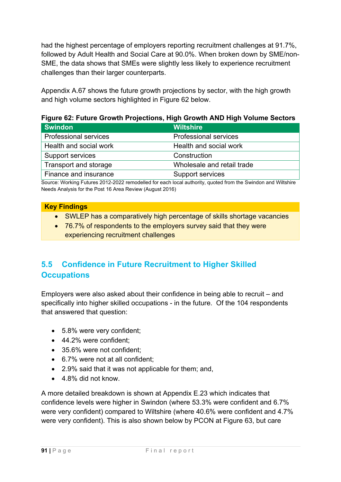had the highest percentage of employers reporting recruitment challenges at 91.7%, followed by Adult Health and Social Care at 90.0%. When broken down by SME/non-SME, the data shows that SMEs were slightly less likely to experience recruitment challenges than their larger counterparts.

Appendix A.67 shows the future growth projections by sector, with the high growth and high volume sectors highlighted in Figure 62 below.

**Figure 62: Future Growth Projections, High Growth AND High Volume Sectors** 

| <b>Swindon</b>               | <b>Wiltshire</b>             |
|------------------------------|------------------------------|
| <b>Professional services</b> | <b>Professional services</b> |
| Health and social work       | Health and social work       |
| Support services             | Construction                 |
| Transport and storage        | Wholesale and retail trade   |
| Finance and insurance        | Support services             |

Source: Working Futures 2012-2022 remodelled for each local authority, quoted from the Swindon and Wiltshire Needs Analysis for the Post 16 Area Review (August 2016)

| <b>Key Findings</b> |
|---------------------|
|                     |

- SWLEP has a comparatively high percentage of skills shortage vacancies
- 76.7% of respondents to the employers survey said that they were experiencing recruitment challenges

## **5.5 Confidence in Future Recruitment to Higher Skilled Occupations**

Employers were also asked about their confidence in being able to recruit – and specifically into higher skilled occupations - in the future. Of the 104 respondents that answered that question:

- 5.8% were very confident;
- 44.2% were confident;
- 35.6% were not confident:
- 6.7% were not at all confident;
- 2.9% said that it was not applicable for them; and,
- 4.8% did not know.

A more detailed breakdown is shown at Appendix E.23 which indicates that confidence levels were higher in Swindon (where 53.3% were confident and 6.7% were very confident) compared to Wiltshire (where 40.6% were confident and 4.7% were very confident). This is also shown below by PCON at Figure 63, but care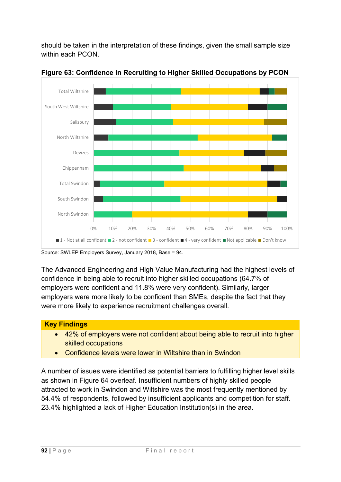should be taken in the interpretation of these findings, given the small sample size within each PCON.



**Figure 63: Confidence in Recruiting to Higher Skilled Occupations by PCON** 

The Advanced Engineering and High Value Manufacturing had the highest levels of confidence in being able to recruit into higher skilled occupations (64.7% of employers were confident and 11.8% were very confident). Similarly, larger employers were more likely to be confident than SMEs, despite the fact that they were more likely to experience recruitment challenges overall.

## **Key Findings**

- 42% of employers were not confident about being able to recruit into higher skilled occupations
- Confidence levels were lower in Wiltshire than in Swindon

A number of issues were identified as potential barriers to fulfilling higher level skills as shown in Figure 64 overleaf. Insufficient numbers of highly skilled people attracted to work in Swindon and Wiltshire was the most frequently mentioned by 54.4% of respondents, followed by insufficient applicants and competition for staff. 23.4% highlighted a lack of Higher Education Institution(s) in the area.

Source: SWLEP Employers Survey, January 2018, Base = 94.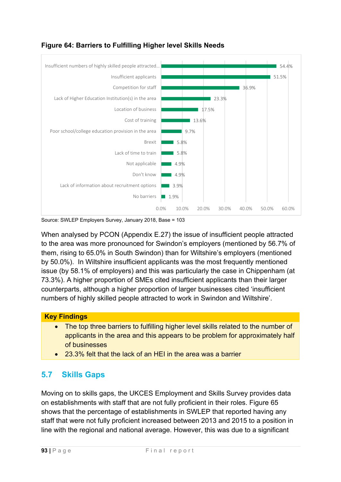

## **Figure 64: Barriers to Fulfilling Higher level Skills Needs**

Source: SWLEP Employers Survey, January 2018, Base = 103

When analysed by PCON (Appendix E.27) the issue of insufficient people attracted to the area was more pronounced for Swindon's employers (mentioned by 56.7% of them, rising to 65.0% in South Swindon) than for Wiltshire's employers (mentioned by 50.0%). In Wiltshire insufficient applicants was the most frequently mentioned issue (by 58.1% of employers) and this was particularly the case in Chippenham (at 73.3%). A higher proportion of SMEs cited insufficient applicants than their larger counterparts, although a higher proportion of larger businesses cited 'insufficient numbers of highly skilled people attracted to work in Swindon and Wiltshire'.

### **Key Findings**

- The top three barriers to fulfilling higher level skills related to the number of applicants in the area and this appears to be problem for approximately half of businesses
- 23.3% felt that the lack of an HEI in the area was a barrier

## **5.7 Skills Gaps**

Moving on to skills gaps, the UKCES Employment and Skills Survey provides data on establishments with staff that are not fully proficient in their roles. Figure 65 shows that the percentage of establishments in SWLEP that reported having any staff that were not fully proficient increased between 2013 and 2015 to a position in line with the regional and national average. However, this was due to a significant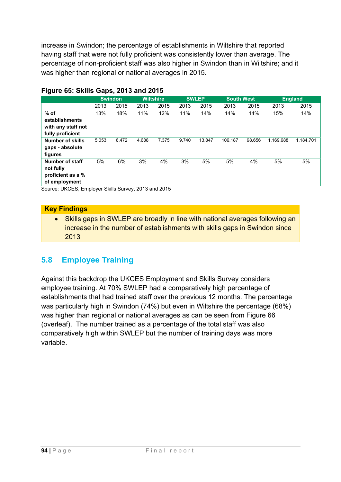increase in Swindon; the percentage of establishments in Wiltshire that reported having staff that were not fully proficient was consistently lower than average. The percentage of non-proficient staff was also higher in Swindon than in Wiltshire; and it was higher than regional or national averages in 2015.

|                    | <b>Swindon</b> |       | <b>Wiltshire</b> |       |       | <b>SWLEP</b> |         | <b>South West</b> |           | <b>England</b> |
|--------------------|----------------|-------|------------------|-------|-------|--------------|---------|-------------------|-----------|----------------|
|                    | 2013           | 2015  | 2013             | 2015  | 2013  | 2015         | 2013    | 2015              | 2013      | 2015           |
| $%$ of             | 13%            | 18%   | 11%              | 12%   | 11%   | 14%          | 14%     | 14%               | 15%       | 14%            |
| establishments     |                |       |                  |       |       |              |         |                   |           |                |
| with any staff not |                |       |                  |       |       |              |         |                   |           |                |
| fully proficient   |                |       |                  |       |       |              |         |                   |           |                |
| Number of skills   | 5,053          | 6,472 | 4,688            | 7,375 | 9.740 | 13,847       | 106.187 | 98.656            | 1,169,688 | 1,184,701      |
| gaps - absolute    |                |       |                  |       |       |              |         |                   |           |                |
| figures            |                |       |                  |       |       |              |         |                   |           |                |
| Number of staff    | 5%             | 6%    | 3%               | 4%    | 3%    | 5%           | 5%      | 4%                | 5%        | 5%             |
| not fully          |                |       |                  |       |       |              |         |                   |           |                |
| proficient as a %  |                |       |                  |       |       |              |         |                   |           |                |
| of employment      |                |       |                  |       |       |              |         |                   |           |                |

### **Figure 65: Skills Gaps, 2013 and 2015**

Source: UKCES, Employer Skills Survey, 2013 and 2015

#### **Key Findings**

• Skills gaps in SWLEP are broadly in line with national averages following an increase in the number of establishments with skills gaps in Swindon since 2013

## **5.8 Employee Training**

Against this backdrop the UKCES Employment and Skills Survey considers employee training. At 70% SWLEP had a comparatively high percentage of establishments that had trained staff over the previous 12 months. The percentage was particularly high in Swindon (74%) but even in Wiltshire the percentage (68%) was higher than regional or national averages as can be seen from Figure 66 (overleaf). The number trained as a percentage of the total staff was also comparatively high within SWLEP but the number of training days was more variable.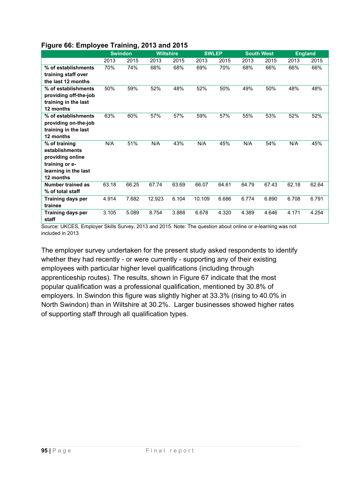|  |  | Figure 66: Employee Training, 2013 and 2015 |  |  |
|--|--|---------------------------------------------|--|--|

|                       |       | <b>Swindon</b> | <b>Wiltshire</b> |       | <b>SWLEP</b> |       |       | <b>South West</b> |       | <b>England</b> |
|-----------------------|-------|----------------|------------------|-------|--------------|-------|-------|-------------------|-------|----------------|
|                       | 2013  | 2015           | 2013             | 2015  | 2013         | 2015  | 2013  | 2015              | 2013  | 2015           |
| % of establishments   | 70%   | 74%            | 68%              | 68%   | 69%          | 70%   | 68%   | 66%               | 66%   | 66%            |
| training staff over   |       |                |                  |       |              |       |       |                   |       |                |
| the last 12 months    |       |                |                  |       |              |       |       |                   |       |                |
| % of establishments   | 50%   | 59%            | 52%              | 48%   | 52%          | 50%   | 49%   | 50%               | 48%   | 48%            |
| providing off-the-job |       |                |                  |       |              |       |       |                   |       |                |
| training in the last  |       |                |                  |       |              |       |       |                   |       |                |
| 12 months             |       |                |                  |       |              |       |       |                   |       |                |
| % of establishments   | 63%   | 60%            | 57%              | 57%   | 59%          | 57%   | 55%   | 53%               | 52%   | 52%            |
| providing on-the-job  |       |                |                  |       |              |       |       |                   |       |                |
| training in the last  |       |                |                  |       |              |       |       |                   |       |                |
| 12 months             |       |                |                  |       |              |       |       |                   |       |                |
| % of training         | N/A   | 51%            | N/A              | 43%   | N/A          | 45%   | N/A   | 54%               | N/A   | 45%            |
| establishments        |       |                |                  |       |              |       |       |                   |       |                |
| providing online      |       |                |                  |       |              |       |       |                   |       |                |
| training or e-        |       |                |                  |       |              |       |       |                   |       |                |
| learning in the last  |       |                |                  |       |              |       |       |                   |       |                |
| 12 months             |       |                |                  |       |              |       |       |                   |       |                |
| Number trained as     | 63.18 | 66.25          | 67.74            | 63.69 | 66.07        | 64.61 | 64.79 | 67.43             | 62.18 | 62.64          |
| % of total staff      |       |                |                  |       |              |       |       |                   |       |                |
| Training days per     | 4.914 | 7.682          | 12.923           | 6.104 | 10.109       | 6.686 | 6.774 | 6.890             | 6.708 | 6.791          |
| trainee               |       |                |                  |       |              |       |       |                   |       |                |
| Training days per     | 3.105 | 5.089          | 8.754            | 3.888 | 6.678        | 4.320 | 4.389 | 4.646             | 4.171 | 4.254          |
| staff                 |       |                |                  |       |              |       |       |                   |       |                |

Source: UKCES, Employer Skills Survey, 2013 and 2015. Note: The question about online or e-learning was not included in 2013

The employer survey undertaken for the present study asked respondents to identify whether they had recently - or were currently - supporting any of their existing employees with particular higher level qualifications (including through apprenticeship routes). The results, shown in Figure 67 indicate that the most popular qualification was a professional qualification, mentioned by 30.8% of employers. In Swindon this figure was slightly higher at 33.3% (rising to 40.0% in North Swindon) than in Wiltshire at 30.2%. Larger businesses showed higher rates of supporting staff through all qualification types.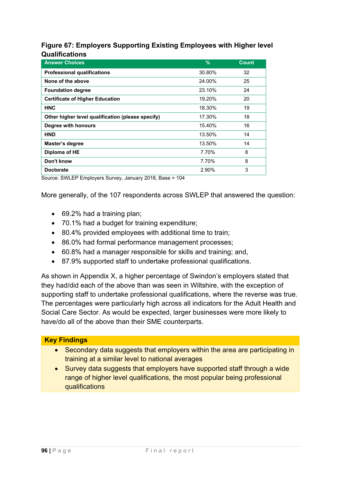### **Figure 67: Employers Supporting Existing Employees with Higher level Qualifications**

| <b>Answer Choices</b>                             | $\frac{9}{6}$ | <b>Count</b> |
|---------------------------------------------------|---------------|--------------|
| <b>Professional qualifications</b>                | 30.80%        | 32           |
| None of the above                                 | 24.00%        | 25           |
| <b>Foundation degree</b>                          | 23.10%        | 24           |
| <b>Certificate of Higher Education</b>            | 19.20%        | 20           |
| <b>HNC</b>                                        | 18.30%        | 19           |
| Other higher level qualification (please specify) | 17.30%        | 18           |
| Degree with honours                               | 15.40%        | 16           |
| <b>HND</b>                                        | 13.50%        | 14           |
| Master's degree                                   | 13.50%        | 14           |
| Diploma of HE                                     | 7.70%         | 8            |
| Don't know                                        | 7.70%         | 8            |
| <b>Doctorate</b>                                  | 2.90%         | 3            |

Source: SWLEP Employers Survey, January 2018, Base = 104

More generally, of the 107 respondents across SWLEP that answered the question:

- 69.2% had a training plan;
- 70.1% had a budget for training expenditure;
- 80.4% provided employees with additional time to train;
- 86.0% had formal performance management processes;
- 60.8% had a manager responsible for skills and training; and,
- 87.9% supported staff to undertake professional qualifications.

As shown in Appendix X, a higher percentage of Swindon's employers stated that they had/did each of the above than was seen in Wiltshire, with the exception of supporting staff to undertake professional qualifications, where the reverse was true. The percentages were particularly high across all indicators for the Adult Health and Social Care Sector. As would be expected, larger businesses were more likely to have/do all of the above than their SME counterparts.

### **Key Findings**

- Secondary data suggests that employers within the area are participating in training at a similar level to national averages
- Survey data suggests that employers have supported staff through a wide range of higher level qualifications, the most popular being professional qualifications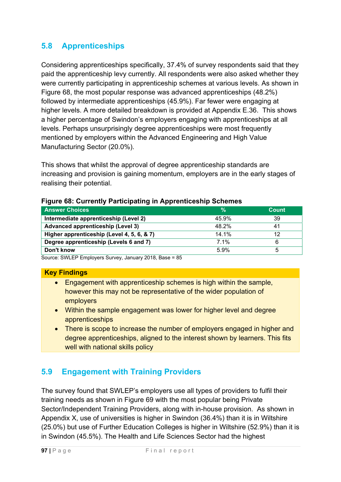## **5.8 Apprenticeships**

Considering apprenticeships specifically, 37.4% of survey respondents said that they paid the apprenticeship levy currently. All respondents were also asked whether they were currently participating in apprenticeship schemes at various levels. As shown in Figure 68, the most popular response was advanced apprenticeships (48.2%) followed by intermediate apprenticeships (45.9%). Far fewer were engaging at higher levels. A more detailed breakdown is provided at Appendix E.36. This shows a higher percentage of Swindon's employers engaging with apprenticeships at all levels. Perhaps unsurprisingly degree apprenticeships were most frequently mentioned by employers within the Advanced Engineering and High Value Manufacturing Sector (20.0%).

This shows that whilst the approval of degree apprenticeship standards are increasing and provision is gaining momentum, employers are in the early stages of realising their potential.

| <b>Answer Choices</b>                      | %       | Count |
|--------------------------------------------|---------|-------|
| Intermediate apprenticeship (Level 2)      | 45.9%   | 39    |
| <b>Advanced apprenticeship (Level 3)</b>   | 48.2%   |       |
| Higher apprenticeship (Level 4, 5, 6, & 7) | 14.1%   | 12    |
| Degree apprenticeship (Levels 6 and 7)     | $7.1\%$ |       |
| Don't know                                 | 5.9%    |       |

#### **Figure 68: Currently Participating in Apprenticeship Schemes**

Source: SWLEP Employers Survey, January 2018, Base = 85

#### **Key Findings**

- Engagement with apprenticeship schemes is high within the sample, however this may not be representative of the wider population of employers
- Within the sample engagement was lower for higher level and degree apprenticeships
- There is scope to increase the number of employers engaged in higher and degree apprenticeships, aligned to the interest shown by learners. This fits well with national skills policy

## **5.9 Engagement with Training Providers**

The survey found that SWLEP's employers use all types of providers to fulfil their training needs as shown in Figure 69 with the most popular being Private Sector/Independent Training Providers, along with in-house provision. As shown in Appendix X, use of universities is higher in Swindon (36.4%) than it is in Wiltshire (25.0%) but use of Further Education Colleges is higher in Wiltshire (52.9%) than it is in Swindon (45.5%). The Health and Life Sciences Sector had the highest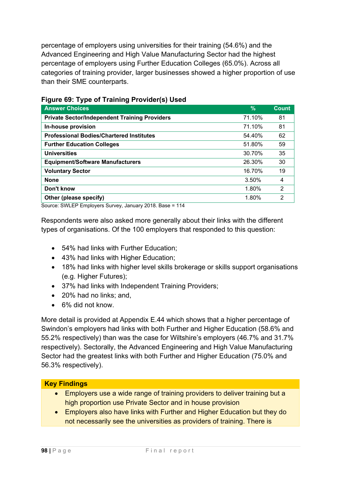percentage of employers using universities for their training (54.6%) and the Advanced Engineering and High Value Manufacturing Sector had the highest percentage of employers using Further Education Colleges (65.0%). Across all categories of training provider, larger businesses showed a higher proportion of use than their SME counterparts.

| <b>Answer Choices</b>                                | %      | <b>Count</b> |
|------------------------------------------------------|--------|--------------|
|                                                      |        |              |
| <b>Private Sector/Independent Training Providers</b> | 71.10% | 81           |
| In-house provision                                   | 71.10% | 81           |
| <b>Professional Bodies/Chartered Institutes</b>      | 54.40% | 62           |
| <b>Further Education Colleges</b>                    | 51.80% | 59           |
| <b>Universities</b>                                  | 30.70% | 35           |
| <b>Equipment/Software Manufacturers</b>              | 26.30% | 30           |
| <b>Voluntary Sector</b>                              | 16.70% | 19           |
| <b>None</b>                                          | 3.50%  | 4            |
| Don't know                                           | 1.80%  | 2            |
| Other (please specify)                               | 1.80%  | 2            |

### **Figure 69: Type of Training Provider(s) Used**

Source: SWLEP Employers Survey, January 2018. Base = 114

Respondents were also asked more generally about their links with the different types of organisations. Of the 100 employers that responded to this question:

- 54% had links with Further Education;
- 43% had links with Higher Education;
- 18% had links with higher level skills brokerage or skills support organisations (e.g. Higher Futures);
- 37% had links with Independent Training Providers;
- 20% had no links: and.
- 6% did not know.

More detail is provided at Appendix E.44 which shows that a higher percentage of Swindon's employers had links with both Further and Higher Education (58.6% and 55.2% respectively) than was the case for Wiltshire's employers (46.7% and 31.7% respectively). Sectorally, the Advanced Engineering and High Value Manufacturing Sector had the greatest links with both Further and Higher Education (75.0% and 56.3% respectively).

### **Key Findings**

- Employers use a wide range of training providers to deliver training but a high proportion use Private Sector and in house provision
- Employers also have links with Further and Higher Education but they do not necessarily see the universities as providers of training. There is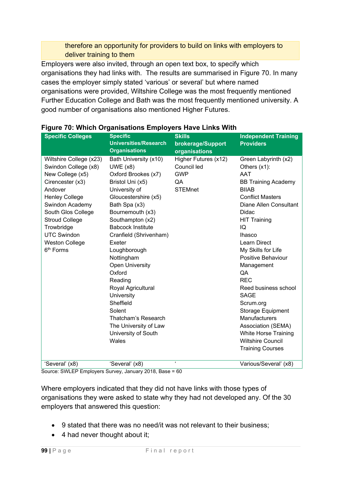### therefore an opportunity for providers to build on links with employers to deliver training to them

Employers were also invited, through an open text box, to specify which organisations they had links with. The results are summarised in Figure 70. In many cases the employer simply stated 'various' or several' but where named organisations were provided, Wiltshire College was the most frequently mentioned Further Education College and Bath was the most frequently mentioned university. A good number of organisations also mentioned Higher Futures.

| <b>Specific Colleges</b> | <b>Specific</b>                                      | <b>Skills</b>                       | <b>Independent Training</b> |
|--------------------------|------------------------------------------------------|-------------------------------------|-----------------------------|
|                          | <b>Universities/Research</b><br><b>Organisations</b> | brokerage/Support                   | <b>Providers</b>            |
|                          |                                                      | organisations                       |                             |
| Wiltshire College (x23)  | Bath University (x10)                                | Higher Futures (x12)<br>Council led | Green Labyrinth (x2)        |
| Swindon College (x8)     | $UWE$ (x8)                                           |                                     | Others $(x1)$ :             |
| New College (x5)         | Oxford Brookes (x7)                                  | <b>GWP</b>                          | <b>AAT</b>                  |
| Cirencester (x3)         | Bristol Uni (x5)                                     | QA                                  | <b>BB Training Academy</b>  |
| Andover                  | University of                                        | <b>STEMnet</b>                      | <b>BIIAB</b>                |
| <b>Henley College</b>    | Gloucestershire (x5)                                 |                                     | <b>Conflict Masters</b>     |
| Swindon Academy          | Bath Spa (x3)                                        |                                     | Diane Allen Consultant      |
| South Glos College       | Bournemouth (x3)                                     |                                     | Didac                       |
| <b>Stroud College</b>    | Southampton (x2)                                     |                                     | <b>HIT Training</b>         |
| Trowbridge               | <b>Babcock Institute</b>                             |                                     | IQ                          |
| <b>UTC Swindon</b>       | Cranfield (Shrivenham)                               |                                     | <b>Ihasco</b>               |
| <b>Weston College</b>    | Exeter                                               |                                     | <b>Learn Direct</b>         |
| 6 <sup>th</sup> Forms    | Loughborough                                         |                                     | My Skills for Life          |
|                          | Nottingham                                           |                                     | Positive Behaviour          |
|                          | <b>Open University</b>                               |                                     | Management                  |
|                          | Oxford                                               |                                     | QA                          |
|                          | Reading                                              |                                     | <b>REC</b>                  |
|                          | Royal Agricultural                                   |                                     | Reed business school        |
|                          | University                                           |                                     | <b>SAGE</b>                 |
|                          | Sheffield                                            |                                     | Scrum.org                   |
|                          | Solent                                               |                                     | <b>Storage Equipment</b>    |
|                          | Thatcham's Research                                  |                                     | <b>Manufacturers</b>        |
|                          | The University of Law                                |                                     | Association (SEMA)          |
|                          | University of South                                  |                                     | <b>White Horse Training</b> |
|                          | Wales                                                |                                     | <b>Wiltshire Council</b>    |
|                          |                                                      |                                     | <b>Training Courses</b>     |
|                          |                                                      |                                     |                             |
| 'Several' (x8)           | 'Several' (x8)                                       | $\pmb{\epsilon}$                    | Various/Several' (x8)       |

### **Figure 70: Which Organisations Employers Have Links With**

Source: SWLEP Employers Survey, January 2018, Base = 60

Where employers indicated that they did not have links with those types of organisations they were asked to state why they had not developed any. Of the 30 employers that answered this question:

- 9 stated that there was no need/it was not relevant to their business;
- 4 had never thought about it;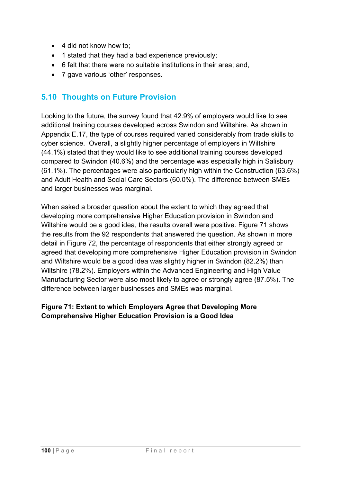- 4 did not know how to:
- 1 stated that they had a bad experience previously:
- 6 felt that there were no suitable institutions in their area; and,
- 7 gave various 'other' responses.

## **5.10 Thoughts on Future Provision**

Looking to the future, the survey found that 42.9% of employers would like to see additional training courses developed across Swindon and Wiltshire. As shown in Appendix E.17, the type of courses required varied considerably from trade skills to cyber science. Overall, a slightly higher percentage of employers in Wiltshire (44.1%) stated that they would like to see additional training courses developed compared to Swindon (40.6%) and the percentage was especially high in Salisbury (61.1%). The percentages were also particularly high within the Construction (63.6%) and Adult Health and Social Care Sectors (60.0%). The difference between SMEs and larger businesses was marginal.

When asked a broader question about the extent to which they agreed that developing more comprehensive Higher Education provision in Swindon and Wiltshire would be a good idea, the results overall were positive. Figure 71 shows the results from the 92 respondents that answered the question. As shown in more detail in Figure 72, the percentage of respondents that either strongly agreed or agreed that developing more comprehensive Higher Education provision in Swindon and Wiltshire would be a good idea was slightly higher in Swindon (82.2%) than Wiltshire (78.2%). Employers within the Advanced Engineering and High Value Manufacturing Sector were also most likely to agree or strongly agree (87.5%). The difference between larger businesses and SMEs was marginal.

## **Figure 71: Extent to which Employers Agree that Developing More Comprehensive Higher Education Provision is a Good Idea**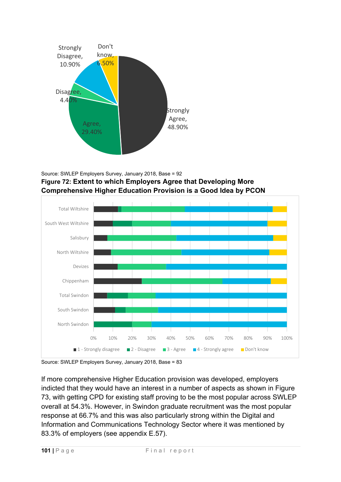

Source: SWLEP Employers Survey, January 2018, Base = 92 **Figure 72: Extent to which Employers Agree that Developing More Comprehensive Higher Education Provision is a Good Idea by PCON**



Source: SWLEP Employers Survey, January 2018, Base = 83

If more comprehensive Higher Education provision was developed, employers indicted that they would have an interest in a number of aspects as shown in Figure 73, with getting CPD for existing staff proving to be the most popular across SWLEP overall at 54.3%. However, in Swindon graduate recruitment was the most popular response at 66.7% and this was also particularly strong within the Digital and Information and Communications Technology Sector where it was mentioned by 83.3% of employers (see appendix E.57).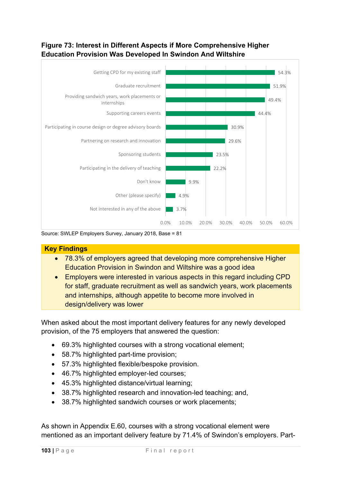## **Figure 73: Interest in Different Aspects if More Comprehensive Higher Education Provision Was Developed In Swindon And Wiltshire**



Source: SWLEP Employers Survey, January 2018, Base = 81

### **Key Findings**

- 78.3% of employers agreed that developing more comprehensive Higher Education Provision in Swindon and Wiltshire was a good idea
- **Employers were interested in various aspects in this regard including CPD** for staff, graduate recruitment as well as sandwich years, work placements and internships, although appetite to become more involved in design/delivery was lower

When asked about the most important delivery features for any newly developed provision, of the 75 employers that answered the question:

- 69.3% highlighted courses with a strong vocational element;
- 58.7% highlighted part-time provision:
- 57.3% highlighted flexible/bespoke provision.
- 46.7% highlighted employer-led courses;
- 45.3% highlighted distance/virtual learning;
- 38.7% highlighted research and innovation-led teaching; and,
- 38.7% highlighted sandwich courses or work placements;

As shown in Appendix E.60, courses with a strong vocational element were mentioned as an important delivery feature by 71.4% of Swindon's employers. Part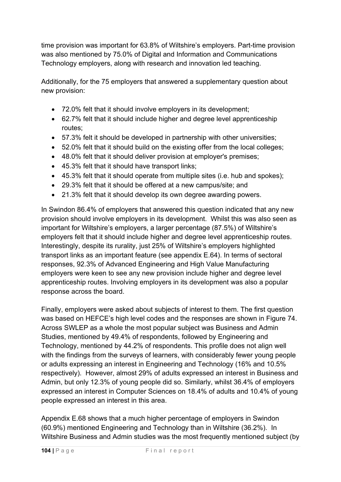time provision was important for 63.8% of Wiltshire's employers. Part-time provision was also mentioned by 75.0% of Digital and Information and Communications Technology employers, along with research and innovation led teaching.

Additionally, for the 75 employers that answered a supplementary question about new provision:

- 72.0% felt that it should involve employers in its development;
- 62.7% felt that it should include higher and degree level apprenticeship routes;
- 57.3% felt it should be developed in partnership with other universities;
- 52.0% felt that it should build on the existing offer from the local colleges;
- 48.0% felt that it should deliver provision at employer's premises;
- 45.3% felt that it should have transport links;
- 45.3% felt that it should operate from multiple sites (i.e. hub and spokes);
- 29.3% felt that it should be offered at a new campus/site; and
- 21.3% felt that it should develop its own degree awarding powers.

In Swindon 86.4% of employers that answered this question indicated that any new provision should involve employers in its development. Whilst this was also seen as important for Wiltshire's employers, a larger percentage (87.5%) of Wiltshire's employers felt that it should include higher and degree level apprenticeship routes. Interestingly, despite its rurality, just 25% of Wiltshire's employers highlighted transport links as an important feature (see appendix E.64). In terms of sectoral responses, 92.3% of Advanced Engineering and High Value Manufacturing employers were keen to see any new provision include higher and degree level apprenticeship routes. Involving employers in its development was also a popular response across the board.

Finally, employers were asked about subjects of interest to them. The first question was based on HEFCE's high level codes and the responses are shown in Figure 74. Across SWLEP as a whole the most popular subject was Business and Admin Studies, mentioned by 49.4% of respondents, followed by Engineering and Technology, mentioned by 44.2% of respondents. This profile does not align well with the findings from the surveys of learners, with considerably fewer young people or adults expressing an interest in Engineering and Technology (16% and 10.5% respectively). However, almost 29% of adults expressed an interest in Business and Admin, but only 12.3% of young people did so. Similarly, whilst 36.4% of employers expressed an interest in Computer Sciences on 18.4% of adults and 10.4% of young people expressed an interest in this area.

Appendix E.68 shows that a much higher percentage of employers in Swindon (60.9%) mentioned Engineering and Technology than in Wiltshire (36.2%). In Wiltshire Business and Admin studies was the most frequently mentioned subject (by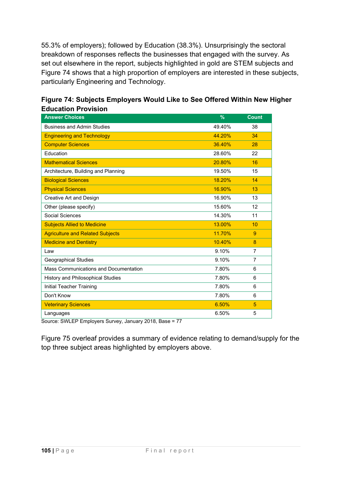55.3% of employers); followed by Education (38.3%). Unsurprisingly the sectoral breakdown of responses reflects the businesses that engaged with the survey. As set out elsewhere in the report, subjects highlighted in gold are STEM subjects and Figure 74 shows that a high proportion of employers are interested in these subjects, particularly Engineering and Technology.

| <b>Answer Choices</b>                    | $\frac{9}{6}$ | <b>Count</b>   |
|------------------------------------------|---------------|----------------|
| <b>Business and Admin Studies</b>        | 49.40%        | 38             |
| <b>Engineering and Technology</b>        | 44.20%        | 34             |
| <b>Computer Sciences</b>                 | 36.40%        | 28             |
| Education                                | 28.60%        | 22             |
| <b>Mathematical Sciences</b>             | 20.80%        | 16             |
| Architecture, Building and Planning      | 19.50%        | 15             |
| <b>Biological Sciences</b>               | 18.20%        | 14             |
| <b>Physical Sciences</b>                 | 16.90%        | 13             |
| Creative Art and Design                  | 16.90%        | 13             |
| Other (please specify)                   | 15.60%        | 12             |
| Social Sciences                          | 14.30%        | 11             |
| <b>Subjects Allied to Medicine</b>       | 13.00%        | 10             |
| <b>Agriculture and Related Subjects</b>  | 11.70%        | 9              |
| <b>Medicine and Dentistry</b>            | 10.40%        | 8              |
| Law                                      | 9.10%         | $\overline{7}$ |
| <b>Geographical Studies</b>              | 9.10%         | $\overline{7}$ |
| Mass Communications and Documentation    | 7.80%         | 6              |
| <b>History and Philosophical Studies</b> | 7.80%         | 6              |
| <b>Initial Teacher Training</b>          | 7.80%         | 6              |
| Don't Know                               | 7.80%         | 6              |
| <b>Veterinary Sciences</b>               | 6.50%         | 5              |
| Languages<br>OMUEDF<br>77                | 6.50%         | 5              |

**Figure 74: Subjects Employers Would Like to See Offered Within New Higher Education Provision** 

Source: SWLEP Employers Survey, January 2018, Base = 77

Figure 75 overleaf provides a summary of evidence relating to demand/supply for the top three subject areas highlighted by employers above.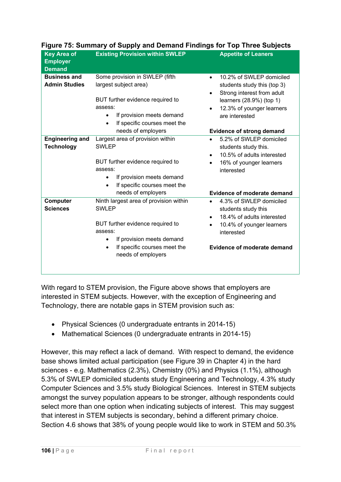| <b>Key Area of</b><br><b>Employer</b><br><b>Demand</b> | <b>Existing Provision within SWLEP</b>                                                                                                                                                                             | <b>Appetite of Leaners</b>                                                                                                                                                                           |
|--------------------------------------------------------|--------------------------------------------------------------------------------------------------------------------------------------------------------------------------------------------------------------------|------------------------------------------------------------------------------------------------------------------------------------------------------------------------------------------------------|
| <b>Business and</b><br><b>Admin Studies</b>            | Some provision in SWLEP (fifth<br>largest subject area)                                                                                                                                                            | 10.2% of SWLEP domiciled<br>$\bullet$<br>students study this (top 3)<br>Strong interest from adult                                                                                                   |
|                                                        | BUT further evidence required to<br>assess:<br>If provision meets demand<br>$\bullet$<br>If specific courses meet the<br>$\bullet$<br>needs of employers                                                           | $\bullet$<br>learners (28.9%) (top 1)<br>12.3% of younger learners<br>$\bullet$<br>are interested                                                                                                    |
| <b>Engineering and</b><br><b>Technology</b>            | Largest area of provision within<br><b>SWLEP</b>                                                                                                                                                                   | <b>Evidence of strong demand</b><br>5.2% of SWLEP domiciled<br>$\bullet$<br>students study this.<br>10.5% of adults interested<br>$\bullet$                                                          |
|                                                        | BUT further evidence required to<br>assess:<br>If provision meets demand<br>$\bullet$<br>If specific courses meet the<br>needs of employers                                                                        | 16% of younger learners<br>$\bullet$<br>interested<br><b>Evidence of moderate demand</b>                                                                                                             |
| Computer<br><b>Sciences</b>                            | Ninth largest area of provision within<br><b>SWLEP</b><br>BUT further evidence required to<br>assess:<br>If provision meets demand<br>$\bullet$<br>If specific courses meet the<br>$\bullet$<br>needs of employers | 4.3% of SWLEP domiciled<br>$\bullet$<br>students study this<br>18.4% of adults interested<br>$\bullet$<br>10.4% of younger learners<br>$\bullet$<br>interested<br><b>Evidence of moderate demand</b> |
|                                                        |                                                                                                                                                                                                                    |                                                                                                                                                                                                      |

## **Figure 75: Summary of Supply and Demand Findings for Top Three Subjects**

With regard to STEM provision, the Figure above shows that employers are interested in STEM subjects. However, with the exception of Engineering and Technology, there are notable gaps in STEM provision such as:

- Physical Sciences (0 undergraduate entrants in 2014-15)
- Mathematical Sciences (0 undergraduate entrants in 2014-15)

However, this may reflect a lack of demand. With respect to demand, the evidence base shows limited actual participation (see Figure 39 in Chapter 4) in the hard sciences - e.g. Mathematics (2.3%), Chemistry (0%) and Physics (1.1%), although 5.3% of SWLEP domiciled students study Engineering and Technology, 4.3% study Computer Sciences and 3.5% study Biological Sciences. Interest in STEM subjects amongst the survey population appears to be stronger, although respondents could select more than one option when indicating subjects of interest. This may suggest that interest in STEM subjects is secondary, behind a different primary choice. Section 4.6 shows that 38% of young people would like to work in STEM and 50.3%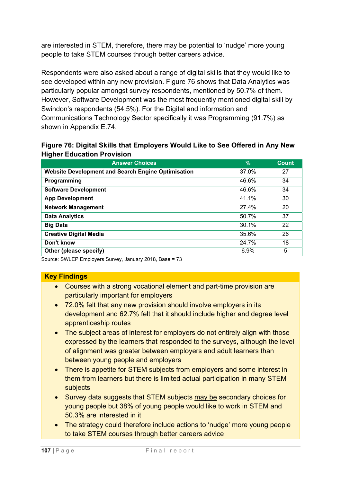are interested in STEM, therefore, there may be potential to 'nudge' more young people to take STEM courses through better careers advice.

Respondents were also asked about a range of digital skills that they would like to see developed within any new provision. Figure 76 shows that Data Analytics was particularly popular amongst survey respondents, mentioned by 50.7% of them. However, Software Development was the most frequently mentioned digital skill by Swindon's respondents (54.5%). For the Digital and information and Communications Technology Sector specifically it was Programming (91.7%) as shown in Appendix E.74.

|                                   |  | Figure 76: Digital Skills that Employers Would Like to See Offered in Any New |  |  |
|-----------------------------------|--|-------------------------------------------------------------------------------|--|--|
| <b>Higher Education Provision</b> |  |                                                                               |  |  |

| <b>Answer Choices</b>                                     | $\frac{9}{6}$ | Count |
|-----------------------------------------------------------|---------------|-------|
| <b>Website Development and Search Engine Optimisation</b> | 37.0%         | 27    |
| Programming                                               | 46.6%         | 34    |
| <b>Software Development</b>                               | 46.6%         | 34    |
| <b>App Development</b>                                    | 41.1%         | 30    |
| <b>Network Management</b>                                 | 27.4%         | 20    |
| <b>Data Analytics</b>                                     | 50.7%         | 37    |
| <b>Big Data</b>                                           | 30.1%         | 22    |
| <b>Creative Digital Media</b>                             | 35.6%         | 26    |
| Don't know                                                | 24.7%         | 18    |
| Other (please specify)                                    | 6.9%          | 5     |

Source: SWLEP Employers Survey, January 2018, Base = 73

### **Key Findings**

- Courses with a strong vocational element and part-time provision are particularly important for employers
- 72.0% felt that any new provision should involve employers in its development and 62.7% felt that it should include higher and degree level apprenticeship routes
- The subject areas of interest for employers do not entirely align with those expressed by the learners that responded to the surveys, although the level of alignment was greater between employers and adult learners than between young people and employers
- There is appetite for STEM subiects from employers and some interest in them from learners but there is limited actual participation in many STEM subjects
- Survey data suggests that STEM subjects may be secondary choices for young people but 38% of young people would like to work in STEM and 50.3% are interested in it
- The strategy could therefore include actions to 'nudge' more young people to take STEM courses through better careers advice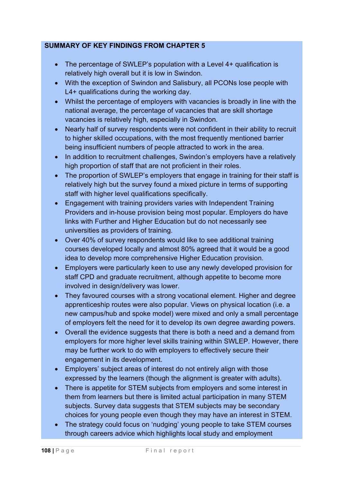### **SUMMARY OF KEY FINDINGS FROM CHAPTER 5**

- The percentage of SWLEP's population with a Level 4+ qualification is relatively high overall but it is low in Swindon.
- With the exception of Swindon and Salisbury, all PCONs lose people with L4+ qualifications during the working day.
- Whilst the percentage of employers with vacancies is broadly in line with the national average, the percentage of vacancies that are skill shortage vacancies is relatively high, especially in Swindon.
- Nearly half of survey respondents were not confident in their ability to recruit to higher skilled occupations, with the most frequently mentioned barrier being insufficient numbers of people attracted to work in the area.
- In addition to recruitment challenges, Swindon's employers have a relatively high proportion of staff that are not proficient in their roles.
- The proportion of SWLEP's employers that engage in training for their staff is relatively high but the survey found a mixed picture in terms of supporting staff with higher level qualifications specifically.
- Engagement with training providers varies with Independent Training Providers and in-house provision being most popular. Employers do have links with Further and Higher Education but do not necessarily see universities as providers of training.
- Over 40% of survey respondents would like to see additional training courses developed locally and almost 80% agreed that it would be a good idea to develop more comprehensive Higher Education provision.
- Employers were particularly keen to use any newly developed provision for staff CPD and graduate recruitment, although appetite to become more involved in design/delivery was lower.
- They favoured courses with a strong vocational element. Higher and degree apprenticeship routes were also popular. Views on physical location (i.e. a new campus/hub and spoke model) were mixed and only a small percentage of employers felt the need for it to develop its own degree awarding powers.
- Overall the evidence suggests that there is both a need and a demand from employers for more higher level skills training within SWLEP. However, there may be further work to do with employers to effectively secure their engagement in its development.
- Employers' subject areas of interest do not entirely align with those expressed by the learners (though the alignment is greater with adults).
- There is appetite for STEM subjects from employers and some interest in them from learners but there is limited actual participation in many STEM subjects. Survey data suggests that STEM subjects may be secondary choices for young people even though they may have an interest in STEM.
- The strategy could focus on 'nudging' young people to take STEM courses through careers advice which highlights local study and employment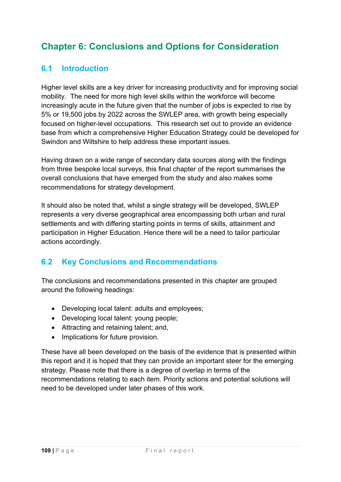# **Chapter 6: Conclusions and Options for Consideration**

# **6.1 Introduction**

Higher level skills are a key driver for increasing productivity and for improving social mobility. The need for more high level skills within the workforce will become increasingly acute in the future given that the number of jobs is expected to rise by 5% or 19,500 jobs by 2022 across the SWLEP area, with growth being especially focused on higher-level occupations. This research set out to provide an evidence base from which a comprehensive Higher Education Strategy could be developed for Swindon and Wiltshire to help address these important issues.

Having drawn on a wide range of secondary data sources along with the findings from three bespoke local surveys, this final chapter of the report summarises the overall conclusions that have emerged from the study and also makes some recommendations for strategy development.

It should also be noted that, whilst a single strategy will be developed, SWLEP represents a very diverse geographical area encompassing both urban and rural settlements and with differing starting points in terms of skills, attainment and participation in Higher Education. Hence there will be a need to tailor particular actions accordingly.

# **6.2 Key Conclusions and Recommendations**

The conclusions and recommendations presented in this chapter are grouped around the following headings:

- Developing local talent: adults and employees;
- Developing local talent: young people;
- Attracting and retaining talent; and,
- Implications for future provision.

These have all been developed on the basis of the evidence that is presented within this report and it is hoped that they can provide an important steer for the emerging strategy. Please note that there is a degree of overlap in terms of the recommendations relating to each item. Priority actions and potential solutions will need to be developed under later phases of this work.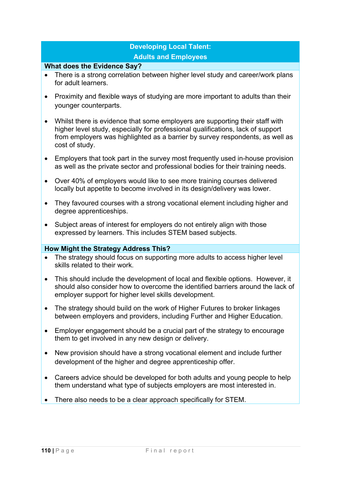## **Developing Local Talent: Adults and Employees**

#### **What does the Evidence Say?**

- There is a strong correlation between higher level study and career/work plans for adult learners.
- Proximity and flexible ways of studying are more important to adults than their younger counterparts.
- Whilst there is evidence that some employers are supporting their staff with higher level study, especially for professional qualifications, lack of support from employers was highlighted as a barrier by survey respondents, as well as cost of study.
- Employers that took part in the survey most frequently used in-house provision as well as the private sector and professional bodies for their training needs.
- Over 40% of employers would like to see more training courses delivered locally but appetite to become involved in its design/delivery was lower.
- They favoured courses with a strong vocational element including higher and degree apprenticeships.
- Subject areas of interest for employers do not entirely align with those expressed by learners. This includes STEM based subjects.

- The strategy should focus on supporting more adults to access higher level skills related to their work.
- This should include the development of local and flexible options. However, it should also consider how to overcome the identified barriers around the lack of employer support for higher level skills development.
- The strategy should build on the work of Higher Futures to broker linkages between employers and providers, including Further and Higher Education.
- Employer engagement should be a crucial part of the strategy to encourage them to get involved in any new design or delivery.
- New provision should have a strong vocational element and include further development of the higher and degree apprenticeship offer.
- Careers advice should be developed for both adults and young people to help them understand what type of subjects employers are most interested in.
- There also needs to be a clear approach specifically for STEM.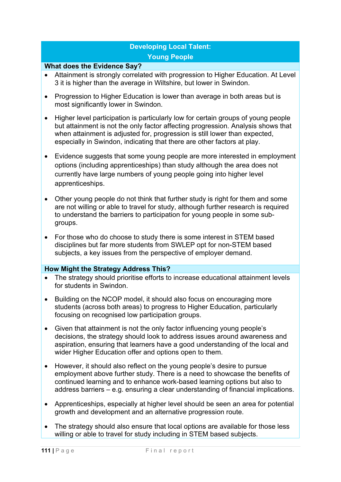## **Developing Local Talent: Young People**

#### **What does the Evidence Say?**

- Attainment is strongly correlated with progression to Higher Education. At Level 3 it is higher than the average in Wiltshire, but lower in Swindon.
- Progression to Higher Education is lower than average in both areas but is most significantly lower in Swindon.
- Higher level participation is particularly low for certain groups of young people but attainment is not the only factor affecting progression. Analysis shows that when attainment is adjusted for, progression is still lower than expected, especially in Swindon, indicating that there are other factors at play.
- Evidence suggests that some young people are more interested in employment options (including apprenticeships) than study although the area does not currently have large numbers of young people going into higher level apprenticeships.
- Other young people do not think that further study is right for them and some are not willing or able to travel for study, although further research is required to understand the barriers to participation for young people in some subgroups.
- For those who do choose to study there is some interest in STEM based disciplines but far more students from SWLEP opt for non-STEM based subjects, a key issues from the perspective of employer demand.

- The strategy should prioritise efforts to increase educational attainment levels for students in Swindon.
- Building on the NCOP model, it should also focus on encouraging more students (across both areas) to progress to Higher Education, particularly focusing on recognised low participation groups.
- Given that attainment is not the only factor influencing young people's decisions, the strategy should look to address issues around awareness and aspiration, ensuring that learners have a good understanding of the local and wider Higher Education offer and options open to them.
- However, it should also reflect on the young people's desire to pursue employment above further study. There is a need to showcase the benefits of continued learning and to enhance work-based learning options but also to address barriers – e.g. ensuring a clear understanding of financial implications.
- Apprenticeships, especially at higher level should be seen an area for potential growth and development and an alternative progression route.
- The strategy should also ensure that local options are available for those less willing or able to travel for study including in STEM based subjects.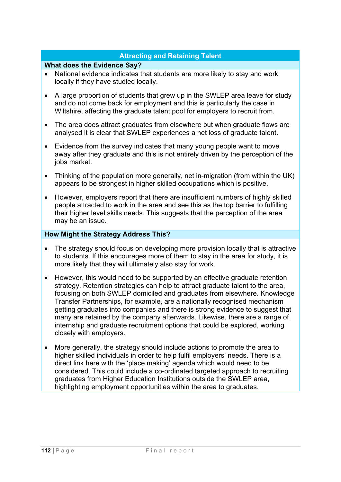### **Attracting and Retaining Talent**

#### **What does the Evidence Say?**

- National evidence indicates that students are more likely to stay and work locally if they have studied locally.
- A large proportion of students that grew up in the SWLEP area leave for study and do not come back for employment and this is particularly the case in Wiltshire, affecting the graduate talent pool for employers to recruit from.
- The area does attract graduates from elsewhere but when graduate flows are analysed it is clear that SWLEP experiences a net loss of graduate talent.
- Evidence from the survey indicates that many young people want to move away after they graduate and this is not entirely driven by the perception of the jobs market.
- Thinking of the population more generally, net in-migration (from within the UK) appears to be strongest in higher skilled occupations which is positive.
- However, employers report that there are insufficient numbers of highly skilled people attracted to work in the area and see this as the top barrier to fulfilling their higher level skills needs. This suggests that the perception of the area may be an issue.

- The strategy should focus on developing more provision locally that is attractive to students. If this encourages more of them to stay in the area for study, it is more likely that they will ultimately also stay for work.
- However, this would need to be supported by an effective graduate retention strategy. Retention strategies can help to attract graduate talent to the area, focusing on both SWLEP domiciled and graduates from elsewhere. Knowledge Transfer Partnerships, for example, are a nationally recognised mechanism getting graduates into companies and there is strong evidence to suggest that many are retained by the company afterwards. Likewise, there are a range of internship and graduate recruitment options that could be explored, working closely with employers.
- More generally, the strategy should include actions to promote the area to higher skilled individuals in order to help fulfil employers' needs. There is a direct link here with the 'place making' agenda which would need to be considered. This could include a co-ordinated targeted approach to recruiting graduates from Higher Education Institutions outside the SWLEP area, highlighting employment opportunities within the area to graduates.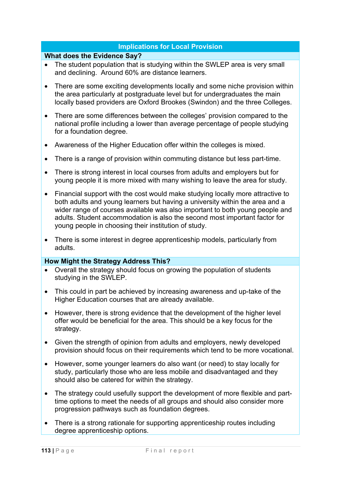#### **Implications for Local Provision**

#### **What does the Evidence Say?**

- The student population that is studying within the SWLEP area is very small and declining. Around 60% are distance learners.
- There are some exciting developments locally and some niche provision within the area particularly at postgraduate level but for undergraduates the main locally based providers are Oxford Brookes (Swindon) and the three Colleges.
- There are some differences between the colleges' provision compared to the national profile including a lower than average percentage of people studying for a foundation degree.
- Awareness of the Higher Education offer within the colleges is mixed.
- There is a range of provision within commuting distance but less part-time.
- There is strong interest in local courses from adults and employers but for young people it is more mixed with many wishing to leave the area for study.
- Financial support with the cost would make studying locally more attractive to both adults and young learners but having a university within the area and a wider range of courses available was also important to both young people and adults. Student accommodation is also the second most important factor for young people in choosing their institution of study.
- There is some interest in degree apprenticeship models, particularly from adults.

- Overall the strategy should focus on growing the population of students studying in the SWLEP.
- This could in part be achieved by increasing awareness and up-take of the Higher Education courses that are already available.
- However, there is strong evidence that the development of the higher level offer would be beneficial for the area. This should be a key focus for the strategy.
- Given the strength of opinion from adults and employers, newly developed provision should focus on their requirements which tend to be more vocational.
- However, some younger learners do also want (or need) to stay locally for study, particularly those who are less mobile and disadvantaged and they should also be catered for within the strategy.
- The strategy could usefully support the development of more flexible and parttime options to meet the needs of all groups and should also consider more progression pathways such as foundation degrees.
- There is a strong rationale for supporting apprenticeship routes including degree apprenticeship options.